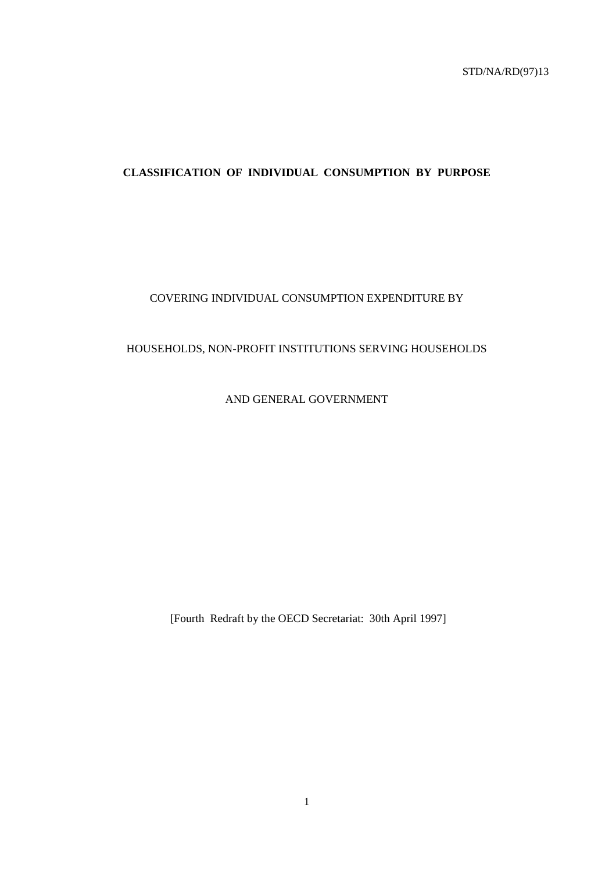# **CLASSIFICATION OF INDIVIDUAL CONSUMPTION BY PURPOSE**

# COVERING INDIVIDUAL CONSUMPTION EXPENDITURE BY

# HOUSEHOLDS, NON-PROFIT INSTITUTIONS SERVING HOUSEHOLDS

AND GENERAL GOVERNMENT

[Fourth Redraft by the OECD Secretariat: 30th April 1997]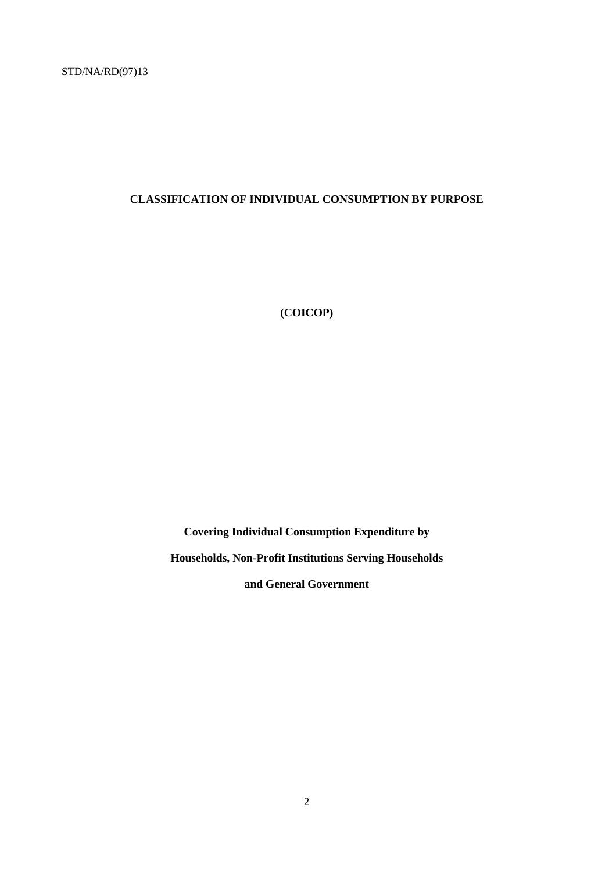# **CLASSIFICATION OF INDIVIDUAL CONSUMPTION BY PURPOSE**

**(COICOP)**

**Covering Individual Consumption Expenditure by Households, Non-Profit Institutions Serving Households**

**and General Government**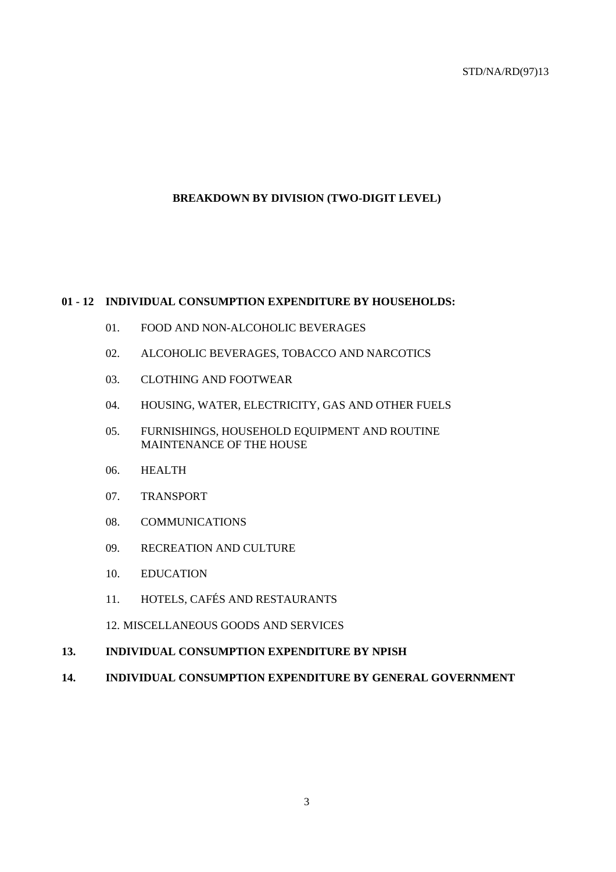# **BREAKDOWN BY DIVISION (TWO-DIGIT LEVEL)**

# **01 - 12 INDIVIDUAL CONSUMPTION EXPENDITURE BY HOUSEHOLDS:**

- 01. FOOD AND NON-ALCOHOLIC BEVERAGES
- 02. ALCOHOLIC BEVERAGES, TOBACCO AND NARCOTICS
- 03. CLOTHING AND FOOTWEAR
- 04. HOUSING, WATER, ELECTRICITY, GAS AND OTHER FUELS
- 05. FURNISHINGS, HOUSEHOLD EQUIPMENT AND ROUTINE MAINTENANCE OF THE HOUSE
- 06. HEALTH
- 07. TRANSPORT
- 08. COMMUNICATIONS
- 09. RECREATION AND CULTURE
- 10. EDUCATION
- 11. HOTELS, CAFÉS AND RESTAURANTS
- 12. MISCELLANEOUS GOODS AND SERVICES
- **13. INDIVIDUAL CONSUMPTION EXPENDITURE BY NPISH**
- **14. INDIVIDUAL CONSUMPTION EXPENDITURE BY GENERAL GOVERNMENT**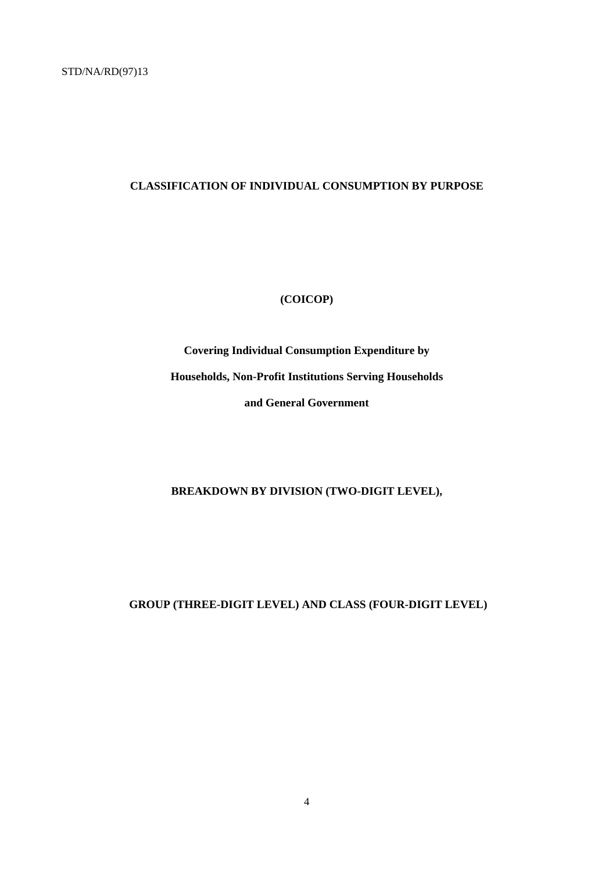# **CLASSIFICATION OF INDIVIDUAL CONSUMPTION BY PURPOSE**

# **(COICOP)**

**Covering Individual Consumption Expenditure by Households, Non-Profit Institutions Serving Households and General Government**

**BREAKDOWN BY DIVISION (TWO-DIGIT LEVEL),**

 **GROUP (THREE-DIGIT LEVEL) AND CLASS (FOUR-DIGIT LEVEL)**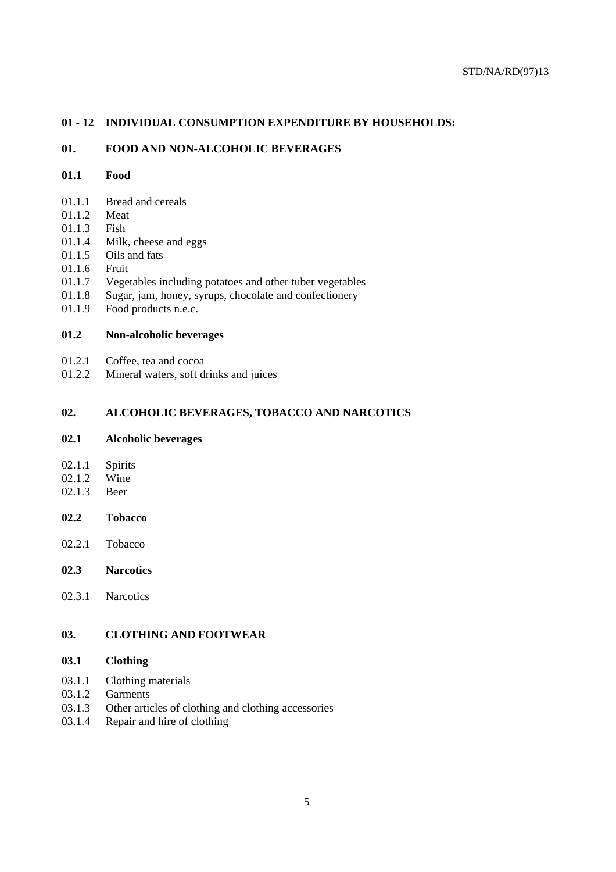# **01 - 12 INDIVIDUAL CONSUMPTION EXPENDITURE BY HOUSEHOLDS:**

## **01. FOOD AND NON-ALCOHOLIC BEVERAGES**

# **01.1 Food**

- 01.1.1 Bread and cereals
- 01.1.2 Meat
- 01.1.3 Fish
- 01.1.4 Milk, cheese and eggs
- 01.1.5 Oils and fats
- 01.1.6 Fruit
- 01.1.7 Vegetables including potatoes and other tuber vegetables
- 01.1.8 Sugar, jam, honey, syrups, chocolate and confectionery
- 01.1.9 Food products n.e.c.

# **01.2 Non-alcoholic beverages**

- 01.2.1 Coffee, tea and cocoa
- 01.2.2 Mineral waters, soft drinks and juices

## **02. ALCOHOLIC BEVERAGES, TOBACCO AND NARCOTICS**

# **02.1 Alcoholic beverages**

- 02.1.1 Spirits<br>02.1.2 Wine
- $02.1.2$
- 02.1.3 Beer

# **02.2 Tobacco**

02.2.1 Tobacco

# **02.3 Narcotics**

02.3.1 Narcotics

# **03. CLOTHING AND FOOTWEAR**

# **03.1 Clothing**

- 03.1.1 Clothing materials
- 03.1.2 Garments
- 03.1.3 Other articles of clothing and clothing accessories
- 03.1.4 Repair and hire of clothing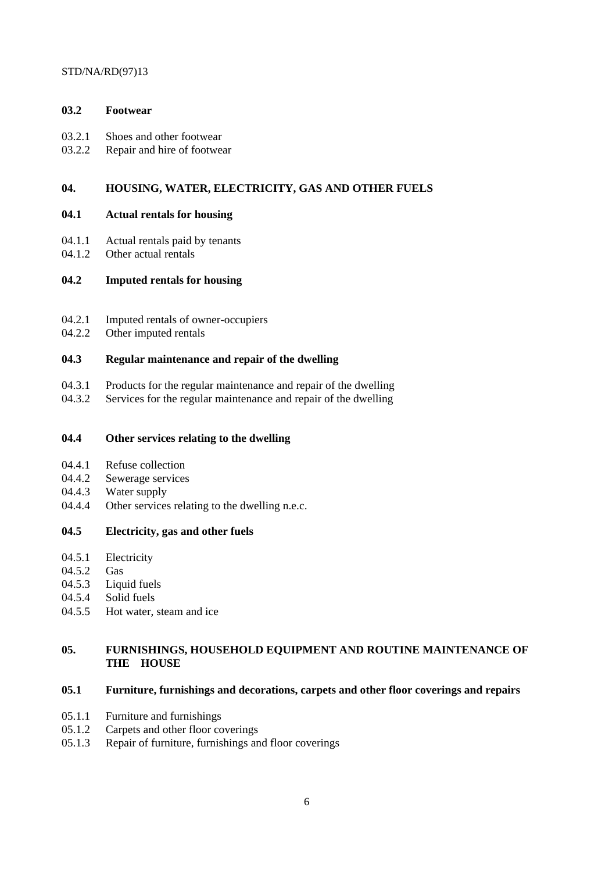# **03.2 Footwear**

- 03.2.1 Shoes and other footwear
- 03.2.2 Repair and hire of footwear

# **04. HOUSING, WATER, ELECTRICITY, GAS AND OTHER FUELS**

# **04.1 Actual rentals for housing**

- 04.1.1 Actual rentals paid by tenants
- 04.1.2 Other actual rentals

# **04.2 Imputed rentals for housing**

- 04.2.1 Imputed rentals of owner-occupiers
- 04.2.2 Other imputed rentals

# **04.3 Regular maintenance and repair of the dwelling**

- 04.3.1 Products for the regular maintenance and repair of the dwelling
- 04.3.2 Services for the regular maintenance and repair of the dwelling

# **04.4 Other services relating to the dwelling**

- 04.4.1 Refuse collection
- 04.4.2 Sewerage services
- 04.4.3 Water supply
- 04.4.4 Other services relating to the dwelling n.e.c.

# **04.5 Electricity, gas and other fuels**

- 04.5.1 Electricity
- 04.5.2 Gas
- 04.5.3 Liquid fuels
- 04.5.4 Solid fuels
- 04.5.5 Hot water, steam and ice

# **05. FURNISHINGS, HOUSEHOLD EQUIPMENT AND ROUTINE MAINTENANCE OF THE HOUSE**

# **05.1 Furniture, furnishings and decorations, carpets and other floor coverings and repairs**

- 05.1.1 Furniture and furnishings
- 05.1.2 Carpets and other floor coverings
- 05.1.3 Repair of furniture, furnishings and floor coverings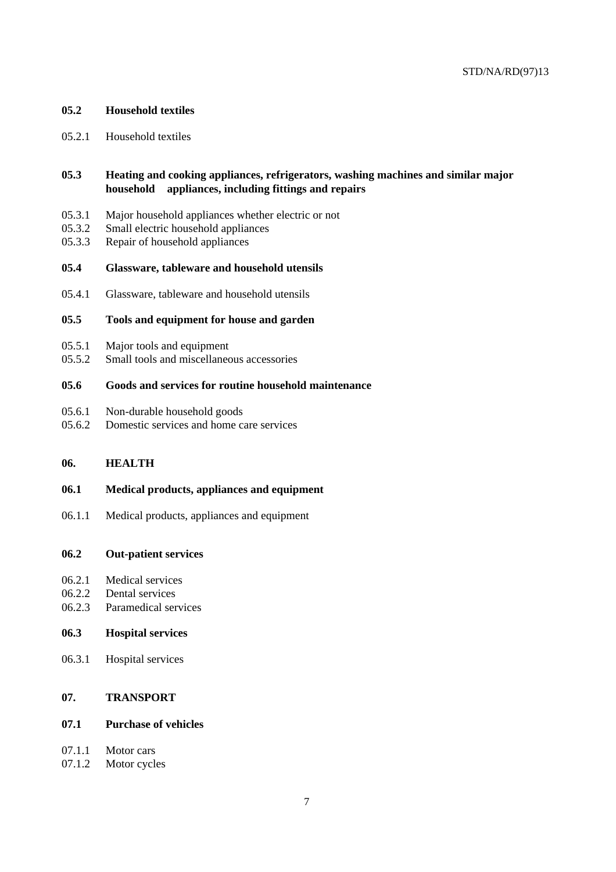# **05.2 Household textiles**

05.2.1 Household textiles

# **05.3 Heating and cooking appliances, refrigerators, washing machines and similar major household appliances, including fittings and repairs**

- 05.3.1 Major household appliances whether electric or not
- 05.3.2 Small electric household appliances
- 05.3.3 Repair of household appliances

### **05.4 Glassware, tableware and household utensils**

05.4.1 Glassware, tableware and household utensils

## **05.5 Tools and equipment for house and garden**

- 05.5.1 Major tools and equipment
- 05.5.2 Small tools and miscellaneous accessories

# **05.6 Goods and services for routine household maintenance**

- 05.6.1 Non-durable household goods
- 05.6.2 Domestic services and home care services

## **06. HEALTH**

### **06.1 Medical products, appliances and equipment**

06.1.1 Medical products, appliances and equipment

#### **06.2 Out-patient services**

- 06.2.1 Medical services
- 06.2.2 Dental services
- 06.2.3 Paramedical services

#### **06.3 Hospital services**

06.3.1 Hospital services

# **07. TRANSPORT**

### **07.1 Purchase of vehicles**

- 07.1.1 Motor cars
- 07.1.2 Motor cycles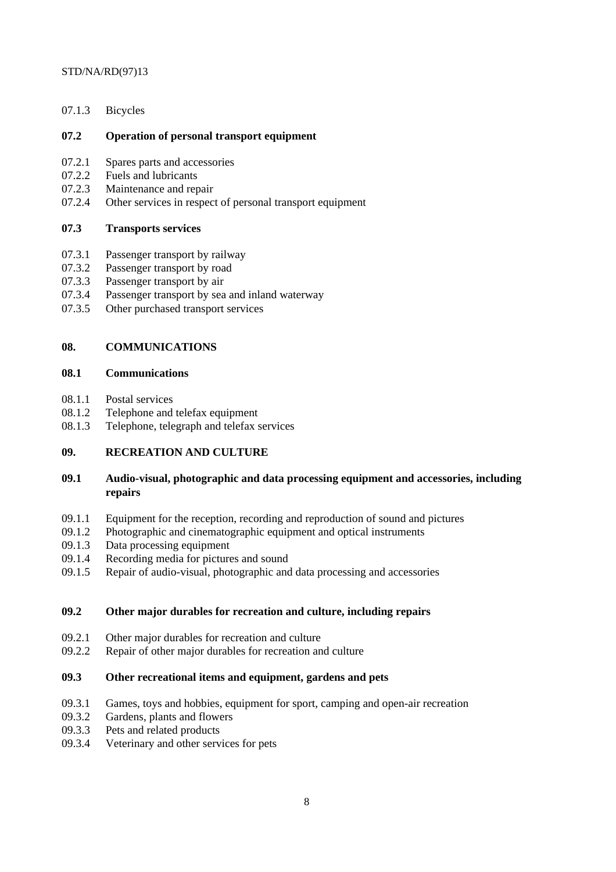07.1.3 Bicycles

# **07.2 Operation of personal transport equipment**

- 07.2.1 Spares parts and accessories
- 07.2.2 Fuels and lubricants
- 07.2.3 Maintenance and repair
- 07.2.4 Other services in respect of personal transport equipment

# **07.3 Transports services**

- 07.3.1 Passenger transport by railway
- 07.3.2 Passenger transport by road
- 07.3.3 Passenger transport by air
- 07.3.4 Passenger transport by sea and inland waterway
- 07.3.5 Other purchased transport services

# **08. COMMUNICATIONS**

# **08.1 Communications**

- 08.1.1 Postal services
- 08.1.2 Telephone and telefax equipment
- 08.1.3 Telephone, telegraph and telefax services

# **09. RECREATION AND CULTURE**

# **09.1 Audio-visual, photographic and data processing equipment and accessories, including repairs**

- 09.1.1 Equipment for the reception, recording and reproduction of sound and pictures
- 09.1.2 Photographic and cinematographic equipment and optical instruments
- 09.1.3 Data processing equipment
- 09.1.4 Recording media for pictures and sound
- 09.1.5 Repair of audio-visual, photographic and data processing and accessories

# **09.2 Other major durables for recreation and culture, including repairs**

- 09.2.1 Other major durables for recreation and culture
- 09.2.2 Repair of other major durables for recreation and culture

# **09.3 Other recreational items and equipment, gardens and pets**

- 09.3.1 Games, toys and hobbies, equipment for sport, camping and open-air recreation
- 09.3.2 Gardens, plants and flowers
- 09.3.3 Pets and related products
- 09.3.4 Veterinary and other services for pets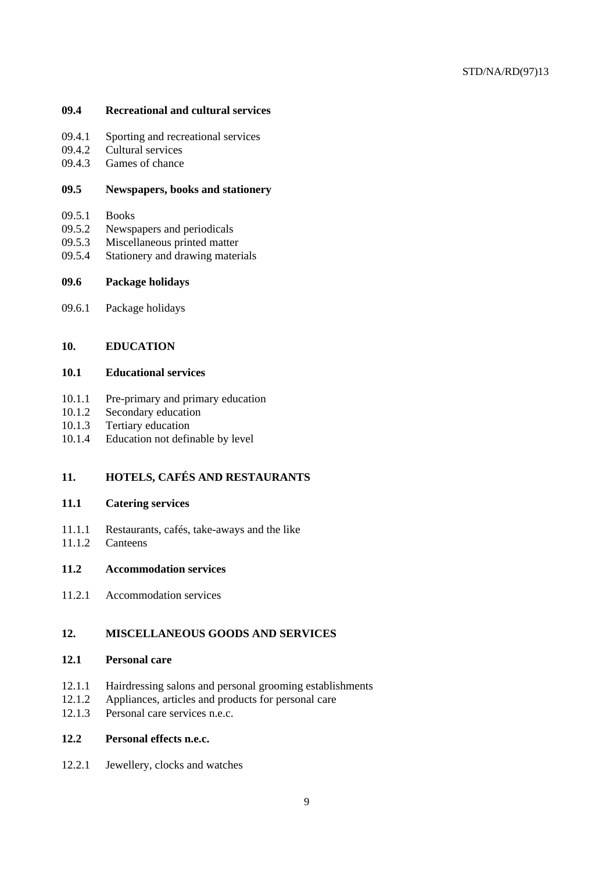# **09.4 Recreational and cultural services**

- 09.4.1 Sporting and recreational services
- 09.4.2 Cultural services
- 09.4.3 Games of chance

### **09.5 Newspapers, books and stationery**

- 09.5.1 Books
- 09.5.2 Newspapers and periodicals
- 09.5.3 Miscellaneous printed matter
- 09.5.4 Stationery and drawing materials

# **09.6 Package holidays**

09.6.1 Package holidays

# **10. EDUCATION**

# **10.1 Educational services**

- 10.1.1 Pre-primary and primary education
- 10.1.2 Secondary education
- 10.1.3 Tertiary education
- 10.1.4 Education not definable by level

# **11. HOTELS, CAFÉS AND RESTAURANTS**

# **11.1 Catering services**

- 11.1.1 Restaurants, cafés, take-aways and the like<br>11.1.2 Canteens
- Canteens

# **11.2 Accommodation services**

11.2.1 Accommodation services

# **12. MISCELLANEOUS GOODS AND SERVICES**

# **12.1 Personal care**

- 12.1.1 Hairdressing salons and personal grooming establishments
- 12.1.2 Appliances, articles and products for personal care
- 12.1.3 Personal care services n.e.c.

# **12.2 Personal effects n.e.c.**

12.2.1 Jewellery, clocks and watches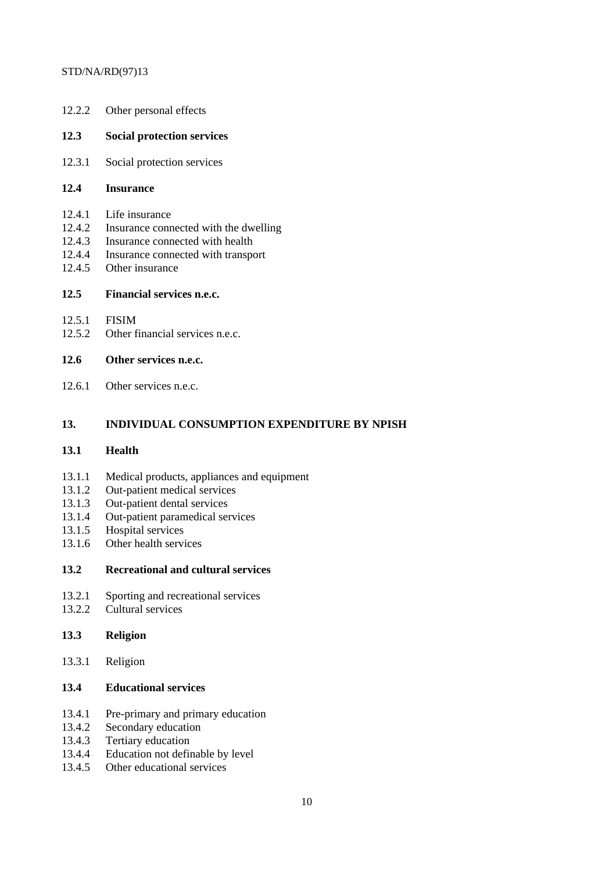| 12.2.2                                         | Other personal effects                                                                                                                              |
|------------------------------------------------|-----------------------------------------------------------------------------------------------------------------------------------------------------|
| 12.3                                           | <b>Social protection services</b>                                                                                                                   |
| 12.3.1                                         | Social protection services                                                                                                                          |
| 12.4                                           | <b>Insurance</b>                                                                                                                                    |
| 12.4.1<br>12.4.2<br>12.4.3<br>12.4.4<br>12.4.5 | Life insurance<br>Insurance connected with the dwelling<br>Insurance connected with health<br>Insurance connected with transport<br>Other insurance |
| 12.5                                           | Financial services n.e.c.                                                                                                                           |
| 12.5.1<br>12.5.2                               | <b>FISIM</b><br>Other financial services n.e.c.                                                                                                     |
| 12.6                                           | Other services n.e.c.                                                                                                                               |

12.6.1 Other services n.e.c.

# **13. INDIVIDUAL CONSUMPTION EXPENDITURE BY NPISH**

# **13.1 Health**

- 13.1.1 Medical products, appliances and equipment
- 13.1.2 Out-patient medical services
- 13.1.3 Out-patient dental services
- 13.1.4 Out-patient paramedical services
- 13.1.5 Hospital services
- 13.1.6 Other health services

# **13.2 Recreational and cultural services**

- 13.2.1 Sporting and recreational services
- 13.2.2 Cultural services
- **13.3 Religion**
- 13.3.1 Religion

# **13.4 Educational services**

- 13.4.1 Pre-primary and primary education
- 13.4.2 Secondary education
- 13.4.3 Tertiary education
- 13.4.4 Education not definable by level
- 13.4.5 Other educational services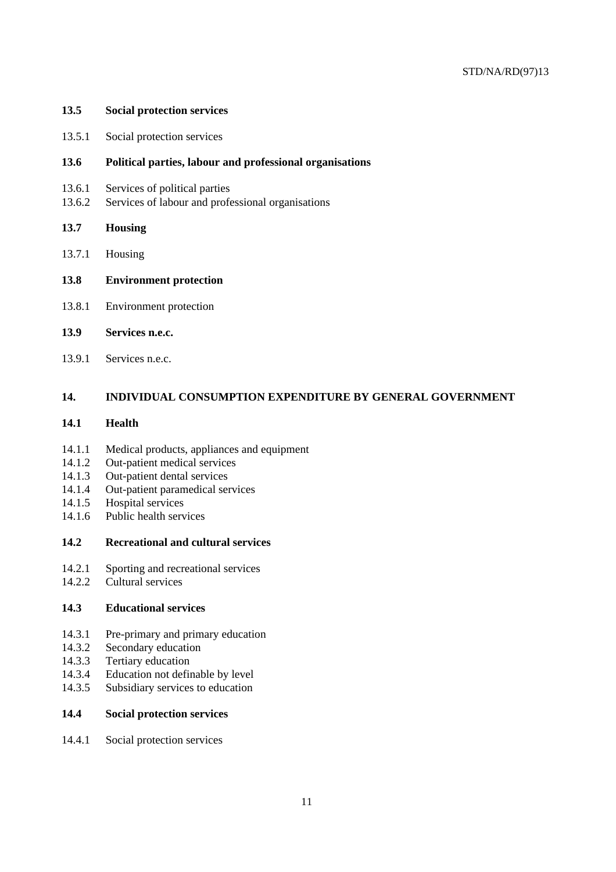#### **13.5 Social protection services**

13.5.1 Social protection services

## **13.6 Political parties, labour and professional organisations**

- 13.6.1 Services of political parties
- 13.6.2 Services of labour and professional organisations

### **13.7 Housing**

- 13.7.1 Housing
- **13.8 Environment protection**
- 13.8.1 Environment protection

### **13.9 Services n.e.c.**

13.9.1 Services n.e.c.

# **14. INDIVIDUAL CONSUMPTION EXPENDITURE BY GENERAL GOVERNMENT**

## **14.1 Health**

- 14.1.1 Medical products, appliances and equipment
- 14.1.2 Out-patient medical services
- 14.1.3 Out-patient dental services
- 14.1.4 Out-patient paramedical services
- 14.1.5 Hospital services
- 14.1.6 Public health services

## **14.2 Recreational and cultural services**

- 14.2.1 Sporting and recreational services
- 14.2.2 Cultural services

# **14.3 Educational services**

- 14.3.1 Pre-primary and primary education
- 14.3.2 Secondary education
- 14.3.3 Tertiary education
- 14.3.4 Education not definable by level
- 14.3.5 Subsidiary services to education

## **14.4 Social protection services**

14.4.1 Social protection services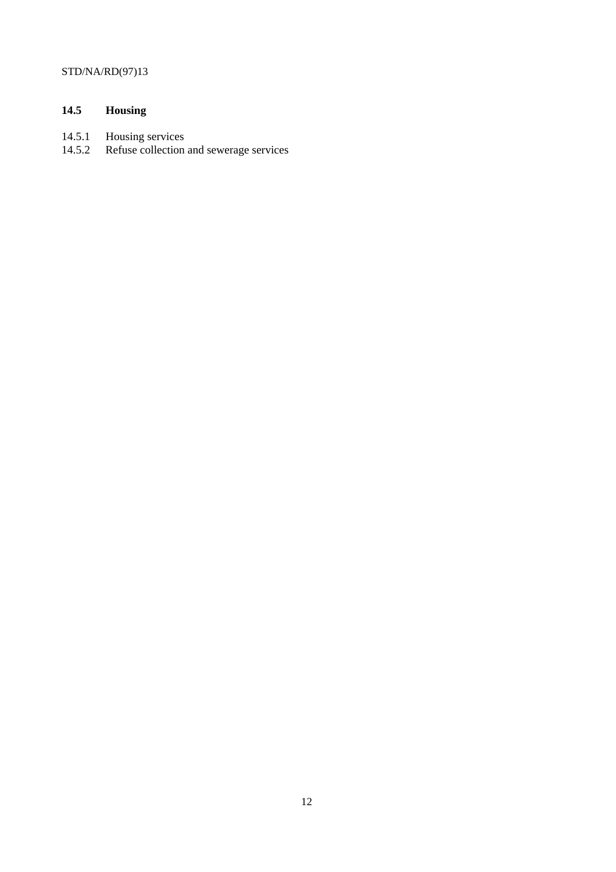# **14.5 Housing**

- 14.5.1 Housing services
- 14.5.2 Refuse collection and sewerage services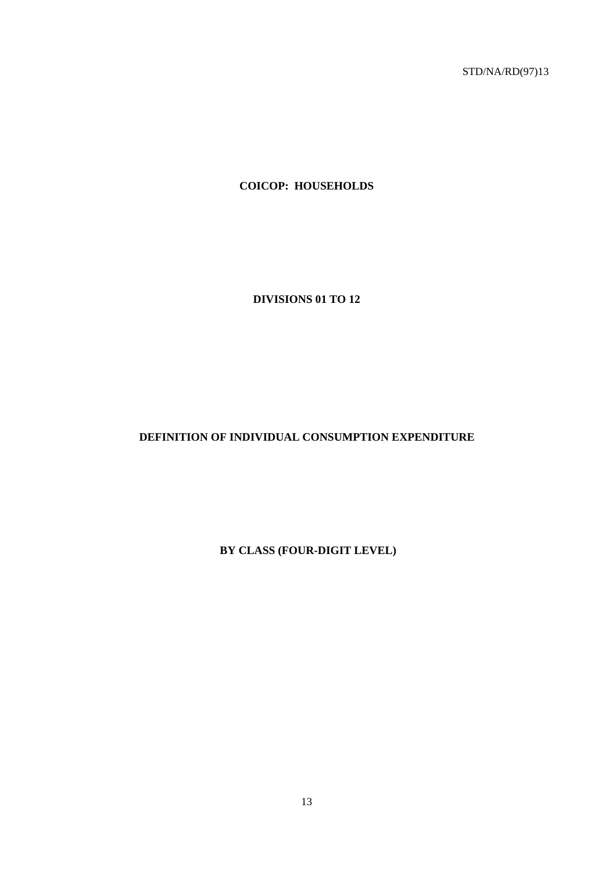**COICOP: HOUSEHOLDS**

**DIVISIONS 01 TO 12**

**DEFINITION OF INDIVIDUAL CONSUMPTION EXPENDITURE**

 **BY CLASS (FOUR-DIGIT LEVEL)**

13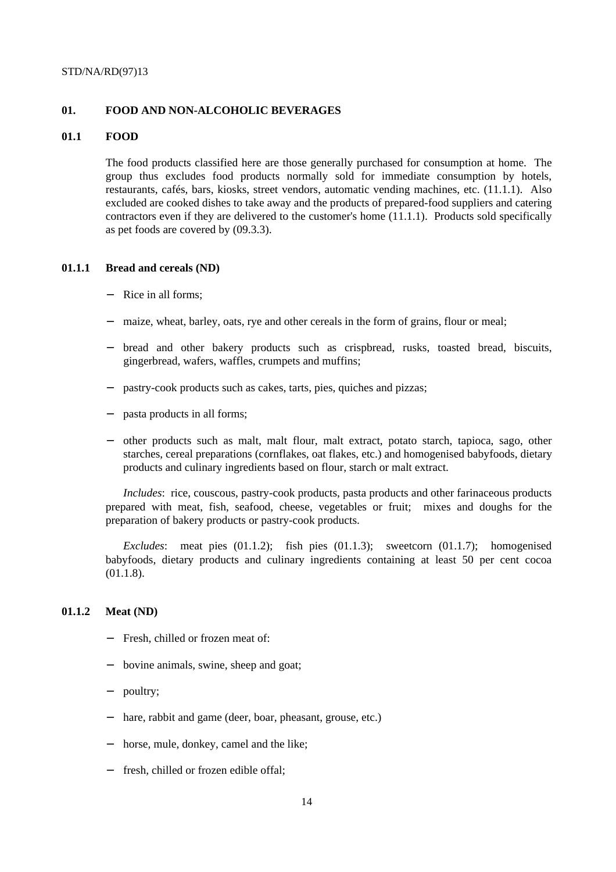### **01. FOOD AND NON-ALCOHOLIC BEVERAGES**

#### **01.1 FOOD**

The food products classified here are those generally purchased for consumption at home. The group thus excludes food products normally sold for immediate consumption by hotels, restaurants, cafés, bars, kiosks, street vendors, automatic vending machines, etc. (11.1.1). Also excluded are cooked dishes to take away and the products of prepared-food suppliers and catering contractors even if they are delivered to the customer's home (11.1.1). Products sold specifically as pet foods are covered by (09.3.3).

### **01.1.1 Bread and cereals (ND)**

- Rice in all forms:
- maize, wheat, barley, oats, rye and other cereals in the form of grains, flour or meal;
- bread and other bakery products such as crispbread, rusks, toasted bread, biscuits, gingerbread, wafers, waffles, crumpets and muffins;
- pastry-cook products such as cakes, tarts, pies, quiches and pizzas;
- pasta products in all forms;
- − other products such as malt, malt flour, malt extract, potato starch, tapioca, sago, other starches, cereal preparations (cornflakes, oat flakes, etc.) and homogenised babyfoods, dietary products and culinary ingredients based on flour, starch or malt extract.

*Includes*: rice, couscous, pastry-cook products, pasta products and other farinaceous products prepared with meat, fish, seafood, cheese, vegetables or fruit; mixes and doughs for the preparation of bakery products or pastry-cook products.

*Excludes*: meat pies (01.1.2); fish pies (01.1.3); sweetcorn (01.1.7); homogenised babyfoods, dietary products and culinary ingredients containing at least 50 per cent cocoa (01.1.8).

# **01.1.2 Meat (ND)**

- Fresh, chilled or frozen meat of:
- bovine animals, swine, sheep and goat;
- poultry;
- hare, rabbit and game (deer, boar, pheasant, grouse, etc.)
- − horse, mule, donkey, camel and the like;
- − fresh, chilled or frozen edible offal;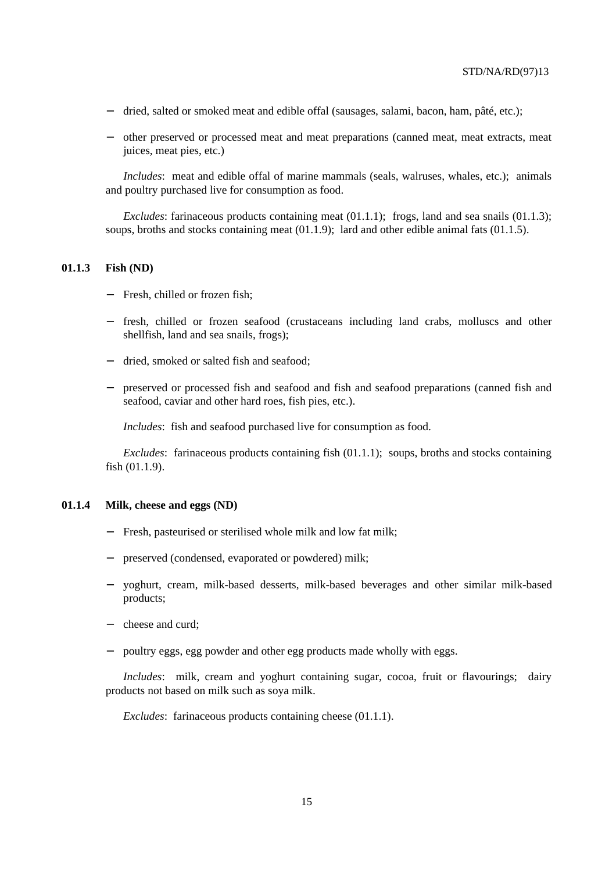- − dried, salted or smoked meat and edible offal (sausages, salami, bacon, ham, pâté, etc.);
- − other preserved or processed meat and meat preparations (canned meat, meat extracts, meat juices, meat pies, etc.)

*Includes*: meat and edible offal of marine mammals (seals, walruses, whales, etc.); animals and poultry purchased live for consumption as food.

*Excludes*: farinaceous products containing meat (01.1.1); frogs, land and sea snails (01.1.3); soups, broths and stocks containing meat (01.1.9); lard and other edible animal fats (01.1.5).

# **01.1.3 Fish (ND)**

- − Fresh, chilled or frozen fish;
- − fresh, chilled or frozen seafood (crustaceans including land crabs, molluscs and other shellfish, land and sea snails, frogs);
- − dried, smoked or salted fish and seafood;
- − preserved or processed fish and seafood and fish and seafood preparations (canned fish and seafood, caviar and other hard roes, fish pies, etc.).

*Includes*: fish and seafood purchased live for consumption as food.

*Excludes*: farinaceous products containing fish (01.1.1); soups, broths and stocks containing fish (01.1.9).

### **01.1.4 Milk, cheese and eggs (ND)**

- Fresh, pasteurised or sterilised whole milk and low fat milk;
- preserved (condensed, evaporated or powdered) milk;
- − yoghurt, cream, milk-based desserts, milk-based beverages and other similar milk-based products;
- − cheese and curd;
- poultry eggs, egg powder and other egg products made wholly with eggs.

*Includes*: milk, cream and yoghurt containing sugar, cocoa, fruit or flavourings; dairy products not based on milk such as soya milk.

*Excludes*: farinaceous products containing cheese (01.1.1).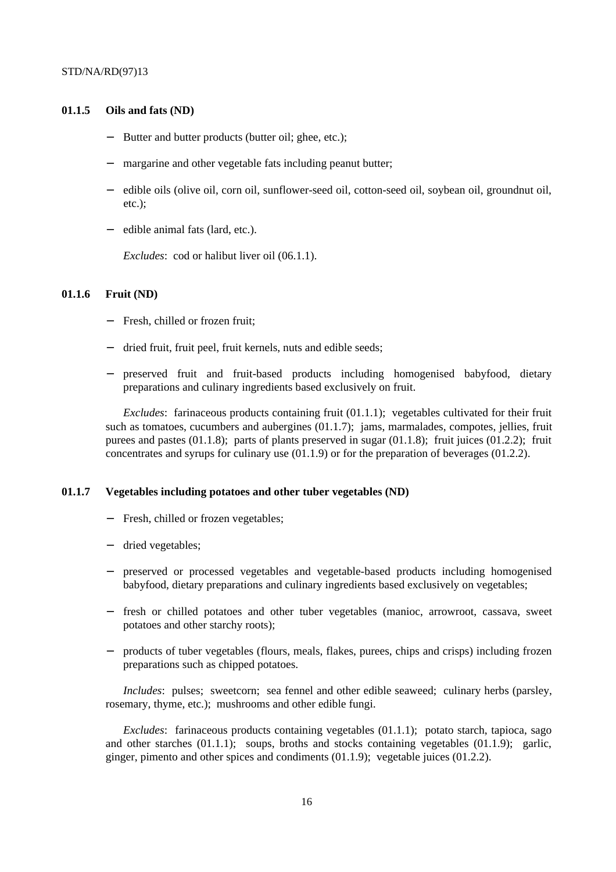#### **01.1.5 Oils and fats (ND)**

- Butter and butter products (butter oil; ghee, etc.);
- margarine and other vegetable fats including peanut butter;
- − edible oils (olive oil, corn oil, sunflower-seed oil, cotton-seed oil, soybean oil, groundnut oil, etc.);
- − edible animal fats (lard, etc.).

*Excludes*: cod or halibut liver oil (06.1.1).

# **01.1.6 Fruit (ND)**

- Fresh, chilled or frozen fruit;
- dried fruit, fruit peel, fruit kernels, nuts and edible seeds;
- − preserved fruit and fruit-based products including homogenised babyfood, dietary preparations and culinary ingredients based exclusively on fruit.

*Excludes*: farinaceous products containing fruit (01.1.1); vegetables cultivated for their fruit such as tomatoes, cucumbers and aubergines (01.1.7); jams, marmalades, compotes, jellies, fruit purees and pastes (01.1.8); parts of plants preserved in sugar (01.1.8); fruit juices (01.2.2); fruit concentrates and syrups for culinary use (01.1.9) or for the preparation of beverages (01.2.2).

#### **01.1.7 Vegetables including potatoes and other tuber vegetables (ND)**

- − Fresh, chilled or frozen vegetables;
- dried vegetables;
- − preserved or processed vegetables and vegetable-based products including homogenised babyfood, dietary preparations and culinary ingredients based exclusively on vegetables;
- − fresh or chilled potatoes and other tuber vegetables (manioc, arrowroot, cassava, sweet potatoes and other starchy roots);
- − products of tuber vegetables (flours, meals, flakes, purees, chips and crisps) including frozen preparations such as chipped potatoes.

*Includes*: pulses; sweetcorn; sea fennel and other edible seaweed; culinary herbs (parsley, rosemary, thyme, etc.); mushrooms and other edible fungi.

*Excludes*: farinaceous products containing vegetables (01.1.1); potato starch, tapioca, sago and other starches  $(01.1.1)$ ; soups, broths and stocks containing vegetables  $(01.1.9)$ ; garlic, ginger, pimento and other spices and condiments (01.1.9); vegetable juices (01.2.2).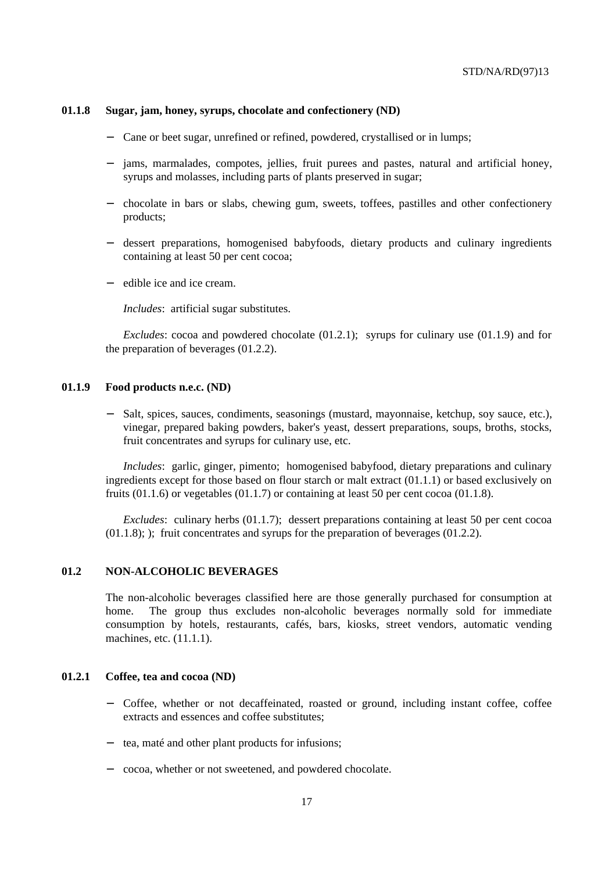#### **01.1.8 Sugar, jam, honey, syrups, chocolate and confectionery (ND)**

- Cane or beet sugar, unrefined or refined, powdered, crystallised or in lumps;
- − jams, marmalades, compotes, jellies, fruit purees and pastes, natural and artificial honey, syrups and molasses, including parts of plants preserved in sugar;
- − chocolate in bars or slabs, chewing gum, sweets, toffees, pastilles and other confectionery products;
- − dessert preparations, homogenised babyfoods, dietary products and culinary ingredients containing at least 50 per cent cocoa;
- − edible ice and ice cream.

*Includes*: artificial sugar substitutes.

*Excludes*: cocoa and powdered chocolate (01.2.1); syrups for culinary use (01.1.9) and for the preparation of beverages (01.2.2).

#### **01.1.9 Food products n.e.c. (ND)**

Salt, spices, sauces, condiments, seasonings (mustard, mayonnaise, ketchup, soy sauce, etc.), vinegar, prepared baking powders, baker's yeast, dessert preparations, soups, broths, stocks, fruit concentrates and syrups for culinary use, etc.

*Includes*: garlic, ginger, pimento; homogenised babyfood, dietary preparations and culinary ingredients except for those based on flour starch or malt extract (01.1.1) or based exclusively on fruits  $(01.1.6)$  or vegetables  $(01.1.7)$  or containing at least 50 per cent cocoa  $(01.1.8)$ .

*Excludes*: culinary herbs (01.1.7); dessert preparations containing at least 50 per cent cocoa (01.1.8); ); fruit concentrates and syrups for the preparation of beverages (01.2.2).

# **01.2 NON-ALCOHOLIC BEVERAGES**

The non-alcoholic beverages classified here are those generally purchased for consumption at home. The group thus excludes non-alcoholic beverages normally sold for immediate consumption by hotels, restaurants, cafés, bars, kiosks, street vendors, automatic vending machines, etc. (11.1.1).

#### **01.2.1 Coffee, tea and cocoa (ND)**

- − Coffee, whether or not decaffeinated, roasted or ground, including instant coffee, coffee extracts and essences and coffee substitutes;
- − tea, maté and other plant products for infusions;
- − cocoa, whether or not sweetened, and powdered chocolate.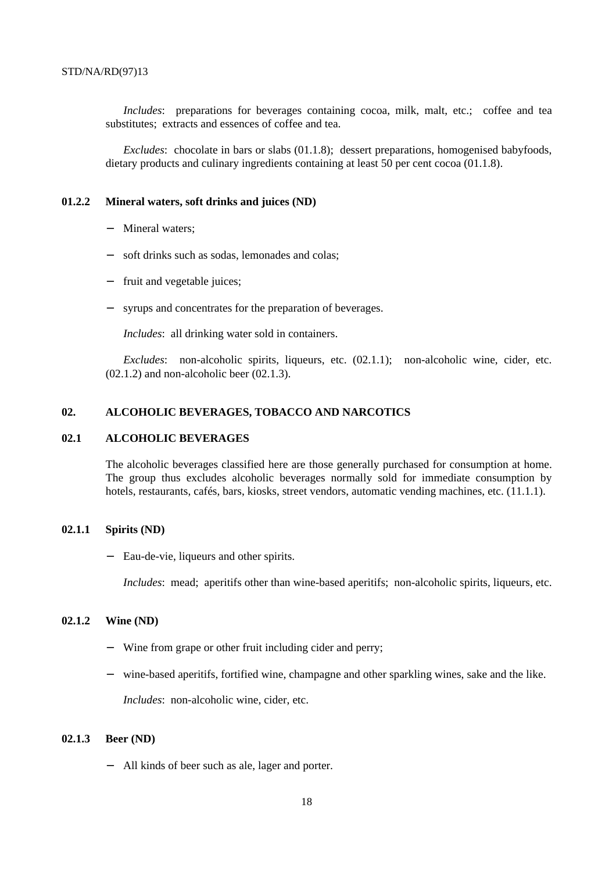*Includes*: preparations for beverages containing cocoa, milk, malt, etc.; coffee and tea substitutes; extracts and essences of coffee and tea.

*Excludes*: chocolate in bars or slabs (01.1.8); dessert preparations, homogenised babyfoods, dietary products and culinary ingredients containing at least 50 per cent cocoa (01.1.8).

#### **01.2.2 Mineral waters, soft drinks and juices (ND)**

- Mineral waters:
- − soft drinks such as sodas, lemonades and colas;
- − fruit and vegetable juices;
- syrups and concentrates for the preparation of beverages.

*Includes*: all drinking water sold in containers.

*Excludes*: non-alcoholic spirits, liqueurs, etc. (02.1.1); non-alcoholic wine, cider, etc.  $(02.1.2)$  and non-alcoholic beer  $(02.1.3)$ .

# **02. ALCOHOLIC BEVERAGES, TOBACCO AND NARCOTICS**

# **02.1 ALCOHOLIC BEVERAGES**

The alcoholic beverages classified here are those generally purchased for consumption at home. The group thus excludes alcoholic beverages normally sold for immediate consumption by hotels, restaurants, cafés, bars, kiosks, street vendors, automatic vending machines, etc. (11.1.1).

### **02.1.1 Spirits (ND)**

Eau-de-vie, liqueurs and other spirits.

*Includes*: mead; aperitifs other than wine-based aperitifs; non-alcoholic spirits, liqueurs, etc.

# **02.1.2 Wine (ND)**

- − Wine from grape or other fruit including cider and perry;
- − wine-based aperitifs, fortified wine, champagne and other sparkling wines, sake and the like.

*Includes*: non-alcoholic wine, cider, etc.

#### **02.1.3 Beer (ND)**

− All kinds of beer such as ale, lager and porter.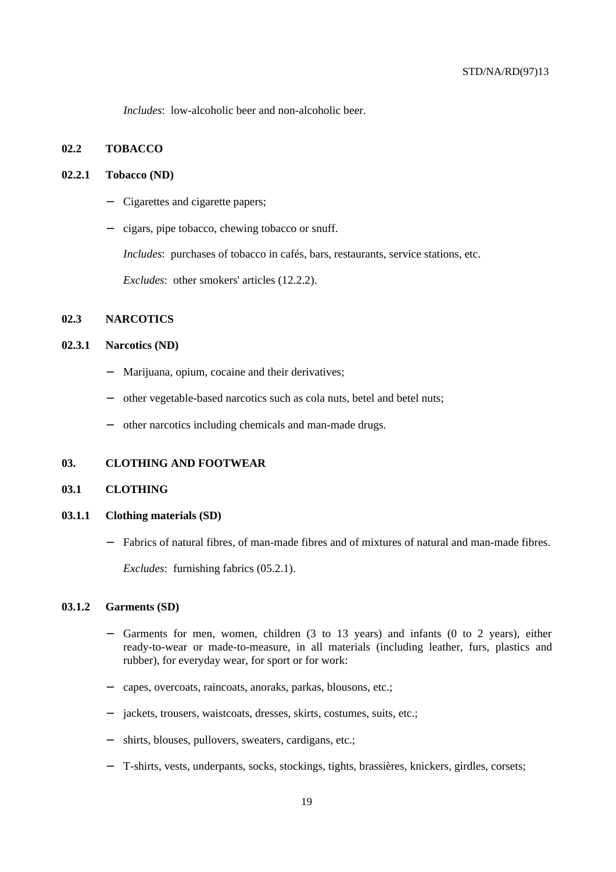*Includes*: low-alcoholic beer and non-alcoholic beer.

## **02.2 TOBACCO**

#### **02.2.1 Tobacco (ND)**

- − Cigarettes and cigarette papers;
- − cigars, pipe tobacco, chewing tobacco or snuff.

*Includes*: purchases of tobacco in cafés, bars, restaurants, service stations, etc.

*Excludes*: other smokers' articles (12.2.2).

# **02.3 NARCOTICS**

## **02.3.1 Narcotics (ND)**

- Marijuana, opium, cocaine and their derivatives;
- − other vegetable-based narcotics such as cola nuts, betel and betel nuts;
- − other narcotics including chemicals and man-made drugs.

## **03. CLOTHING AND FOOTWEAR**

#### **03.1 CLOTHING**

#### **03.1.1 Clothing materials (SD)**

− Fabrics of natural fibres, of man-made fibres and of mixtures of natural and man-made fibres.

*Excludes*: furnishing fabrics (05.2.1).

#### **03.1.2 Garments (SD)**

- − Garments for men, women, children (3 to 13 years) and infants (0 to 2 years), either ready-to-wear or made-to-measure, in all materials (including leather, furs, plastics and rubber), for everyday wear, for sport or for work:
- − capes, overcoats, raincoats, anoraks, parkas, blousons, etc.;
- jackets, trousers, waistcoats, dresses, skirts, costumes, suits, etc.;
- shirts, blouses, pullovers, sweaters, cardigans, etc.;
- − T-shirts, vests, underpants, socks, stockings, tights, brassières, knickers, girdles, corsets;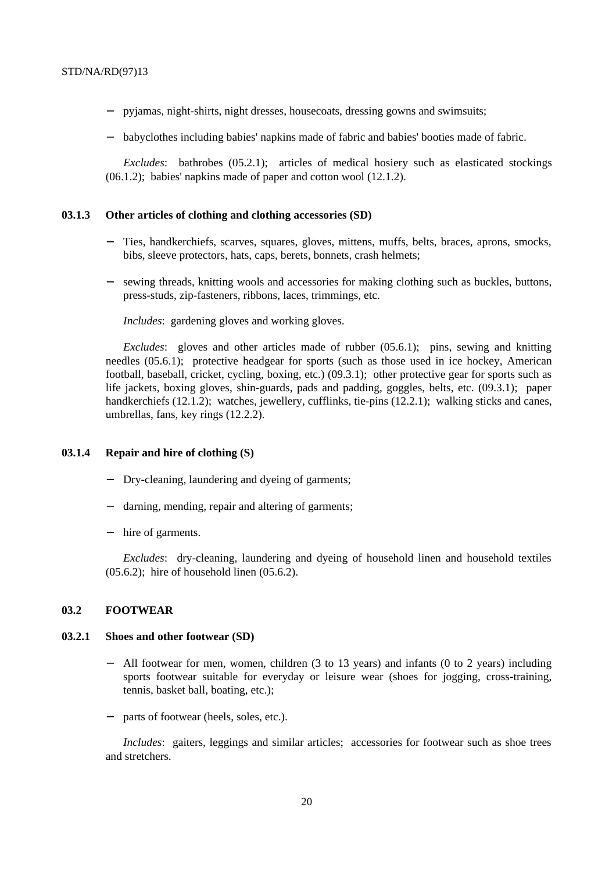- − pyjamas, night-shirts, night dresses, housecoats, dressing gowns and swimsuits;
- − babyclothes including babies' napkins made of fabric and babies' booties made of fabric.

*Excludes*: bathrobes (05.2.1); articles of medical hosiery such as elasticated stockings (06.1.2); babies' napkins made of paper and cotton wool (12.1.2).

#### **03.1.3 Other articles of clothing and clothing accessories (SD)**

- Ties, handkerchiefs, scarves, squares, gloves, mittens, muffs, belts, braces, aprons, smocks, bibs, sleeve protectors, hats, caps, berets, bonnets, crash helmets;
- − sewing threads, knitting wools and accessories for making clothing such as buckles, buttons, press-studs, zip-fasteners, ribbons, laces, trimmings, etc.

*Includes*: gardening gloves and working gloves.

*Excludes*: gloves and other articles made of rubber (05.6.1); pins, sewing and knitting needles (05.6.1); protective headgear for sports (such as those used in ice hockey, American football, baseball, cricket, cycling, boxing, etc.) (09.3.1); other protective gear for sports such as life jackets, boxing gloves, shin-guards, pads and padding, goggles, belts, etc. (09.3.1); paper handkerchiefs (12.1.2); watches, jewellery, cufflinks, tie-pins (12.2.1); walking sticks and canes, umbrellas, fans, key rings (12.2.2).

#### **03.1.4 Repair and hire of clothing (S)**

- − Dry-cleaning, laundering and dyeing of garments;
- − darning, mending, repair and altering of garments;
- − hire of garments.

*Excludes*: dry-cleaning, laundering and dyeing of household linen and household textiles (05.6.2); hire of household linen (05.6.2).

### **03.2 FOOTWEAR**

#### **03.2.1 Shoes and other footwear (SD)**

- All footwear for men, women, children (3 to 13 years) and infants (0 to 2 years) including sports footwear suitable for everyday or leisure wear (shoes for jogging, cross-training, tennis, basket ball, boating, etc.);
- parts of footwear (heels, soles, etc.).

*Includes*: gaiters, leggings and similar articles; accessories for footwear such as shoe trees and stretchers.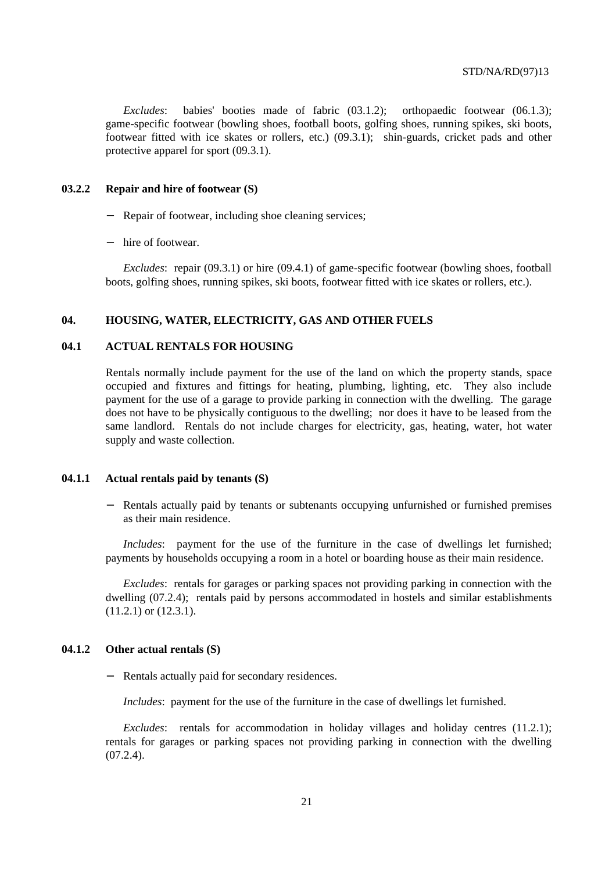*Excludes*: babies' booties made of fabric (03.1.2); orthopaedic footwear (06.1.3); game-specific footwear (bowling shoes, football boots, golfing shoes, running spikes, ski boots, footwear fitted with ice skates or rollers, etc.) (09.3.1); shin-guards, cricket pads and other protective apparel for sport (09.3.1).

#### **03.2.2 Repair and hire of footwear (S)**

- Repair of footwear, including shoe cleaning services;
- − hire of footwear.

*Excludes*: repair (09.3.1) or hire (09.4.1) of game-specific footwear (bowling shoes, football boots, golfing shoes, running spikes, ski boots, footwear fitted with ice skates or rollers, etc.).

#### **04. HOUSING, WATER, ELECTRICITY, GAS AND OTHER FUELS**

## **04.1 ACTUAL RENTALS FOR HOUSING**

Rentals normally include payment for the use of the land on which the property stands, space occupied and fixtures and fittings for heating, plumbing, lighting, etc. They also include payment for the use of a garage to provide parking in connection with the dwelling. The garage does not have to be physically contiguous to the dwelling; nor does it have to be leased from the same landlord. Rentals do not include charges for electricity, gas, heating, water, hot water supply and waste collection.

#### **04.1.1 Actual rentals paid by tenants (S)**

Rentals actually paid by tenants or subtenants occupying unfurnished or furnished premises as their main residence.

*Includes*: payment for the use of the furniture in the case of dwellings let furnished; payments by households occupying a room in a hotel or boarding house as their main residence.

*Excludes*: rentals for garages or parking spaces not providing parking in connection with the dwelling (07.2.4); rentals paid by persons accommodated in hostels and similar establishments (11.2.1) or (12.3.1).

#### **04.1.2 Other actual rentals (S)**

− Rentals actually paid for secondary residences.

*Includes*: payment for the use of the furniture in the case of dwellings let furnished.

*Excludes*: rentals for accommodation in holiday villages and holiday centres (11.2.1); rentals for garages or parking spaces not providing parking in connection with the dwelling  $(07.2.4)$ .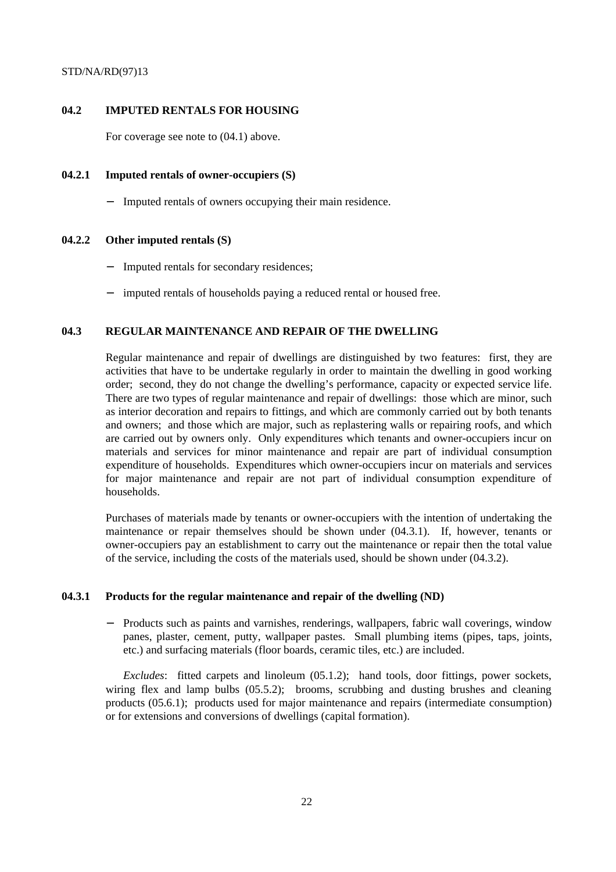# **04.2 IMPUTED RENTALS FOR HOUSING**

For coverage see note to (04.1) above.

## **04.2.1 Imputed rentals of owner-occupiers (S)**

− Imputed rentals of owners occupying their main residence.

### **04.2.2 Other imputed rentals (S)**

- Imputed rentals for secondary residences;
- − imputed rentals of households paying a reduced rental or housed free.

### **04.3 REGULAR MAINTENANCE AND REPAIR OF THE DWELLING**

Regular maintenance and repair of dwellings are distinguished by two features: first, they are activities that have to be undertake regularly in order to maintain the dwelling in good working order; second, they do not change the dwelling's performance, capacity or expected service life. There are two types of regular maintenance and repair of dwellings: those which are minor, such as interior decoration and repairs to fittings, and which are commonly carried out by both tenants and owners; and those which are major, such as replastering walls or repairing roofs, and which are carried out by owners only. Only expenditures which tenants and owner-occupiers incur on materials and services for minor maintenance and repair are part of individual consumption expenditure of households. Expenditures which owner-occupiers incur on materials and services for major maintenance and repair are not part of individual consumption expenditure of households.

Purchases of materials made by tenants or owner-occupiers with the intention of undertaking the maintenance or repair themselves should be shown under (04.3.1). If, however, tenants or owner-occupiers pay an establishment to carry out the maintenance or repair then the total value of the service, including the costs of the materials used, should be shown under (04.3.2).

# **04.3.1 Products for the regular maintenance and repair of the dwelling (ND)**

Products such as paints and varnishes, renderings, wallpapers, fabric wall coverings, window panes, plaster, cement, putty, wallpaper pastes. Small plumbing items (pipes, taps, joints, etc.) and surfacing materials (floor boards, ceramic tiles, etc.) are included.

*Excludes*: fitted carpets and linoleum (05.1.2); hand tools, door fittings, power sockets, wiring flex and lamp bulbs (05.5.2); brooms, scrubbing and dusting brushes and cleaning products (05.6.1); products used for major maintenance and repairs (intermediate consumption) or for extensions and conversions of dwellings (capital formation).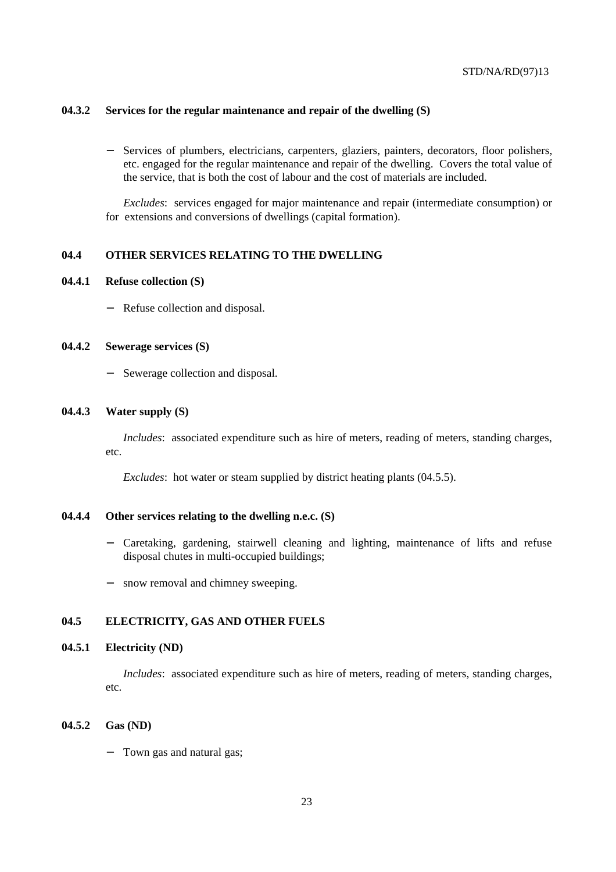### **04.3.2 Services for the regular maintenance and repair of the dwelling (S)**

Services of plumbers, electricians, carpenters, glaziers, painters, decorators, floor polishers, etc. engaged for the regular maintenance and repair of the dwelling. Covers the total value of the service, that is both the cost of labour and the cost of materials are included.

*Excludes*: services engaged for major maintenance and repair (intermediate consumption) or for extensions and conversions of dwellings (capital formation).

#### **04.4 OTHER SERVICES RELATING TO THE DWELLING**

#### **04.4.1 Refuse collection (S)**

− Refuse collection and disposal.

## **04.4.2 Sewerage services (S)**

− Sewerage collection and disposal.

#### **04.4.3 Water supply (S)**

*Includes*: associated expenditure such as hire of meters, reading of meters, standing charges, etc.

*Excludes*: hot water or steam supplied by district heating plants (04.5.5).

## **04.4.4 Other services relating to the dwelling n.e.c. (S)**

- − Caretaking, gardening, stairwell cleaning and lighting, maintenance of lifts and refuse disposal chutes in multi-occupied buildings;
- − snow removal and chimney sweeping.

# **04.5 ELECTRICITY, GAS AND OTHER FUELS**

#### **04.5.1 Electricity (ND)**

*Includes*: associated expenditure such as hire of meters, reading of meters, standing charges, etc.

## **04.5.2 Gas (ND)**

− Town gas and natural gas;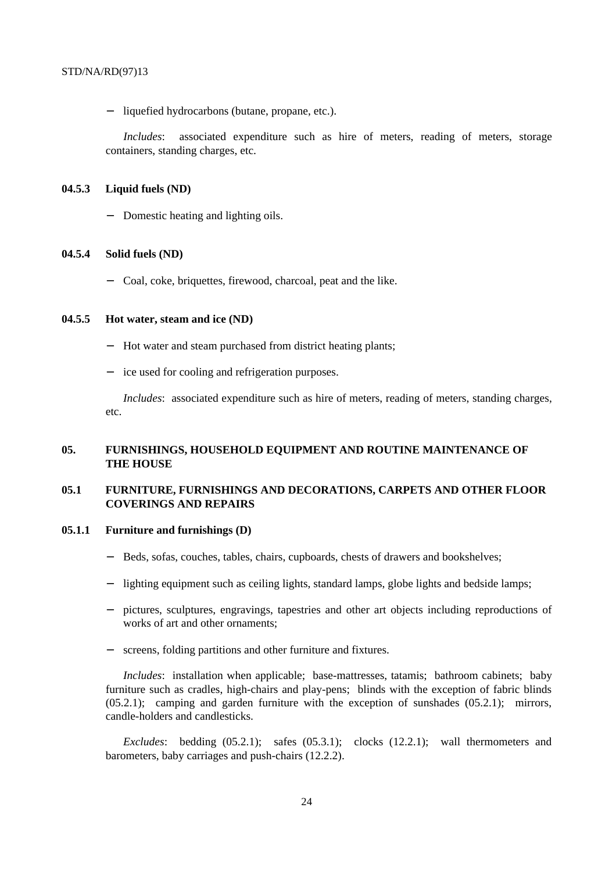− liquefied hydrocarbons (butane, propane, etc.).

*Includes*: associated expenditure such as hire of meters, reading of meters, storage containers, standing charges, etc.

### **04.5.3 Liquid fuels (ND)**

− Domestic heating and lighting oils.

#### **04.5.4 Solid fuels (ND)**

− Coal, coke, briquettes, firewood, charcoal, peat and the like.

#### **04.5.5 Hot water, steam and ice (ND)**

- − Hot water and steam purchased from district heating plants;
- − ice used for cooling and refrigeration purposes.

*Includes*: associated expenditure such as hire of meters, reading of meters, standing charges, etc.

# **05. FURNISHINGS, HOUSEHOLD EQUIPMENT AND ROUTINE MAINTENANCE OF THE HOUSE**

# **05.1 FURNITURE, FURNISHINGS AND DECORATIONS, CARPETS AND OTHER FLOOR COVERINGS AND REPAIRS**

# **05.1.1 Furniture and furnishings (D)**

- Beds, sofas, couches, tables, chairs, cupboards, chests of drawers and bookshelves;
- − lighting equipment such as ceiling lights, standard lamps, globe lights and bedside lamps;
- − pictures, sculptures, engravings, tapestries and other art objects including reproductions of works of art and other ornaments;
- − screens, folding partitions and other furniture and fixtures.

*Includes*: installation when applicable; base-mattresses, tatamis; bathroom cabinets; baby furniture such as cradles, high-chairs and play-pens; blinds with the exception of fabric blinds (05.2.1); camping and garden furniture with the exception of sunshades (05.2.1); mirrors, candle-holders and candlesticks.

*Excludes*: bedding (05.2.1); safes (05.3.1); clocks (12.2.1); wall thermometers and barometers, baby carriages and push-chairs (12.2.2).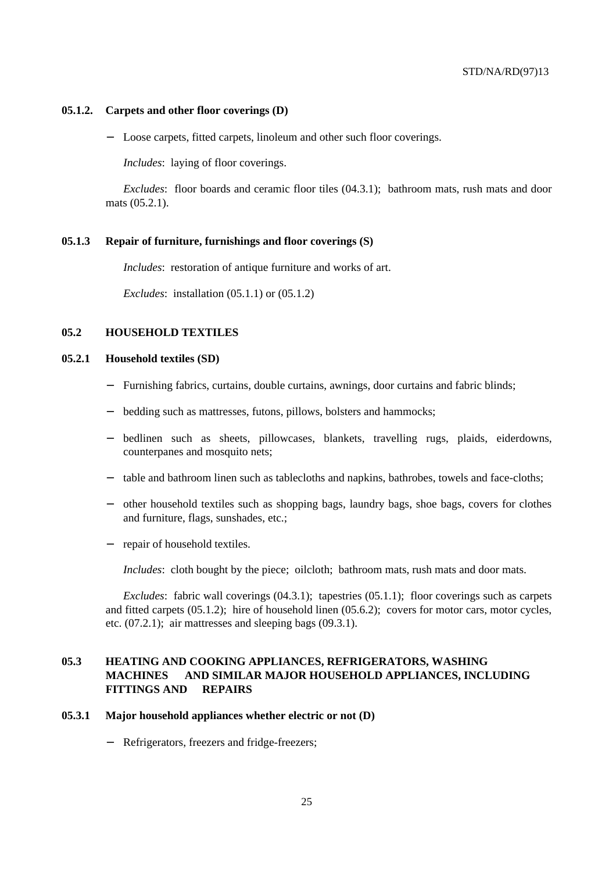#### **05.1.2. Carpets and other floor coverings (D)**

Loose carpets, fitted carpets, linoleum and other such floor coverings.

*Includes*: laying of floor coverings.

*Excludes*: floor boards and ceramic floor tiles (04.3.1); bathroom mats, rush mats and door mats (05.2.1).

#### **05.1.3 Repair of furniture, furnishings and floor coverings (S)**

*Includes*: restoration of antique furniture and works of art.

*Excludes*: installation (05.1.1) or (05.1.2)

## **05.2 HOUSEHOLD TEXTILES**

# **05.2.1 Household textiles (SD)**

- Furnishing fabrics, curtains, double curtains, awnings, door curtains and fabric blinds;
- bedding such as mattresses, futons, pillows, bolsters and hammocks;
- bedlinen such as sheets, pillowcases, blankets, travelling rugs, plaids, eiderdowns, counterpanes and mosquito nets;
- − table and bathroom linen such as tablecloths and napkins, bathrobes, towels and face-cloths;
- − other household textiles such as shopping bags, laundry bags, shoe bags, covers for clothes and furniture, flags, sunshades, etc.;
- repair of household textiles.

*Includes*: cloth bought by the piece; oilcloth; bathroom mats, rush mats and door mats.

*Excludes*: fabric wall coverings (04.3.1); tapestries (05.1.1); floor coverings such as carpets and fitted carpets (05.1.2); hire of household linen (05.6.2); covers for motor cars, motor cycles, etc. (07.2.1); air mattresses and sleeping bags (09.3.1).

# **05.3 HEATING AND COOKING APPLIANCES, REFRIGERATORS, WASHING MACHINES AND SIMILAR MAJOR HOUSEHOLD APPLIANCES, INCLUDING FITTINGS AND REPAIRS**

#### **05.3.1 Major household appliances whether electric or not (D)**

Refrigerators, freezers and fridge-freezers;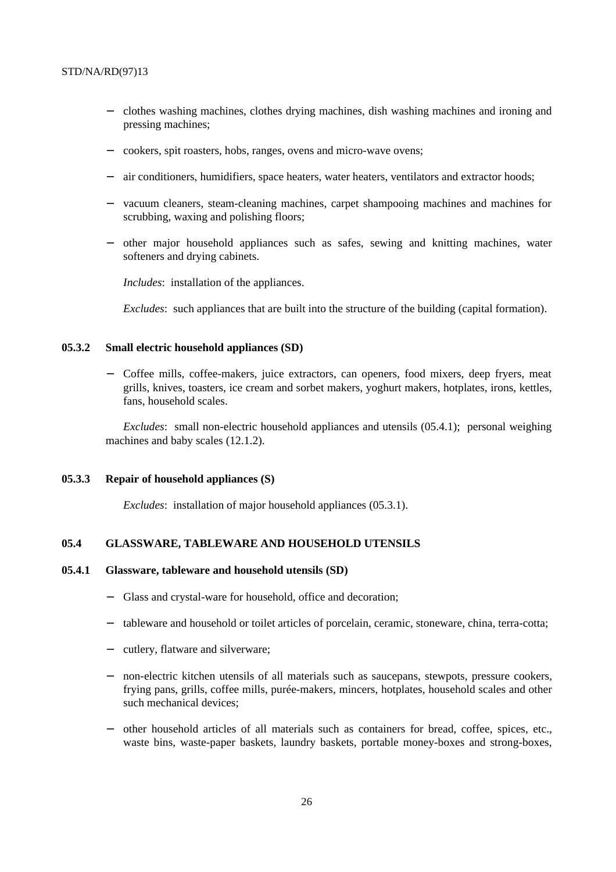- − clothes washing machines, clothes drying machines, dish washing machines and ironing and pressing machines;
- − cookers, spit roasters, hobs, ranges, ovens and micro-wave ovens;
- air conditioners, humidifiers, space heaters, water heaters, ventilators and extractor hoods;
- vacuum cleaners, steam-cleaning machines, carpet shampooing machines and machines for scrubbing, waxing and polishing floors;
- − other major household appliances such as safes, sewing and knitting machines, water softeners and drying cabinets.

*Includes*: installation of the appliances.

*Excludes*: such appliances that are built into the structure of the building (capital formation).

## **05.3.2 Small electric household appliances (SD)**

− Coffee mills, coffee-makers, juice extractors, can openers, food mixers, deep fryers, meat grills, knives, toasters, ice cream and sorbet makers, yoghurt makers, hotplates, irons, kettles, fans, household scales.

*Excludes*: small non-electric household appliances and utensils (05.4.1); personal weighing machines and baby scales (12.1.2).

#### **05.3.3 Repair of household appliances (S)**

*Excludes*: installation of major household appliances (05.3.1).

### **05.4 GLASSWARE, TABLEWARE AND HOUSEHOLD UTENSILS**

#### **05.4.1 Glassware, tableware and household utensils (SD)**

- Glass and crystal-ware for household, office and decoration;
- tableware and household or toilet articles of porcelain, ceramic, stoneware, china, terra-cotta;
- − cutlery, flatware and silverware;
- − non-electric kitchen utensils of all materials such as saucepans, stewpots, pressure cookers, frying pans, grills, coffee mills, purée-makers, mincers, hotplates, household scales and other such mechanical devices;
- − other household articles of all materials such as containers for bread, coffee, spices, etc., waste bins, waste-paper baskets, laundry baskets, portable money-boxes and strong-boxes,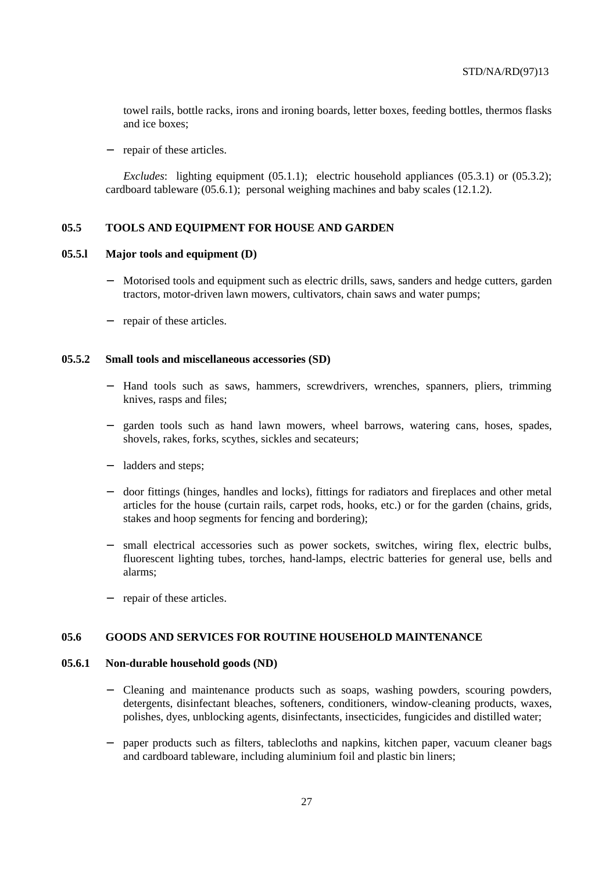towel rails, bottle racks, irons and ironing boards, letter boxes, feeding bottles, thermos flasks and ice boxes;

− repair of these articles.

*Excludes*: lighting equipment (05.1.1); electric household appliances (05.3.1) or (05.3.2); cardboard tableware (05.6.1); personal weighing machines and baby scales (12.1.2).

### **05.5 TOOLS AND EQUIPMENT FOR HOUSE AND GARDEN**

### **05.5.l Major tools and equipment (D)**

- Motorised tools and equipment such as electric drills, saws, sanders and hedge cutters, garden tractors, motor-driven lawn mowers, cultivators, chain saws and water pumps;
- repair of these articles.

#### **05.5.2 Small tools and miscellaneous accessories (SD)**

- Hand tools such as saws, hammers, screwdrivers, wrenches, spanners, pliers, trimming knives, rasps and files;
- − garden tools such as hand lawn mowers, wheel barrows, watering cans, hoses, spades, shovels, rakes, forks, scythes, sickles and secateurs;
- − ladders and steps;
- − door fittings (hinges, handles and locks), fittings for radiators and fireplaces and other metal articles for the house (curtain rails, carpet rods, hooks, etc.) or for the garden (chains, grids, stakes and hoop segments for fencing and bordering);
- small electrical accessories such as power sockets, switches, wiring flex, electric bulbs, fluorescent lighting tubes, torches, hand-lamps, electric batteries for general use, bells and alarms;
- repair of these articles.

#### **05.6 GOODS AND SERVICES FOR ROUTINE HOUSEHOLD MAINTENANCE**

#### **05.6.1 Non-durable household goods (ND)**

- − Cleaning and maintenance products such as soaps, washing powders, scouring powders, detergents, disinfectant bleaches, softeners, conditioners, window-cleaning products, waxes, polishes, dyes, unblocking agents, disinfectants, insecticides, fungicides and distilled water;
- − paper products such as filters, tablecloths and napkins, kitchen paper, vacuum cleaner bags and cardboard tableware, including aluminium foil and plastic bin liners;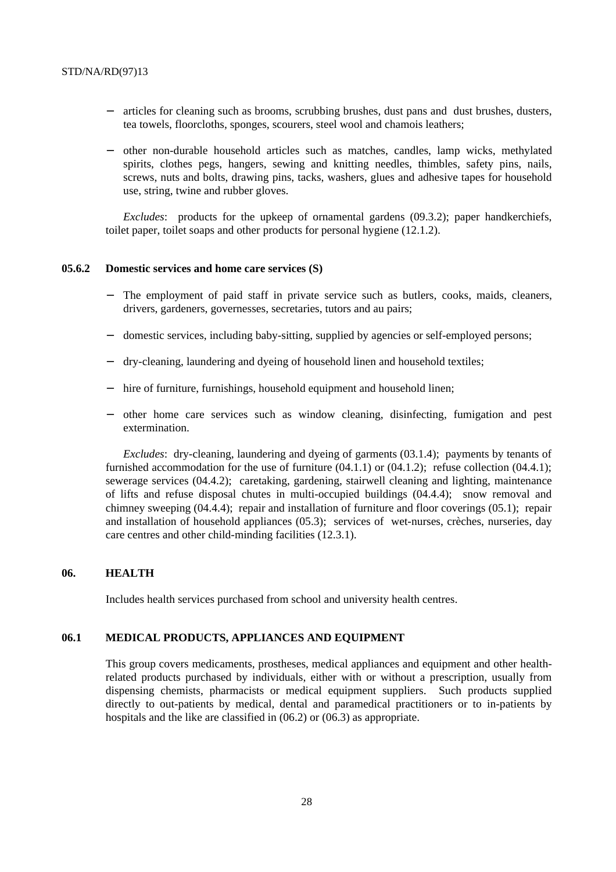- articles for cleaning such as brooms, scrubbing brushes, dust pans and dust brushes, dusters, tea towels, floorcloths, sponges, scourers, steel wool and chamois leathers;
- − other non-durable household articles such as matches, candles, lamp wicks, methylated spirits, clothes pegs, hangers, sewing and knitting needles, thimbles, safety pins, nails, screws, nuts and bolts, drawing pins, tacks, washers, glues and adhesive tapes for household use, string, twine and rubber gloves.

*Excludes*: products for the upkeep of ornamental gardens (09.3.2); paper handkerchiefs, toilet paper, toilet soaps and other products for personal hygiene (12.1.2).

# **05.6.2 Domestic services and home care services (S)**

- The employment of paid staff in private service such as butlers, cooks, maids, cleaners, drivers, gardeners, governesses, secretaries, tutors and au pairs;
- domestic services, including baby-sitting, supplied by agencies or self-employed persons;
- − dry-cleaning, laundering and dyeing of household linen and household textiles;
- hire of furniture, furnishings, household equipment and household linen;
- − other home care services such as window cleaning, disinfecting, fumigation and pest extermination.

*Excludes*: dry-cleaning, laundering and dyeing of garments (03.1.4); payments by tenants of furnished accommodation for the use of furniture  $(04.1.1)$  or  $(04.1.2)$ ; refuse collection  $(04.4.1)$ ; sewerage services (04.4.2); caretaking, gardening, stairwell cleaning and lighting, maintenance of lifts and refuse disposal chutes in multi-occupied buildings (04.4.4); snow removal and chimney sweeping (04.4.4); repair and installation of furniture and floor coverings (05.1); repair and installation of household appliances (05.3); services of wet-nurses, crèches, nurseries, day care centres and other child-minding facilities (12.3.1).

# **06. HEALTH**

Includes health services purchased from school and university health centres.

# **06.1 MEDICAL PRODUCTS, APPLIANCES AND EQUIPMENT**

This group covers medicaments, prostheses, medical appliances and equipment and other healthrelated products purchased by individuals, either with or without a prescription, usually from dispensing chemists, pharmacists or medical equipment suppliers. Such products supplied directly to out-patients by medical, dental and paramedical practitioners or to in-patients by hospitals and the like are classified in (06.2) or (06.3) as appropriate.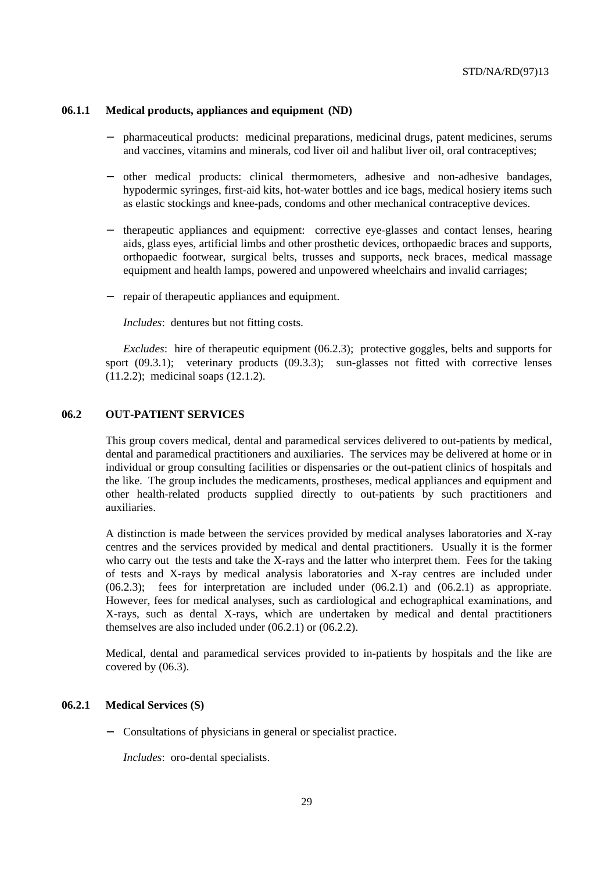#### **06.1.1 Medical products, appliances and equipment (ND)**

- − pharmaceutical products: medicinal preparations, medicinal drugs, patent medicines, serums and vaccines, vitamins and minerals, cod liver oil and halibut liver oil, oral contraceptives;
- − other medical products: clinical thermometers, adhesive and non-adhesive bandages, hypodermic syringes, first-aid kits, hot-water bottles and ice bags, medical hosiery items such as elastic stockings and knee-pads, condoms and other mechanical contraceptive devices.
- − therapeutic appliances and equipment: corrective eye-glasses and contact lenses, hearing aids, glass eyes, artificial limbs and other prosthetic devices, orthopaedic braces and supports, orthopaedic footwear, surgical belts, trusses and supports, neck braces, medical massage equipment and health lamps, powered and unpowered wheelchairs and invalid carriages;
- − repair of therapeutic appliances and equipment.

*Includes*: dentures but not fitting costs.

*Excludes*: hire of therapeutic equipment (06.2.3); protective goggles, belts and supports for sport (09.3.1); veterinary products (09.3.3); sun-glasses not fitted with corrective lenses (11.2.2); medicinal soaps (12.1.2).

### **06.2 OUT-PATIENT SERVICES**

This group covers medical, dental and paramedical services delivered to out-patients by medical, dental and paramedical practitioners and auxiliaries. The services may be delivered at home or in individual or group consulting facilities or dispensaries or the out-patient clinics of hospitals and the like. The group includes the medicaments, prostheses, medical appliances and equipment and other health-related products supplied directly to out-patients by such practitioners and auxiliaries.

A distinction is made between the services provided by medical analyses laboratories and X-ray centres and the services provided by medical and dental practitioners. Usually it is the former who carry out the tests and take the X-rays and the latter who interpret them. Fees for the taking of tests and X-rays by medical analysis laboratories and X-ray centres are included under (06.2.3); fees for interpretation are included under (06.2.1) and (06.2.1) as appropriate. However, fees for medical analyses, such as cardiological and echographical examinations, and X-rays, such as dental X-rays, which are undertaken by medical and dental practitioners themselves are also included under (06.2.1) or (06.2.2).

Medical, dental and paramedical services provided to in-patients by hospitals and the like are covered by (06.3).

#### **06.2.1 Medical Services (S)**

− Consultations of physicians in general or specialist practice.

*Includes*: oro-dental specialists.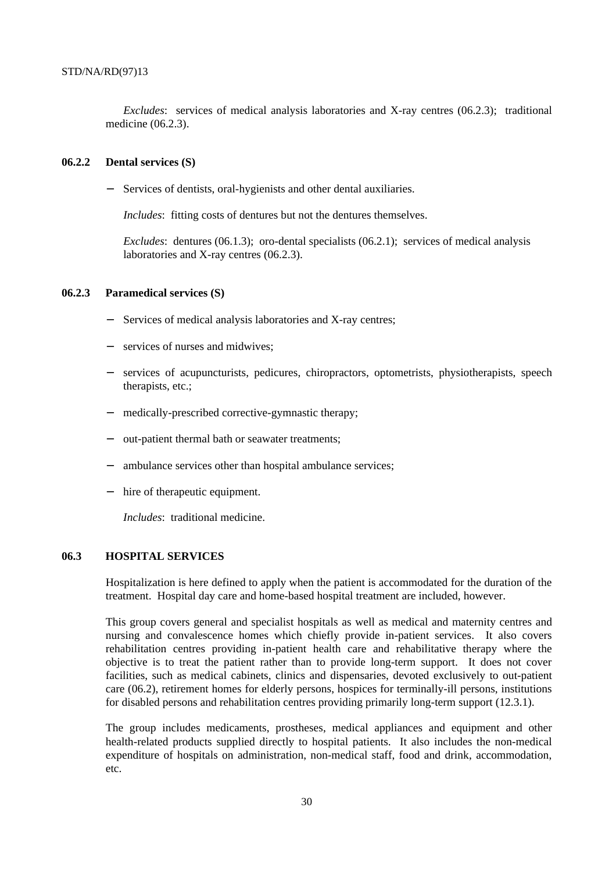*Excludes*: services of medical analysis laboratories and X-ray centres (06.2.3); traditional medicine (06.2.3).

#### **06.2.2 Dental services (S)**

− Services of dentists, oral-hygienists and other dental auxiliaries.

*Includes*: fitting costs of dentures but not the dentures themselves.

*Excludes*: dentures (06.1.3); oro-dental specialists (06.2.1); services of medical analysis laboratories and X-ray centres (06.2.3).

#### **06.2.3 Paramedical services (S)**

- Services of medical analysis laboratories and X-ray centres;
- services of nurses and midwives;
- − services of acupuncturists, pedicures, chiropractors, optometrists, physiotherapists, speech therapists, etc.;
- medically-prescribed corrective-gymnastic therapy;
- − out-patient thermal bath or seawater treatments;
- − ambulance services other than hospital ambulance services;
- − hire of therapeutic equipment.

*Includes*: traditional medicine.

## **06.3 HOSPITAL SERVICES**

Hospitalization is here defined to apply when the patient is accommodated for the duration of the treatment. Hospital day care and home-based hospital treatment are included, however.

This group covers general and specialist hospitals as well as medical and maternity centres and nursing and convalescence homes which chiefly provide in-patient services. It also covers rehabilitation centres providing in-patient health care and rehabilitative therapy where the objective is to treat the patient rather than to provide long-term support. It does not cover facilities, such as medical cabinets, clinics and dispensaries, devoted exclusively to out-patient care (06.2), retirement homes for elderly persons, hospices for terminally-ill persons, institutions for disabled persons and rehabilitation centres providing primarily long-term support (12.3.1).

The group includes medicaments, prostheses, medical appliances and equipment and other health-related products supplied directly to hospital patients. It also includes the non-medical expenditure of hospitals on administration, non-medical staff, food and drink, accommodation, etc.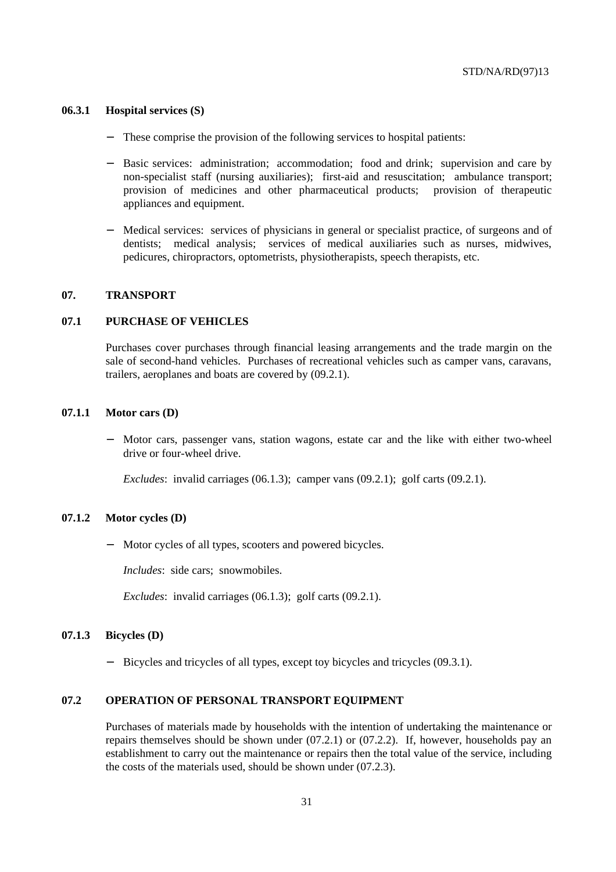#### **06.3.1 Hospital services (S)**

- These comprise the provision of the following services to hospital patients:
- Basic services: administration; accommodation; food and drink; supervision and care by non-specialist staff (nursing auxiliaries); first-aid and resuscitation; ambulance transport; provision of medicines and other pharmaceutical products; provision of therapeutic appliances and equipment.
- Medical services: services of physicians in general or specialist practice, of surgeons and of dentists; medical analysis; services of medical auxiliaries such as nurses, midwives, pedicures, chiropractors, optometrists, physiotherapists, speech therapists, etc.

#### **07. TRANSPORT**

### **07.1 PURCHASE OF VEHICLES**

Purchases cover purchases through financial leasing arrangements and the trade margin on the sale of second-hand vehicles. Purchases of recreational vehicles such as camper vans, caravans, trailers, aeroplanes and boats are covered by (09.2.1).

## **07.1.1 Motor cars (D)**

Motor cars, passenger vans, station wagons, estate car and the like with either two-wheel drive or four-wheel drive.

*Excludes*: invalid carriages (06.1.3); camper vans (09.2.1); golf carts (09.2.1).

### **07.1.2 Motor cycles (D)**

Motor cycles of all types, scooters and powered bicycles.

*Includes*: side cars; snowmobiles.

*Excludes*: invalid carriages (06.1.3); golf carts (09.2.1).

#### **07.1.3 Bicycles (D)**

− Bicycles and tricycles of all types, except toy bicycles and tricycles (09.3.1).

#### **07.2 OPERATION OF PERSONAL TRANSPORT EQUIPMENT**

Purchases of materials made by households with the intention of undertaking the maintenance or repairs themselves should be shown under (07.2.1) or (07.2.2). If, however, households pay an establishment to carry out the maintenance or repairs then the total value of the service, including the costs of the materials used, should be shown under (07.2.3).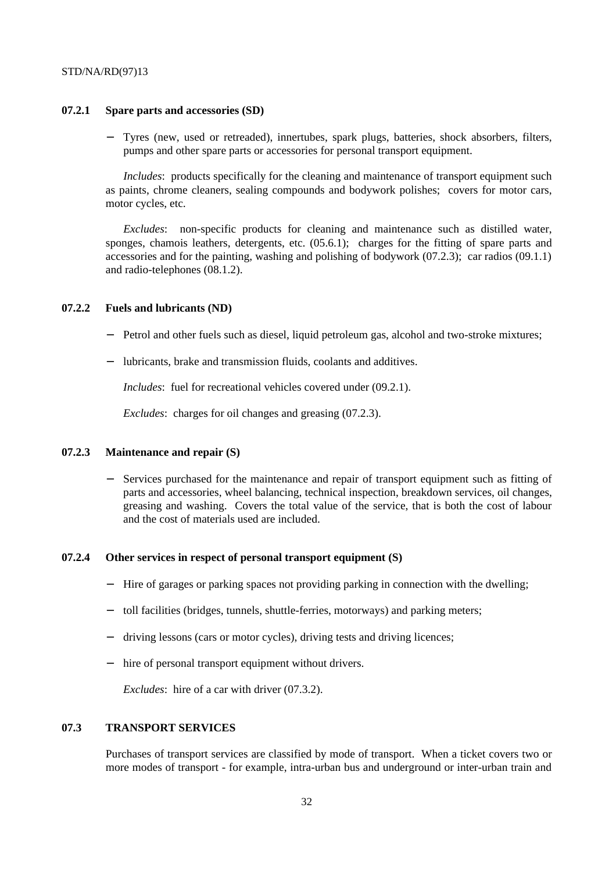#### **07.2.1 Spare parts and accessories (SD)**

Tyres (new, used or retreaded), innertubes, spark plugs, batteries, shock absorbers, filters, pumps and other spare parts or accessories for personal transport equipment.

*Includes*: products specifically for the cleaning and maintenance of transport equipment such as paints, chrome cleaners, sealing compounds and bodywork polishes; covers for motor cars, motor cycles, etc.

*Excludes*: non-specific products for cleaning and maintenance such as distilled water, sponges, chamois leathers, detergents, etc. (05.6.1); charges for the fitting of spare parts and accessories and for the painting, washing and polishing of bodywork (07.2.3); car radios (09.1.1) and radio-telephones (08.1.2).

#### **07.2.2 Fuels and lubricants (ND)**

- Petrol and other fuels such as diesel, liquid petroleum gas, alcohol and two-stroke mixtures;
- − lubricants, brake and transmission fluids, coolants and additives.

*Includes*: fuel for recreational vehicles covered under (09.2.1).

*Excludes*: charges for oil changes and greasing (07.2.3).

### **07.2.3 Maintenance and repair (S)**

Services purchased for the maintenance and repair of transport equipment such as fitting of parts and accessories, wheel balancing, technical inspection, breakdown services, oil changes, greasing and washing. Covers the total value of the service, that is both the cost of labour and the cost of materials used are included.

#### **07.2.4 Other services in respect of personal transport equipment (S)**

- − Hire of garages or parking spaces not providing parking in connection with the dwelling;
- toll facilities (bridges, tunnels, shuttle-ferries, motorways) and parking meters;
- driving lessons (cars or motor cycles), driving tests and driving licences;
- hire of personal transport equipment without drivers.

*Excludes*: hire of a car with driver (07.3.2).

### **07.3 TRANSPORT SERVICES**

Purchases of transport services are classified by mode of transport. When a ticket covers two or more modes of transport - for example, intra-urban bus and underground or inter-urban train and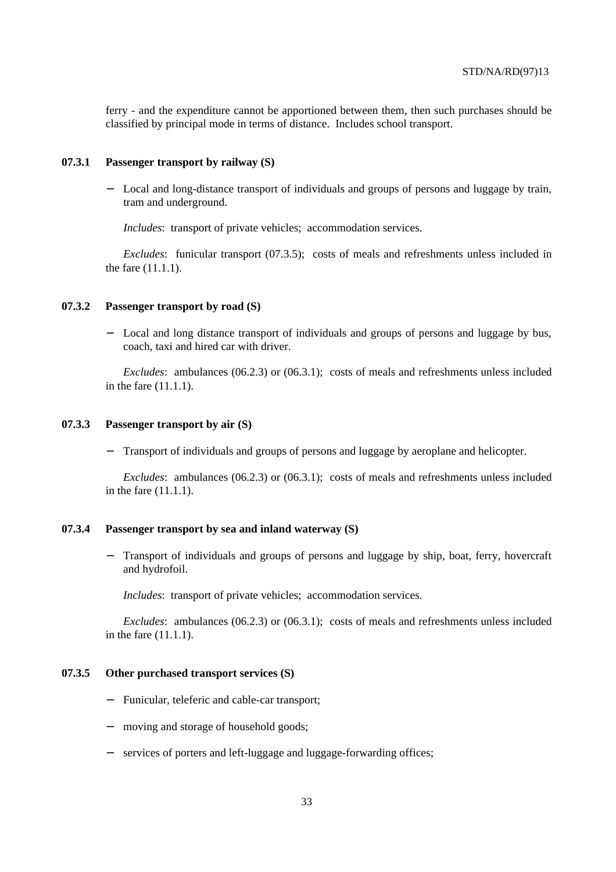ferry - and the expenditure cannot be apportioned between them, then such purchases should be classified by principal mode in terms of distance. Includes school transport.

#### **07.3.1 Passenger transport by railway (S)**

− Local and long-distance transport of individuals and groups of persons and luggage by train, tram and underground.

*Includes*: transport of private vehicles; accommodation services.

*Excludes*: funicular transport (07.3.5); costs of meals and refreshments unless included in the fare (11.1.1).

# **07.3.2 Passenger transport by road (S)**

Local and long distance transport of individuals and groups of persons and luggage by bus, coach, taxi and hired car with driver.

*Excludes*: ambulances (06.2.3) or (06.3.1); costs of meals and refreshments unless included in the fare (11.1.1).

## **07.3.3 Passenger transport by air (S)**

Transport of individuals and groups of persons and luggage by aeroplane and helicopter.

*Excludes*: ambulances (06.2.3) or (06.3.1); costs of meals and refreshments unless included in the fare (11.1.1).

#### **07.3.4 Passenger transport by sea and inland waterway (S)**

Transport of individuals and groups of persons and luggage by ship, boat, ferry, hovercraft and hydrofoil.

*Includes*: transport of private vehicles; accommodation services.

*Excludes*: ambulances (06.2.3) or (06.3.1); costs of meals and refreshments unless included in the fare (11.1.1).

## **07.3.5 Other purchased transport services (S)**

- − Funicular, teleferic and cable-car transport;
- moving and storage of household goods;
- − services of porters and left-luggage and luggage-forwarding offices;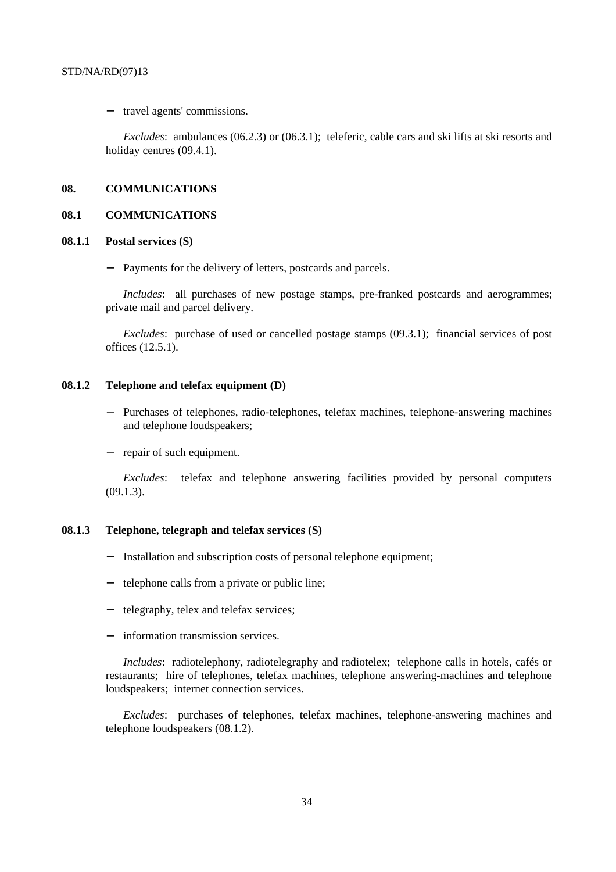− travel agents' commissions.

*Excludes*: ambulances (06.2.3) or (06.3.1); teleferic, cable cars and ski lifts at ski resorts and holiday centres  $(09.4.1)$ .

#### **08. COMMUNICATIONS**

#### **08.1 COMMUNICATIONS**

#### **08.1.1 Postal services (S)**

Payments for the delivery of letters, postcards and parcels.

*Includes*: all purchases of new postage stamps, pre-franked postcards and aerogrammes; private mail and parcel delivery.

*Excludes*: purchase of used or cancelled postage stamps (09.3.1); financial services of post offices (12.5.1).

# **08.1.2 Telephone and telefax equipment (D)**

- Purchases of telephones, radio-telephones, telefax machines, telephone-answering machines and telephone loudspeakers;
- − repair of such equipment.

*Excludes*: telefax and telephone answering facilities provided by personal computers (09.1.3).

# **08.1.3 Telephone, telegraph and telefax services (S)**

- Installation and subscription costs of personal telephone equipment;
- telephone calls from a private or public line;
- telegraphy, telex and telefax services;
- information transmission services.

*Includes*: radiotelephony, radiotelegraphy and radiotelex; telephone calls in hotels, cafés or restaurants; hire of telephones, telefax machines, telephone answering-machines and telephone loudspeakers; internet connection services.

*Excludes*: purchases of telephones, telefax machines, telephone-answering machines and telephone loudspeakers (08.1.2).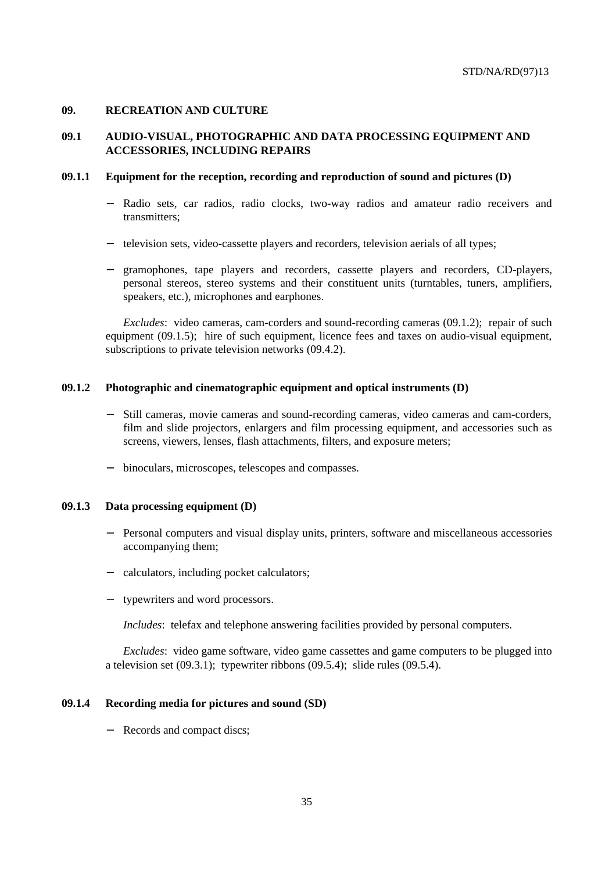# **09. RECREATION AND CULTURE**

# **09.1 AUDIO-VISUAL, PHOTOGRAPHIC AND DATA PROCESSING EQUIPMENT AND ACCESSORIES, INCLUDING REPAIRS**

### **09.1.1 Equipment for the reception, recording and reproduction of sound and pictures (D)**

- Radio sets, car radios, radio clocks, two-way radios and amateur radio receivers and transmitters;
- − television sets, video-cassette players and recorders, television aerials of all types;
- − gramophones, tape players and recorders, cassette players and recorders, CD-players, personal stereos, stereo systems and their constituent units (turntables, tuners, amplifiers, speakers, etc.), microphones and earphones.

*Excludes*: video cameras, cam-corders and sound-recording cameras (09.1.2); repair of such equipment (09.1.5); hire of such equipment, licence fees and taxes on audio-visual equipment, subscriptions to private television networks (09.4.2).

### **09.1.2 Photographic and cinematographic equipment and optical instruments (D)**

- − Still cameras, movie cameras and sound-recording cameras, video cameras and cam-corders, film and slide projectors, enlargers and film processing equipment, and accessories such as screens, viewers, lenses, flash attachments, filters, and exposure meters;
- − binoculars, microscopes, telescopes and compasses.

#### **09.1.3 Data processing equipment (D)**

- Personal computers and visual display units, printers, software and miscellaneous accessories accompanying them;
- − calculators, including pocket calculators;
- typewriters and word processors.

*Includes*: telefax and telephone answering facilities provided by personal computers.

*Excludes*: video game software, video game cassettes and game computers to be plugged into a television set (09.3.1); typewriter ribbons (09.5.4); slide rules (09.5.4).

#### **09.1.4 Recording media for pictures and sound (SD)**

− Records and compact discs;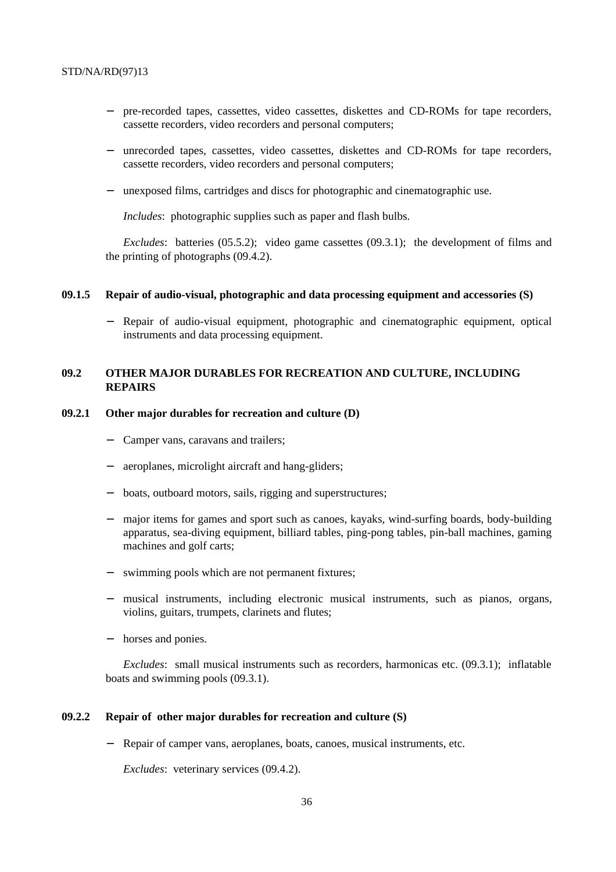- − pre-recorded tapes, cassettes, video cassettes, diskettes and CD-ROMs for tape recorders, cassette recorders, video recorders and personal computers;
- − unrecorded tapes, cassettes, video cassettes, diskettes and CD-ROMs for tape recorders, cassette recorders, video recorders and personal computers;
- − unexposed films, cartridges and discs for photographic and cinematographic use.

*Includes*: photographic supplies such as paper and flash bulbs.

*Excludes*: batteries (05.5.2); video game cassettes (09.3.1); the development of films and the printing of photographs (09.4.2).

#### **09.1.5 Repair of audio-visual, photographic and data processing equipment and accessories (S)**

− Repair of audio-visual equipment, photographic and cinematographic equipment, optical instruments and data processing equipment.

# **09.2 OTHER MAJOR DURABLES FOR RECREATION AND CULTURE, INCLUDING REPAIRS**

#### **09.2.1 Other major durables for recreation and culture (D)**

- Camper vans, caravans and trailers;
- aeroplanes, microlight aircraft and hang-gliders;
- − boats, outboard motors, sails, rigging and superstructures;
- major items for games and sport such as canoes, kayaks, wind-surfing boards, body-building apparatus, sea-diving equipment, billiard tables, ping-pong tables, pin-ball machines, gaming machines and golf carts;
- − swimming pools which are not permanent fixtures;
- musical instruments, including electronic musical instruments, such as pianos, organs, violins, guitars, trumpets, clarinets and flutes;
- − horses and ponies.

*Excludes*: small musical instruments such as recorders, harmonicas etc. (09.3.1); inflatable boats and swimming pools (09.3.1).

#### **09.2.2 Repair of other major durables for recreation and culture (S)**

Repair of camper vans, aeroplanes, boats, canoes, musical instruments, etc.

*Excludes*: veterinary services (09.4.2).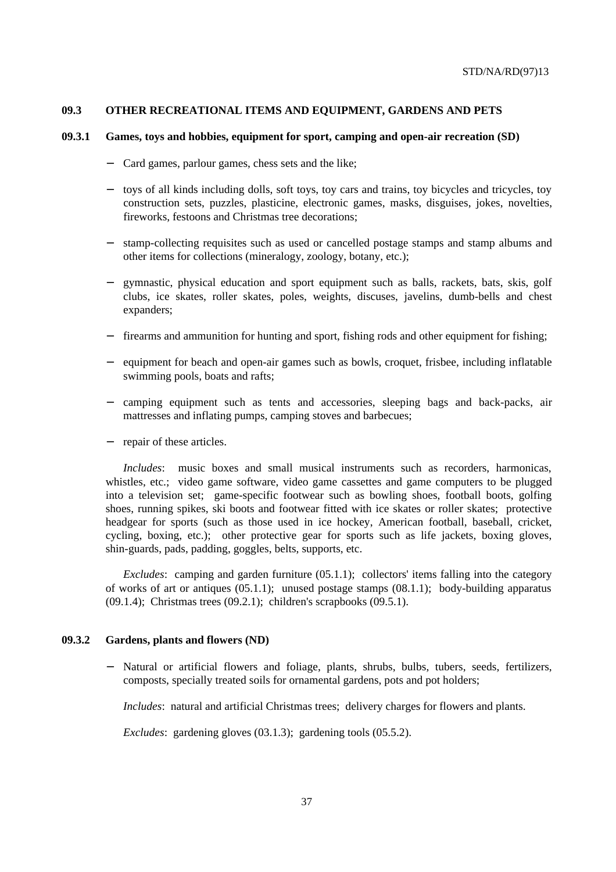### **09.3 OTHER RECREATIONAL ITEMS AND EQUIPMENT, GARDENS AND PETS**

#### **09.3.1 Games, toys and hobbies, equipment for sport, camping and open-air recreation (SD)**

- Card games, parlour games, chess sets and the like;
- − toys of all kinds including dolls, soft toys, toy cars and trains, toy bicycles and tricycles, toy construction sets, puzzles, plasticine, electronic games, masks, disguises, jokes, novelties, fireworks, festoons and Christmas tree decorations;
- − stamp-collecting requisites such as used or cancelled postage stamps and stamp albums and other items for collections (mineralogy, zoology, botany, etc.);
- − gymnastic, physical education and sport equipment such as balls, rackets, bats, skis, golf clubs, ice skates, roller skates, poles, weights, discuses, javelins, dumb-bells and chest expanders;
- − firearms and ammunition for hunting and sport, fishing rods and other equipment for fishing;
- − equipment for beach and open-air games such as bowls, croquet, frisbee, including inflatable swimming pools, boats and rafts;
- − camping equipment such as tents and accessories, sleeping bags and back-packs, air mattresses and inflating pumps, camping stoves and barbecues;
- repair of these articles.

*Includes*: music boxes and small musical instruments such as recorders, harmonicas, whistles, etc.; video game software, video game cassettes and game computers to be plugged into a television set; game-specific footwear such as bowling shoes, football boots, golfing shoes, running spikes, ski boots and footwear fitted with ice skates or roller skates; protective headgear for sports (such as those used in ice hockey, American football, baseball, cricket, cycling, boxing, etc.); other protective gear for sports such as life jackets, boxing gloves, shin-guards, pads, padding, goggles, belts, supports, etc.

*Excludes*: camping and garden furniture (05.1.1); collectors' items falling into the category of works of art or antiques (05.1.1); unused postage stamps (08.1.1); body-building apparatus (09.1.4); Christmas trees (09.2.1); children's scrapbooks (09.5.1).

### **09.3.2 Gardens, plants and flowers (ND)**

Natural or artificial flowers and foliage, plants, shrubs, bulbs, tubers, seeds, fertilizers, composts, specially treated soils for ornamental gardens, pots and pot holders;

*Includes*: natural and artificial Christmas trees; delivery charges for flowers and plants.

*Excludes*: gardening gloves (03.1.3); gardening tools (05.5.2).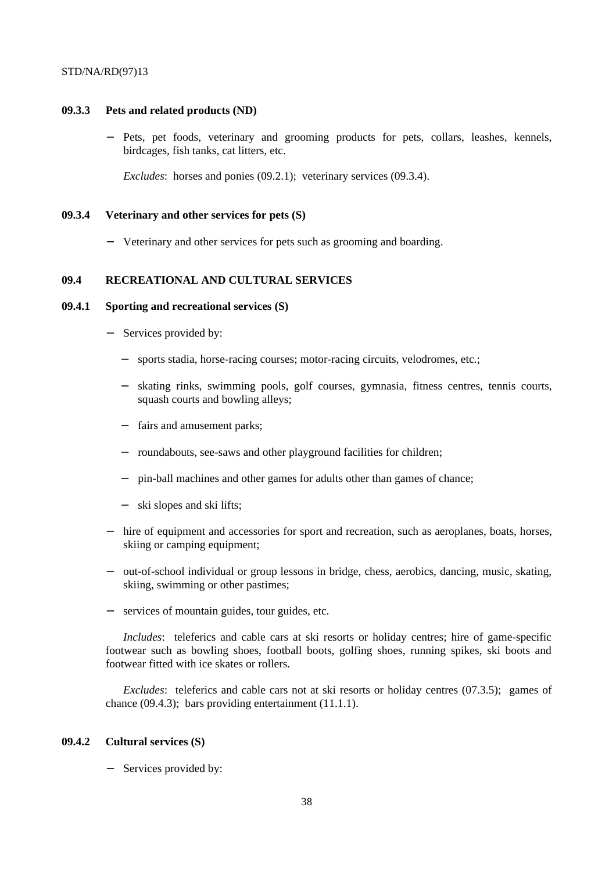#### **09.3.3 Pets and related products (ND)**

Pets, pet foods, veterinary and grooming products for pets, collars, leashes, kennels, birdcages, fish tanks, cat litters, etc.

*Excludes*: horses and ponies (09.2.1); veterinary services (09.3.4).

#### **09.3.4 Veterinary and other services for pets (S)**

− Veterinary and other services for pets such as grooming and boarding.

# **09.4 RECREATIONAL AND CULTURAL SERVICES**

### **09.4.1 Sporting and recreational services (S)**

- Services provided by:
	- sports stadia, horse-racing courses; motor-racing circuits, velodromes, etc.;
	- skating rinks, swimming pools, golf courses, gymnasia, fitness centres, tennis courts, squash courts and bowling alleys;
	- fairs and amusement parks;
	- − roundabouts, see-saws and other playground facilities for children;
	- pin-ball machines and other games for adults other than games of chance;
	- ski slopes and ski lifts;
- − hire of equipment and accessories for sport and recreation, such as aeroplanes, boats, horses, skiing or camping equipment;
- − out-of-school individual or group lessons in bridge, chess, aerobics, dancing, music, skating, skiing, swimming or other pastimes;
- − services of mountain guides, tour guides, etc.

*Includes*: teleferics and cable cars at ski resorts or holiday centres; hire of game-specific footwear such as bowling shoes, football boots, golfing shoes, running spikes, ski boots and footwear fitted with ice skates or rollers.

*Excludes*: teleferics and cable cars not at ski resorts or holiday centres (07.3.5); games of chance (09.4.3); bars providing entertainment (11.1.1).

# **09.4.2 Cultural services (S)**

Services provided by: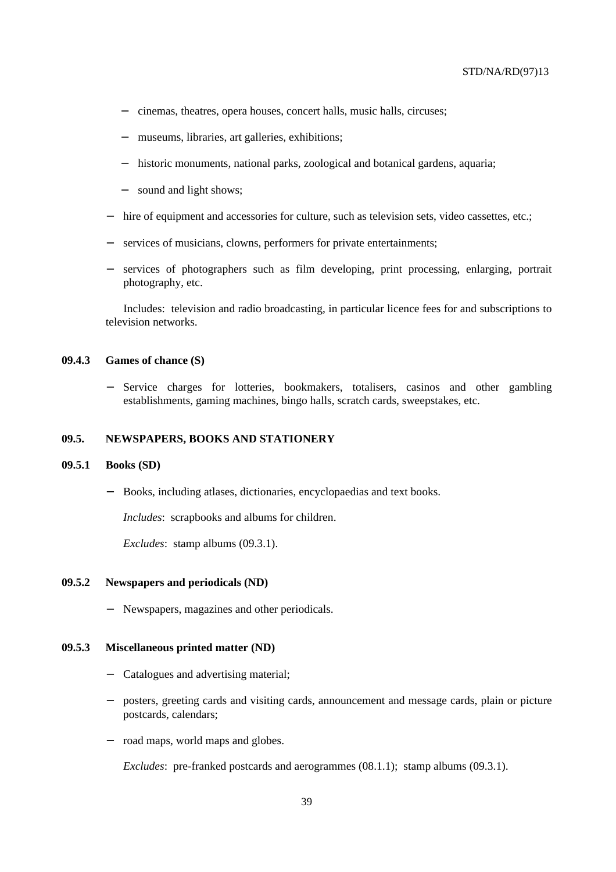- − cinemas, theatres, opera houses, concert halls, music halls, circuses;
- − museums, libraries, art galleries, exhibitions;
- − historic monuments, national parks, zoological and botanical gardens, aquaria;
- sound and light shows;
- − hire of equipment and accessories for culture, such as television sets, video cassettes, etc.;
- − services of musicians, clowns, performers for private entertainments;
- − services of photographers such as film developing, print processing, enlarging, portrait photography, etc.

Includes: television and radio broadcasting, in particular licence fees for and subscriptions to television networks.

#### **09.4.3 Games of chance (S)**

− Service charges for lotteries, bookmakers, totalisers, casinos and other gambling establishments, gaming machines, bingo halls, scratch cards, sweepstakes, etc.

## **09.5. NEWSPAPERS, BOOKS AND STATIONERY**

#### **09.5.1 Books (SD)**

− Books, including atlases, dictionaries, encyclopaedias and text books.

*Includes*: scrapbooks and albums for children.

*Excludes*: stamp albums (09.3.1).

### **09.5.2 Newspapers and periodicals (ND)**

− Newspapers, magazines and other periodicals.

#### **09.5.3 Miscellaneous printed matter (ND)**

- − Catalogues and advertising material;
- posters, greeting cards and visiting cards, announcement and message cards, plain or picture postcards, calendars;
- − road maps, world maps and globes.

*Excludes*: pre-franked postcards and aerogrammes (08.1.1); stamp albums (09.3.1).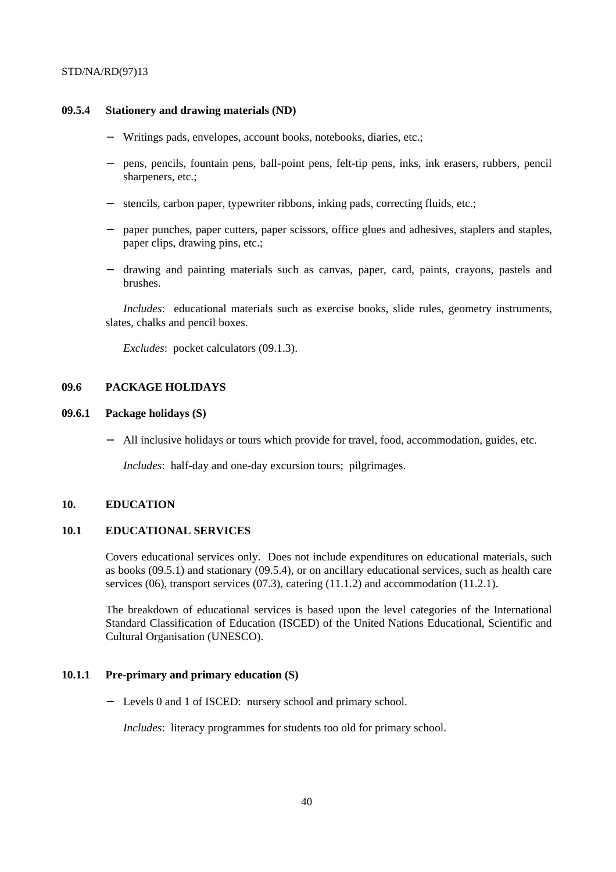#### **09.5.4 Stationery and drawing materials (ND)**

- Writings pads, envelopes, account books, notebooks, diaries, etc.;
- − pens, pencils, fountain pens, ball-point pens, felt-tip pens, inks, ink erasers, rubbers, pencil sharpeners, etc.:
- stencils, carbon paper, typewriter ribbons, inking pads, correcting fluids, etc.;
- − paper punches, paper cutters, paper scissors, office glues and adhesives, staplers and staples, paper clips, drawing pins, etc.;
- − drawing and painting materials such as canvas, paper, card, paints, crayons, pastels and brushes.

*Includes*: educational materials such as exercise books, slide rules, geometry instruments, slates, chalks and pencil boxes.

*Excludes*: pocket calculators (09.1.3).

### **09.6 PACKAGE HOLIDAYS**

### **09.6.1 Package holidays (S)**

All inclusive holidays or tours which provide for travel, food, accommodation, guides, etc.

*Includes*: half-day and one-day excursion tours; pilgrimages.

# **10. EDUCATION**

# **10.1 EDUCATIONAL SERVICES**

Covers educational services only. Does not include expenditures on educational materials, such as books (09.5.1) and stationary (09.5.4), or on ancillary educational services, such as health care services (06), transport services (07.3), catering  $(11.1.2)$  and accommodation  $(11.2.1)$ .

The breakdown of educational services is based upon the level categories of the International Standard Classification of Education (ISCED) of the United Nations Educational, Scientific and Cultural Organisation (UNESCO).

# **10.1.1 Pre-primary and primary education (S)**

− Levels 0 and 1 of ISCED: nursery school and primary school.

*Includes*: literacy programmes for students too old for primary school.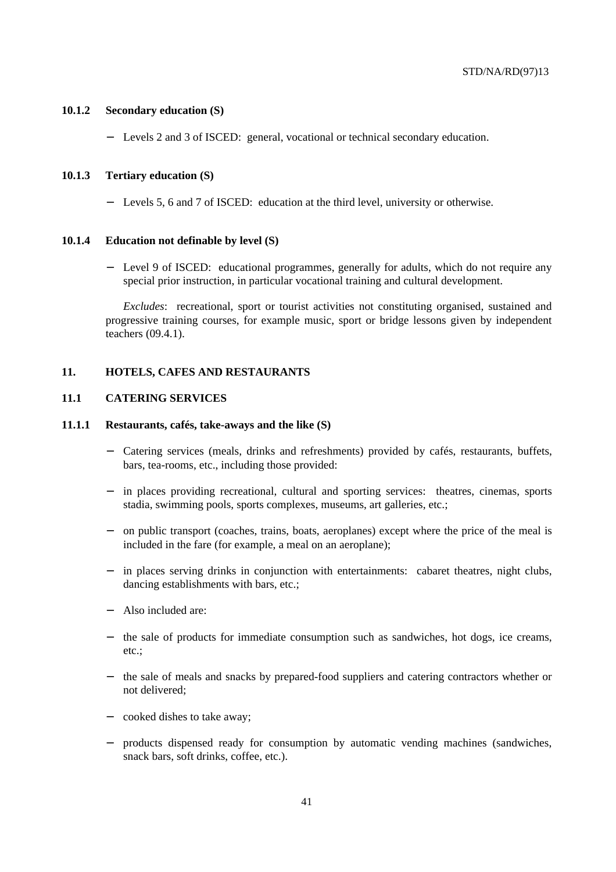#### **10.1.2 Secondary education (S)**

Levels 2 and 3 of ISCED: general, vocational or technical secondary education.

### **10.1.3 Tertiary education (S)**

− Levels 5, 6 and 7 of ISCED: education at the third level, university or otherwise.

### **10.1.4 Education not definable by level (S)**

Level 9 of ISCED: educational programmes, generally for adults, which do not require any special prior instruction, in particular vocational training and cultural development.

*Excludes*: recreational, sport or tourist activities not constituting organised, sustained and progressive training courses, for example music, sport or bridge lessons given by independent teachers (09.4.1).

### **11. HOTELS, CAFES AND RESTAURANTS**

#### **11.1 CATERING SERVICES**

### **11.1.1 Restaurants, cafés, take-aways and the like (S)**

- − Catering services (meals, drinks and refreshments) provided by cafés, restaurants, buffets, bars, tea-rooms, etc., including those provided:
- − in places providing recreational, cultural and sporting services: theatres, cinemas, sports stadia, swimming pools, sports complexes, museums, art galleries, etc.;
- − on public transport (coaches, trains, boats, aeroplanes) except where the price of the meal is included in the fare (for example, a meal on an aeroplane);
- in places serving drinks in conjunction with entertainments: cabaret theatres, night clubs, dancing establishments with bars, etc.;
- − Also included are:
- − the sale of products for immediate consumption such as sandwiches, hot dogs, ice creams, etc.;
- − the sale of meals and snacks by prepared-food suppliers and catering contractors whether or not delivered;
- − cooked dishes to take away;
- − products dispensed ready for consumption by automatic vending machines (sandwiches, snack bars, soft drinks, coffee, etc.).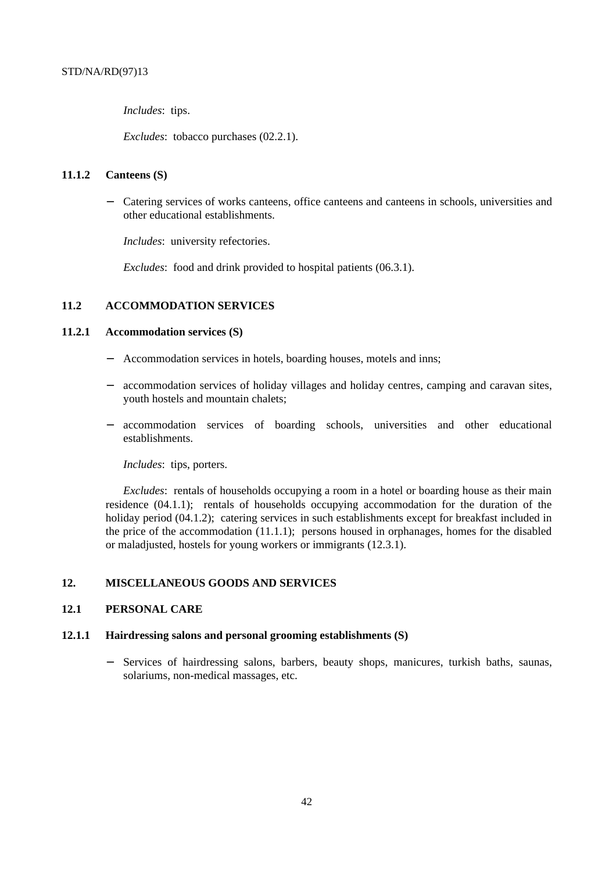*Includes*: tips.

*Excludes*: tobacco purchases (02.2.1).

## **11.1.2 Canteens (S)**

− Catering services of works canteens, office canteens and canteens in schools, universities and other educational establishments.

*Includes*: university refectories.

*Excludes*: food and drink provided to hospital patients (06.3.1).

# **11.2 ACCOMMODATION SERVICES**

### **11.2.1 Accommodation services (S)**

- Accommodation services in hotels, boarding houses, motels and inns;
- accommodation services of holiday villages and holiday centres, camping and caravan sites, youth hostels and mountain chalets;
- − accommodation services of boarding schools, universities and other educational establishments.

*Includes*: tips, porters.

*Excludes*: rentals of households occupying a room in a hotel or boarding house as their main residence (04.1.1); rentals of households occupying accommodation for the duration of the holiday period (04.1.2); catering services in such establishments except for breakfast included in the price of the accommodation  $(11.1.1)$ ; persons housed in orphanages, homes for the disabled or maladjusted, hostels for young workers or immigrants (12.3.1).

# **12. MISCELLANEOUS GOODS AND SERVICES**

### **12.1 PERSONAL CARE**

### **12.1.1 Hairdressing salons and personal grooming establishments (S)**

Services of hairdressing salons, barbers, beauty shops, manicures, turkish baths, saunas, solariums, non-medical massages, etc.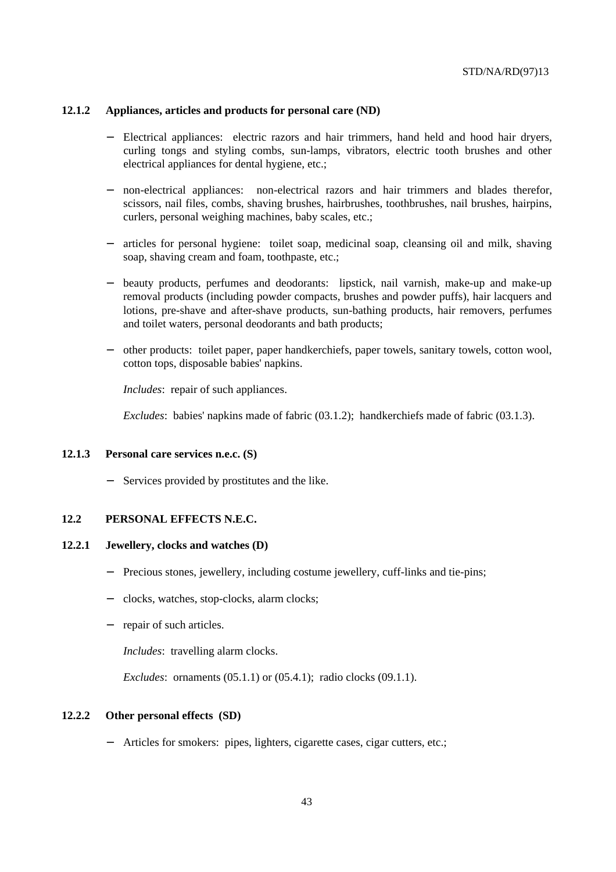#### **12.1.2 Appliances, articles and products for personal care (ND)**

- Electrical appliances: electric razors and hair trimmers, hand held and hood hair dryers, curling tongs and styling combs, sun-lamps, vibrators, electric tooth brushes and other electrical appliances for dental hygiene, etc.;
- − non-electrical appliances: non-electrical razors and hair trimmers and blades therefor, scissors, nail files, combs, shaving brushes, hairbrushes, toothbrushes, nail brushes, hairpins, curlers, personal weighing machines, baby scales, etc.;
- − articles for personal hygiene: toilet soap, medicinal soap, cleansing oil and milk, shaving soap, shaving cream and foam, toothpaste, etc.;
- − beauty products, perfumes and deodorants: lipstick, nail varnish, make-up and make-up removal products (including powder compacts, brushes and powder puffs), hair lacquers and lotions, pre-shave and after-shave products, sun-bathing products, hair removers, perfumes and toilet waters, personal deodorants and bath products;
- − other products: toilet paper, paper handkerchiefs, paper towels, sanitary towels, cotton wool, cotton tops, disposable babies' napkins.

*Includes*: repair of such appliances.

*Excludes*: babies' napkins made of fabric (03.1.2); handkerchiefs made of fabric (03.1.3).

#### **12.1.3 Personal care services n.e.c. (S)**

Services provided by prostitutes and the like.

# **12.2 PERSONAL EFFECTS N.E.C.**

# **12.2.1 Jewellery, clocks and watches (D)**

- − Precious stones, jewellery, including costume jewellery, cuff-links and tie-pins;
- − clocks, watches, stop-clocks, alarm clocks;
- − repair of such articles.

*Includes*: travelling alarm clocks.

*Excludes*: ornaments (05.1.1) or (05.4.1); radio clocks (09.1.1).

#### **12.2.2 Other personal effects (SD)**

− Articles for smokers: pipes, lighters, cigarette cases, cigar cutters, etc.;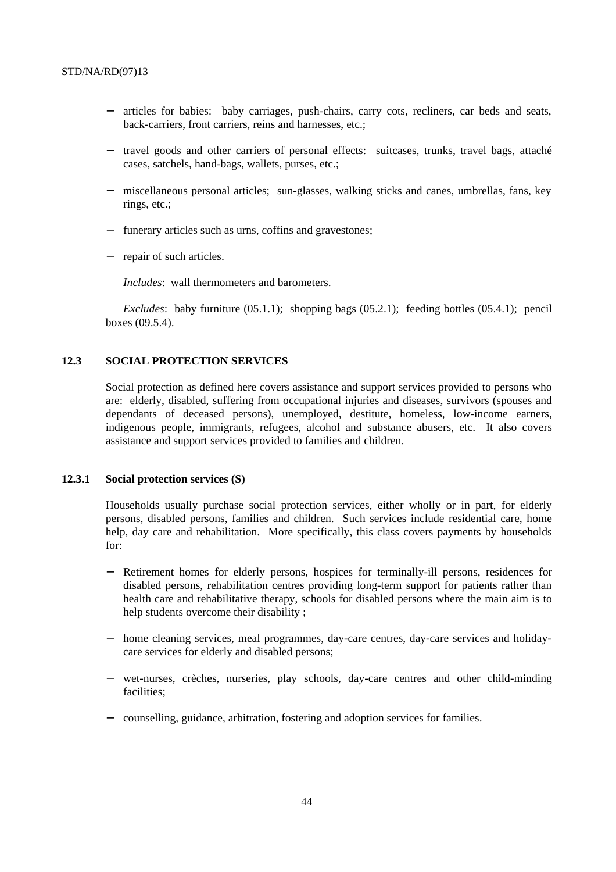- − articles for babies: baby carriages, push-chairs, carry cots, recliners, car beds and seats, back-carriers, front carriers, reins and harnesses, etc.;
- − travel goods and other carriers of personal effects: suitcases, trunks, travel bags, attaché cases, satchels, hand-bags, wallets, purses, etc.;
- − miscellaneous personal articles; sun-glasses, walking sticks and canes, umbrellas, fans, key rings, etc.;
- − funerary articles such as urns, coffins and gravestones;
- − repair of such articles.

*Includes*: wall thermometers and barometers.

*Excludes*: baby furniture (05.1.1); shopping bags (05.2.1); feeding bottles (05.4.1); pencil boxes (09.5.4).

# **12.3 SOCIAL PROTECTION SERVICES**

Social protection as defined here covers assistance and support services provided to persons who are: elderly, disabled, suffering from occupational injuries and diseases, survivors (spouses and dependants of deceased persons), unemployed, destitute, homeless, low-income earners, indigenous people, immigrants, refugees, alcohol and substance abusers, etc. It also covers assistance and support services provided to families and children.

#### **12.3.1 Social protection services (S)**

Households usually purchase social protection services, either wholly or in part, for elderly persons, disabled persons, families and children. Such services include residential care, home help, day care and rehabilitation. More specifically, this class covers payments by households for:

- − Retirement homes for elderly persons, hospices for terminally-ill persons, residences for disabled persons, rehabilitation centres providing long-term support for patients rather than health care and rehabilitative therapy, schools for disabled persons where the main aim is to help students overcome their disability ;
- − home cleaning services, meal programmes, day-care centres, day-care services and holidaycare services for elderly and disabled persons;
- − wet-nurses, crèches, nurseries, play schools, day-care centres and other child-minding facilities;
- − counselling, guidance, arbitration, fostering and adoption services for families.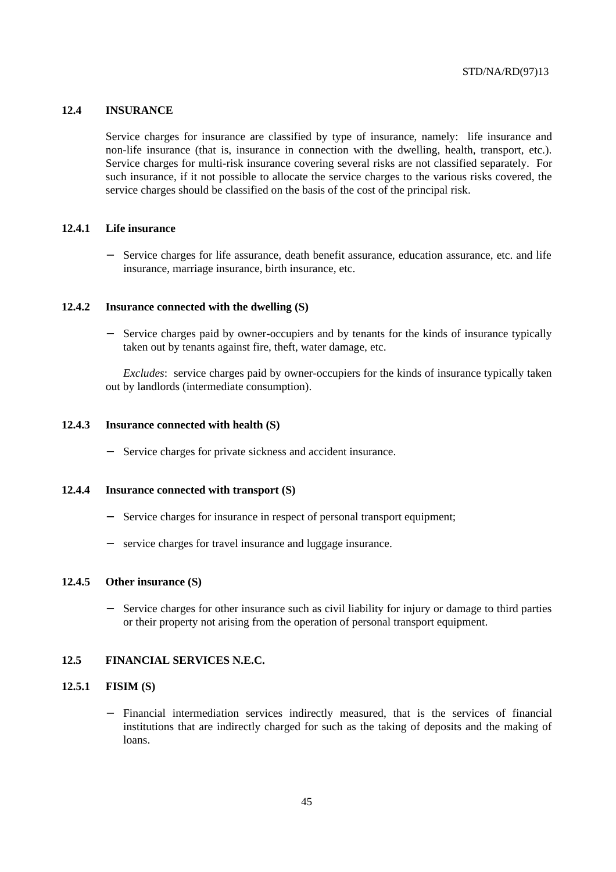## **12.4 INSURANCE**

Service charges for insurance are classified by type of insurance, namely: life insurance and non-life insurance (that is, insurance in connection with the dwelling, health, transport, etc.). Service charges for multi-risk insurance covering several risks are not classified separately. For such insurance, if it not possible to allocate the service charges to the various risks covered, the service charges should be classified on the basis of the cost of the principal risk.

## **12.4.1 Life insurance**

Service charges for life assurance, death benefit assurance, education assurance, etc. and life insurance, marriage insurance, birth insurance, etc.

## **12.4.2 Insurance connected with the dwelling (S)**

Service charges paid by owner-occupiers and by tenants for the kinds of insurance typically taken out by tenants against fire, theft, water damage, etc.

*Excludes*: service charges paid by owner-occupiers for the kinds of insurance typically taken out by landlords (intermediate consumption).

#### **12.4.3 Insurance connected with health (S)**

Service charges for private sickness and accident insurance.

#### **12.4.4 Insurance connected with transport (S)**

- − Service charges for insurance in respect of personal transport equipment;
- − service charges for travel insurance and luggage insurance.

### **12.4.5 Other insurance (S)**

− Service charges for other insurance such as civil liability for injury or damage to third parties or their property not arising from the operation of personal transport equipment.

#### **12.5 FINANCIAL SERVICES N.E.C.**

# **12.5.1 FISIM (S)**

Financial intermediation services indirectly measured, that is the services of financial institutions that are indirectly charged for such as the taking of deposits and the making of loans.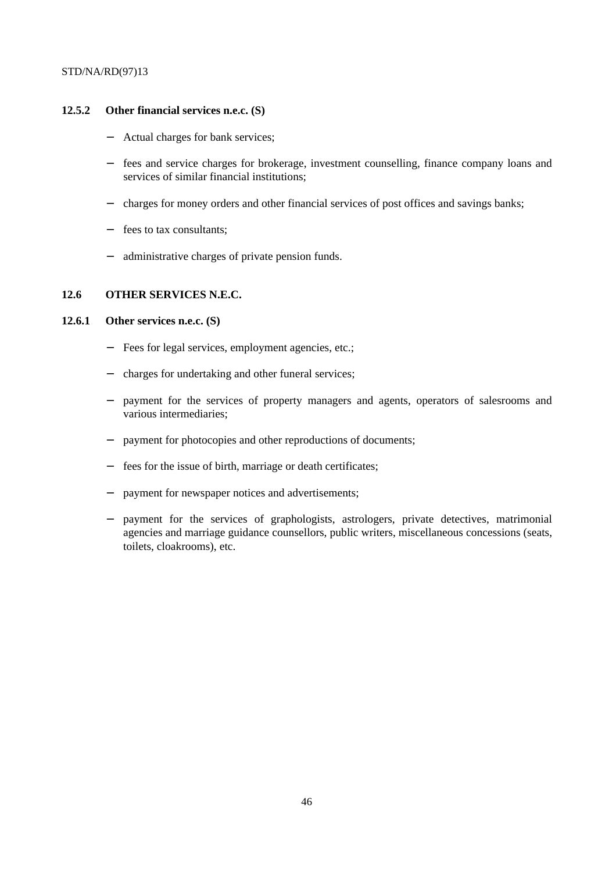## **12.5.2 Other financial services n.e.c. (S)**

- − Actual charges for bank services;
- − fees and service charges for brokerage, investment counselling, finance company loans and services of similar financial institutions;
- − charges for money orders and other financial services of post offices and savings banks;
- − fees to tax consultants;
- − administrative charges of private pension funds.

## **12.6 OTHER SERVICES N.E.C.**

# **12.6.1 Other services n.e.c. (S)**

- Fees for legal services, employment agencies, etc.;
- − charges for undertaking and other funeral services;
- payment for the services of property managers and agents, operators of salesrooms and various intermediaries;
- payment for photocopies and other reproductions of documents;
- fees for the issue of birth, marriage or death certificates;
- payment for newspaper notices and advertisements;
- payment for the services of graphologists, astrologers, private detectives, matrimonial agencies and marriage guidance counsellors, public writers, miscellaneous concessions (seats, toilets, cloakrooms), etc.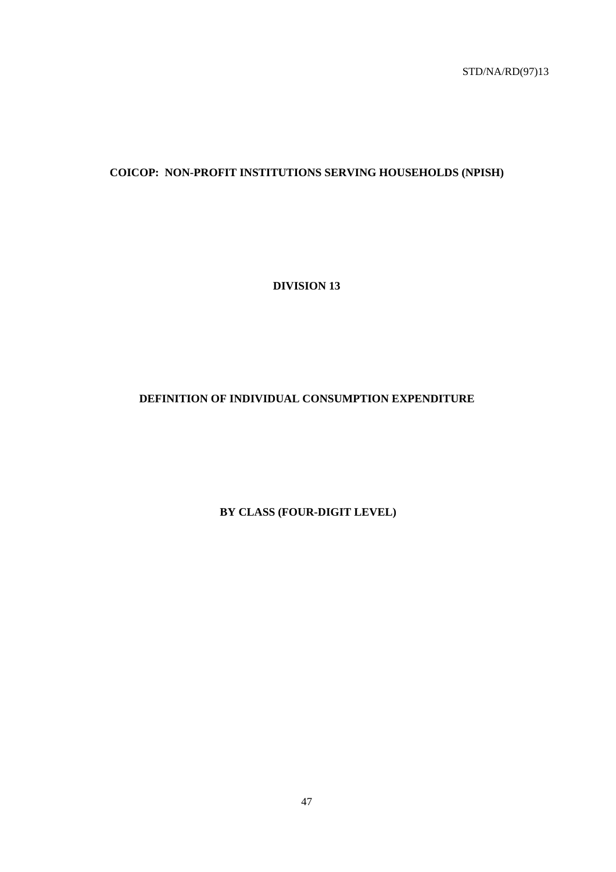# **COICOP: NON-PROFIT INSTITUTIONS SERVING HOUSEHOLDS (NPISH)**

**DIVISION 13**

# **DEFINITION OF INDIVIDUAL CONSUMPTION EXPENDITURE**

 **BY CLASS (FOUR-DIGIT LEVEL)**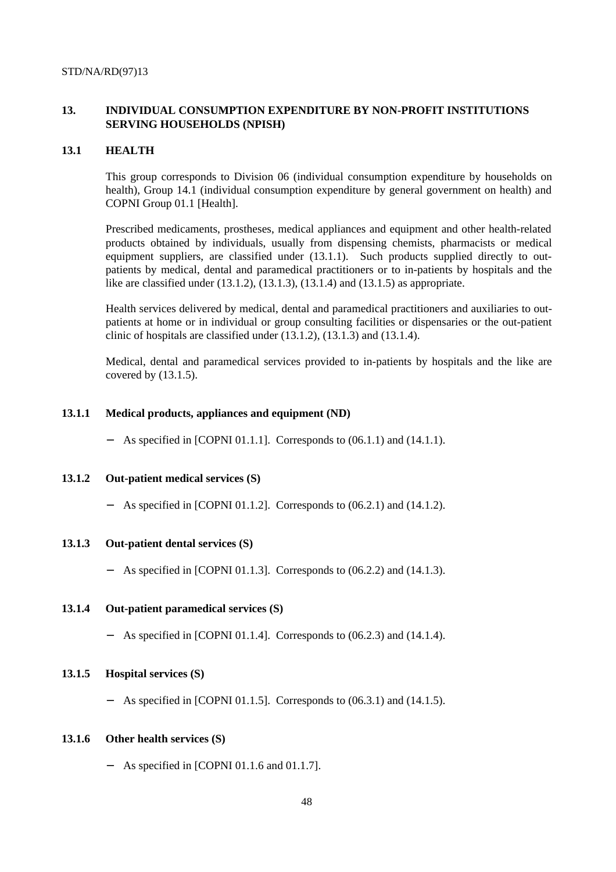# **13. INDIVIDUAL CONSUMPTION EXPENDITURE BY NON-PROFIT INSTITUTIONS SERVING HOUSEHOLDS (NPISH)**

#### **13.1 HEALTH**

This group corresponds to Division 06 (individual consumption expenditure by households on health), Group 14.1 (individual consumption expenditure by general government on health) and COPNI Group 01.1 [Health].

Prescribed medicaments, prostheses, medical appliances and equipment and other health-related products obtained by individuals, usually from dispensing chemists, pharmacists or medical equipment suppliers, are classified under (13.1.1). Such products supplied directly to outpatients by medical, dental and paramedical practitioners or to in-patients by hospitals and the like are classified under (13.1.2), (13.1.3), (13.1.4) and (13.1.5) as appropriate.

Health services delivered by medical, dental and paramedical practitioners and auxiliaries to outpatients at home or in individual or group consulting facilities or dispensaries or the out-patient clinic of hospitals are classified under  $(13.1.2)$ ,  $(13.1.3)$  and  $(13.1.4)$ .

Medical, dental and paramedical services provided to in-patients by hospitals and the like are covered by (13.1.5).

### **13.1.1 Medical products, appliances and equipment (ND)**

− As specified in [COPNI 01.1.1]. Corresponds to (06.1.1) and (14.1.1).

# **13.1.2 Out-patient medical services (S)**

− As specified in [COPNI 01.1.2]. Corresponds to (06.2.1) and (14.1.2).

# **13.1.3 Out-patient dental services (S)**

− As specified in [COPNI 01.1.3]. Corresponds to (06.2.2) and (14.1.3).

# **13.1.4 Out-patient paramedical services (S)**

− As specified in [COPNI 01.1.4]. Corresponds to (06.2.3) and (14.1.4).

## **13.1.5 Hospital services (S)**

− As specified in [COPNI 01.1.5]. Corresponds to (06.3.1) and (14.1.5).

#### **13.1.6 Other health services (S)**

− As specified in [COPNI 01.1.6 and 01.1.7].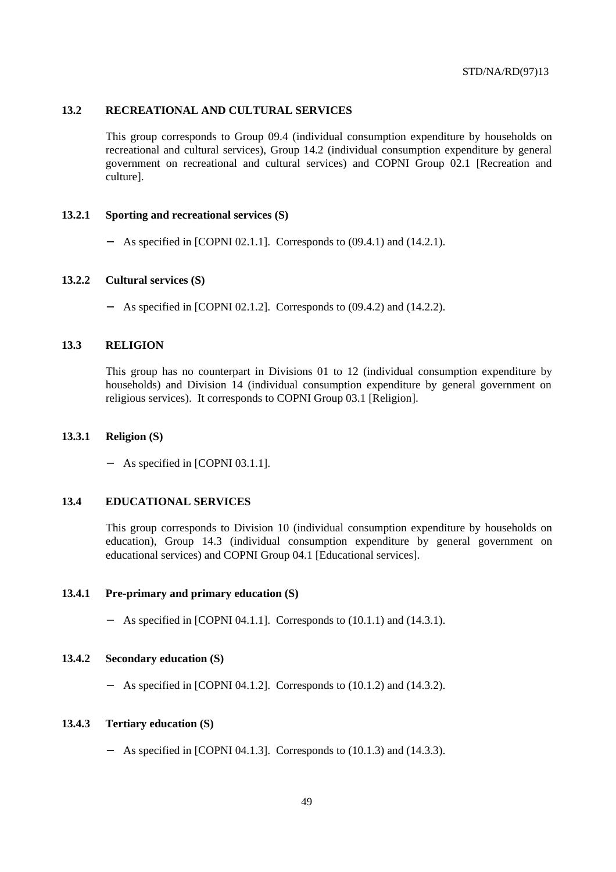## **13.2 RECREATIONAL AND CULTURAL SERVICES**

This group corresponds to Group 09.4 (individual consumption expenditure by households on recreational and cultural services), Group 14.2 (individual consumption expenditure by general government on recreational and cultural services) and COPNI Group 02.1 [Recreation and culture].

#### **13.2.1 Sporting and recreational services (S)**

− As specified in [COPNI 02.1.1]. Corresponds to (09.4.1) and (14.2.1).

#### **13.2.2 Cultural services (S)**

− As specified in [COPNI 02.1.2]. Corresponds to (09.4.2) and (14.2.2).

## **13.3 RELIGION**

This group has no counterpart in Divisions 01 to 12 (individual consumption expenditure by households) and Division 14 (individual consumption expenditure by general government on religious services). It corresponds to COPNI Group 03.1 [Religion].

#### **13.3.1 Religion (S)**

As specified in [COPNI 03.1.1].

#### **13.4 EDUCATIONAL SERVICES**

This group corresponds to Division 10 (individual consumption expenditure by households on education), Group 14.3 (individual consumption expenditure by general government on educational services) and COPNI Group 04.1 [Educational services].

#### **13.4.1 Pre-primary and primary education (S)**

− As specified in [COPNI 04.1.1]. Corresponds to (10.1.1) and (14.3.1).

### **13.4.2 Secondary education (S)**

− As specified in [COPNI 04.1.2]. Corresponds to (10.1.2) and (14.3.2).

#### **13.4.3 Tertiary education (S)**

− As specified in [COPNI 04.1.3]. Corresponds to (10.1.3) and (14.3.3).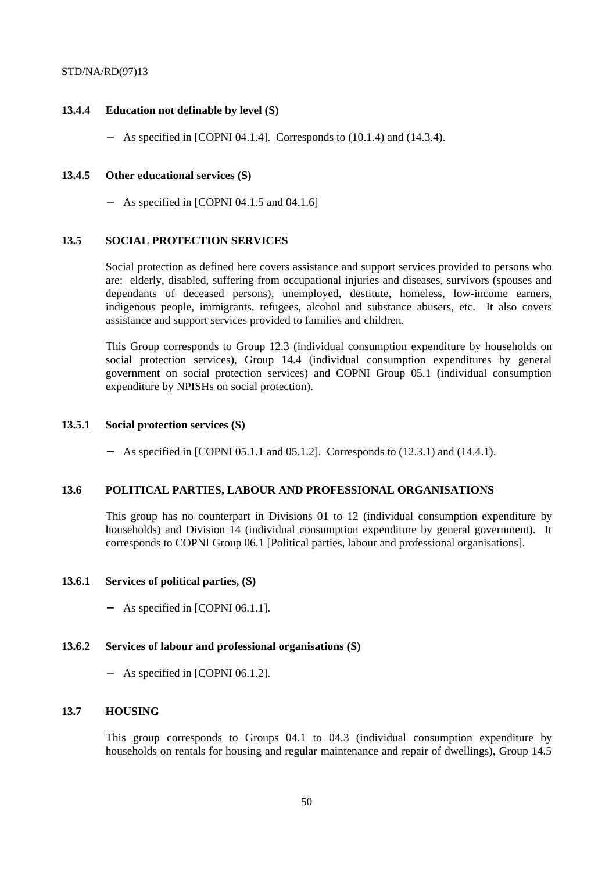## **13.4.4 Education not definable by level (S)**

− As specified in [COPNI 04.1.4]. Corresponds to (10.1.4) and (14.3.4).

## **13.4.5 Other educational services (S)**

− As specified in [COPNI 04.1.5 and 04.1.6]

### **13.5 SOCIAL PROTECTION SERVICES**

Social protection as defined here covers assistance and support services provided to persons who are: elderly, disabled, suffering from occupational injuries and diseases, survivors (spouses and dependants of deceased persons), unemployed, destitute, homeless, low-income earners, indigenous people, immigrants, refugees, alcohol and substance abusers, etc. It also covers assistance and support services provided to families and children.

This Group corresponds to Group 12.3 (individual consumption expenditure by households on social protection services), Group 14.4 (individual consumption expenditures by general government on social protection services) and COPNI Group 05.1 (individual consumption expenditure by NPISHs on social protection).

## **13.5.1 Social protection services (S)**

− As specified in [COPNI 05.1.1 and 05.1.2]. Corresponds to (12.3.1) and (14.4.1).

### **13.6 POLITICAL PARTIES, LABOUR AND PROFESSIONAL ORGANISATIONS**

This group has no counterpart in Divisions 01 to 12 (individual consumption expenditure by households) and Division 14 (individual consumption expenditure by general government). It corresponds to COPNI Group 06.1 [Political parties, labour and professional organisations].

#### **13.6.1 Services of political parties, (S)**

− As specified in [COPNI 06.1.1].

#### **13.6.2 Services of labour and professional organisations (S)**

− As specified in [COPNI 06.1.2].

# **13.7 HOUSING**

This group corresponds to Groups 04.1 to 04.3 (individual consumption expenditure by households on rentals for housing and regular maintenance and repair of dwellings), Group 14.5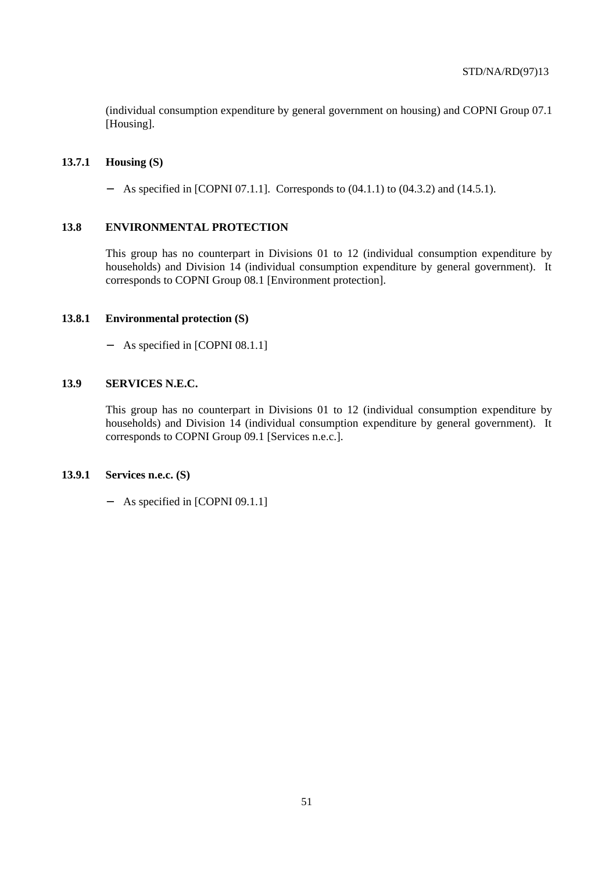(individual consumption expenditure by general government on housing) and COPNI Group 07.1 [Housing].

## **13.7.1 Housing (S)**

− As specified in [COPNI 07.1.1]. Corresponds to (04.1.1) to (04.3.2) and (14.5.1).

### **13.8 ENVIRONMENTAL PROTECTION**

This group has no counterpart in Divisions 01 to 12 (individual consumption expenditure by households) and Division 14 (individual consumption expenditure by general government). It corresponds to COPNI Group 08.1 [Environment protection].

### **13.8.1 Environmental protection (S)**

− As specified in [COPNI 08.1.1]

# **13.9 SERVICES N.E.C.**

This group has no counterpart in Divisions 01 to 12 (individual consumption expenditure by households) and Division 14 (individual consumption expenditure by general government). It corresponds to COPNI Group 09.1 [Services n.e.c.].

## **13.9.1 Services n.e.c. (S)**

− As specified in [COPNI 09.1.1]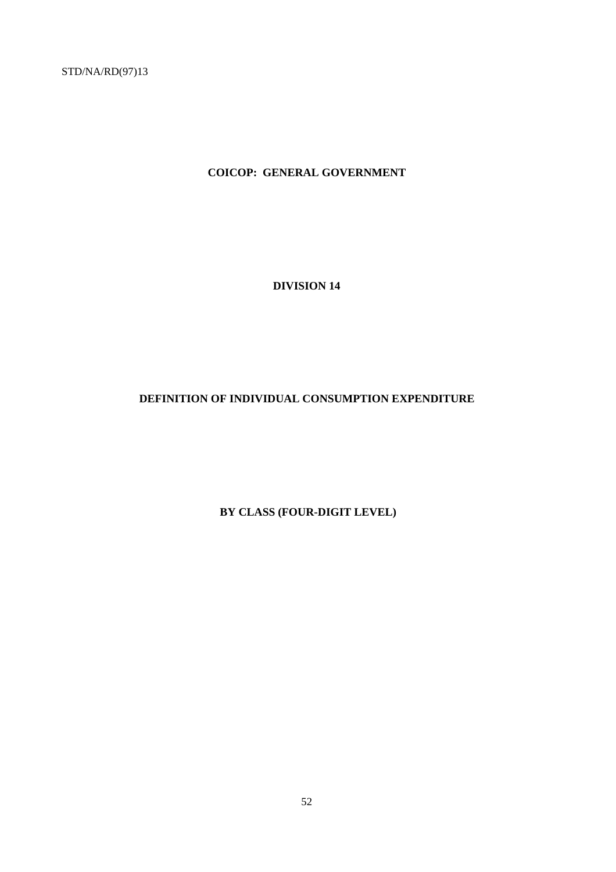**COICOP: GENERAL GOVERNMENT**

**DIVISION 14**

# **DEFINITION OF INDIVIDUAL CONSUMPTION EXPENDITURE**

 **BY CLASS (FOUR-DIGIT LEVEL)**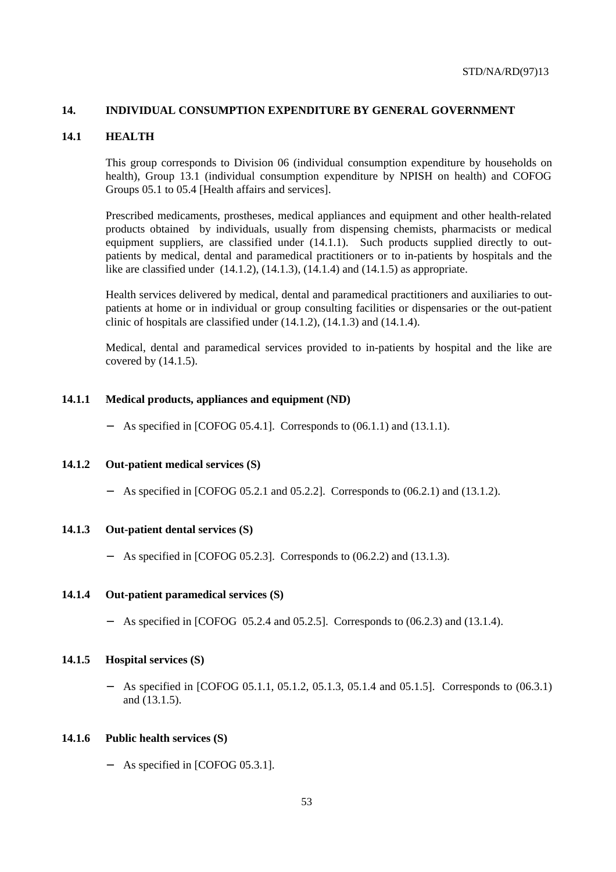## **14. INDIVIDUAL CONSUMPTION EXPENDITURE BY GENERAL GOVERNMENT**

#### **14.1 HEALTH**

This group corresponds to Division 06 (individual consumption expenditure by households on health), Group 13.1 (individual consumption expenditure by NPISH on health) and COFOG Groups 05.1 to 05.4 [Health affairs and services].

Prescribed medicaments, prostheses, medical appliances and equipment and other health-related products obtained by individuals, usually from dispensing chemists, pharmacists or medical equipment suppliers, are classified under (14.1.1). Such products supplied directly to outpatients by medical, dental and paramedical practitioners or to in-patients by hospitals and the like are classified under  $(14.1.2)$ ,  $(14.1.3)$ ,  $(14.1.4)$  and  $(14.1.5)$  as appropriate.

Health services delivered by medical, dental and paramedical practitioners and auxiliaries to outpatients at home or in individual or group consulting facilities or dispensaries or the out-patient clinic of hospitals are classified under (14.1.2), (14.1.3) and (14.1.4).

Medical, dental and paramedical services provided to in-patients by hospital and the like are covered by (14.1.5).

#### **14.1.1 Medical products, appliances and equipment (ND)**

− As specified in [COFOG 05.4.1]. Corresponds to (06.1.1) and (13.1.1).

#### **14.1.2 Out-patient medical services (S)**

− As specified in [COFOG 05.2.1 and 05.2.2]. Corresponds to (06.2.1) and (13.1.2).

## **14.1.3 Out-patient dental services (S)**

As specified in [COFOG 05.2.3]. Corresponds to (06.2.2) and (13.1.3).

## **14.1.4 Out-patient paramedical services (S)**

− As specified in [COFOG 05.2.4 and 05.2.5]. Corresponds to (06.2.3) and (13.1.4).

#### **14.1.5 Hospital services (S)**

− As specified in [COFOG 05.1.1, 05.1.2, 05.1.3, 05.1.4 and 05.1.5]. Corresponds to (06.3.1) and (13.1.5).

#### **14.1.6 Public health services (S)**

− As specified in [COFOG 05.3.1].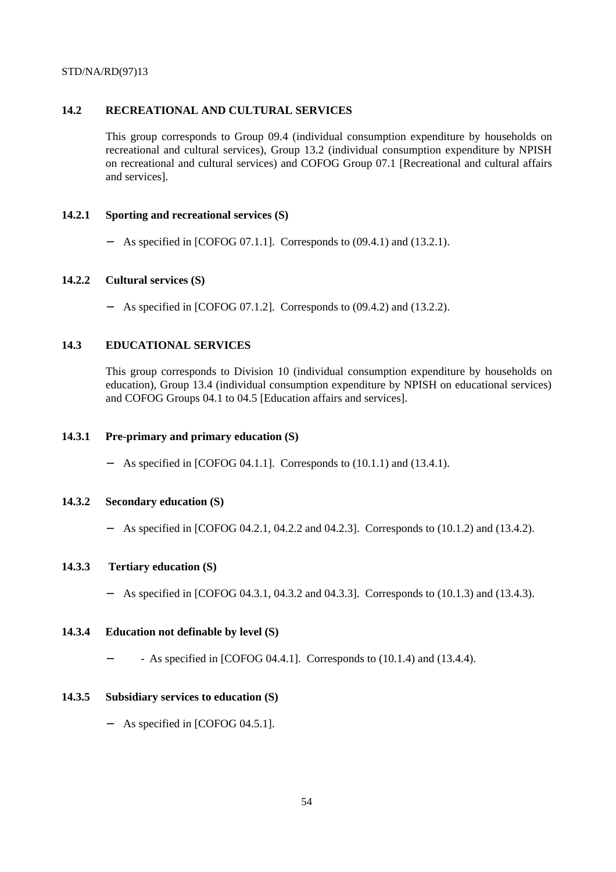# **14.2 RECREATIONAL AND CULTURAL SERVICES**

This group corresponds to Group 09.4 (individual consumption expenditure by households on recreational and cultural services), Group 13.2 (individual consumption expenditure by NPISH on recreational and cultural services) and COFOG Group 07.1 [Recreational and cultural affairs and services].

# **14.2.1 Sporting and recreational services (S)**

− As specified in [COFOG 07.1.1]. Corresponds to (09.4.1) and (13.2.1).

# **14.2.2 Cultural services (S)**

− As specified in [COFOG 07.1.2]. Corresponds to (09.4.2) and (13.2.2).

# **14.3 EDUCATIONAL SERVICES**

This group corresponds to Division 10 (individual consumption expenditure by households on education), Group 13.4 (individual consumption expenditure by NPISH on educational services) and COFOG Groups 04.1 to 04.5 [Education affairs and services].

# **14.3.1 Pre-primary and primary education (S)**

− As specified in [COFOG 04.1.1]. Corresponds to (10.1.1) and (13.4.1).

# **14.3.2 Secondary education (S)**

− As specified in [COFOG 04.2.1, 04.2.2 and 04.2.3]. Corresponds to (10.1.2) and (13.4.2).

# **14.3.3 Tertiary education (S)**

− As specified in [COFOG 04.3.1, 04.3.2 and 04.3.3]. Corresponds to (10.1.3) and (13.4.3).

# **14.3.4 Education not definable by level (S)**

− - As specified in [COFOG 04.4.1]. Corresponds to (10.1.4) and (13.4.4).

# **14.3.5 Subsidiary services to education (S)**

− As specified in [COFOG 04.5.1].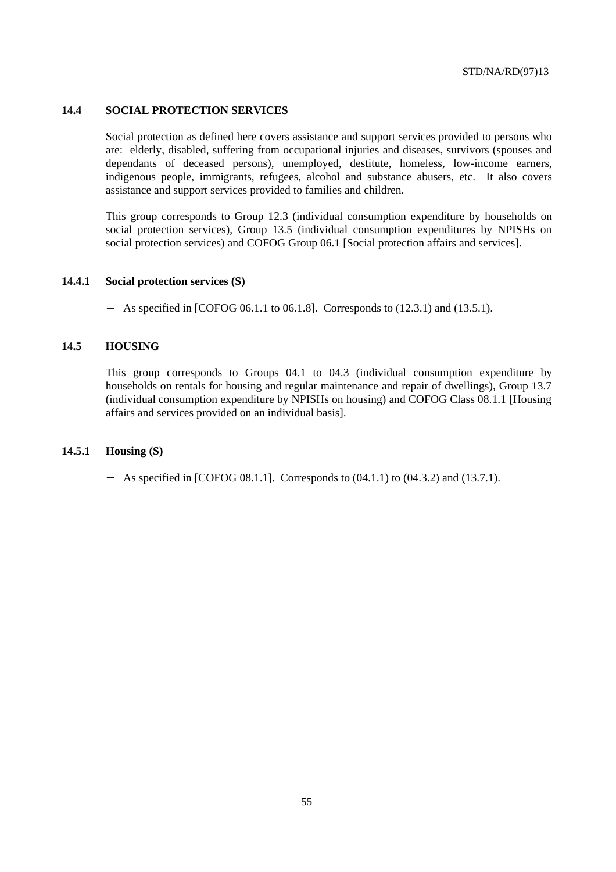## **14.4 SOCIAL PROTECTION SERVICES**

Social protection as defined here covers assistance and support services provided to persons who are: elderly, disabled, suffering from occupational injuries and diseases, survivors (spouses and dependants of deceased persons), unemployed, destitute, homeless, low-income earners, indigenous people, immigrants, refugees, alcohol and substance abusers, etc. It also covers assistance and support services provided to families and children.

This group corresponds to Group 12.3 (individual consumption expenditure by households on social protection services), Group 13.5 (individual consumption expenditures by NPISHs on social protection services) and COFOG Group 06.1 [Social protection affairs and services].

### **14.4.1 Social protection services (S)**

− As specified in [COFOG 06.1.1 to 06.1.8]. Corresponds to (12.3.1) and (13.5.1).

## **14.5 HOUSING**

This group corresponds to Groups 04.1 to 04.3 (individual consumption expenditure by households on rentals for housing and regular maintenance and repair of dwellings), Group 13.7 (individual consumption expenditure by NPISHs on housing) and COFOG Class 08.1.1 [Housing affairs and services provided on an individual basis].

# **14.5.1 Housing (S)**

− As specified in [COFOG 08.1.1]. Corresponds to (04.1.1) to (04.3.2) and (13.7.1).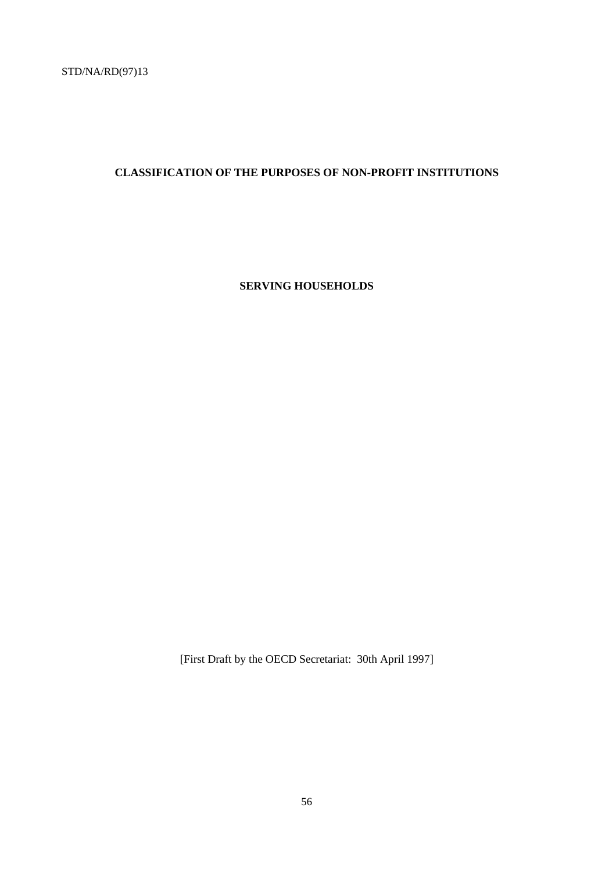# **CLASSIFICATION OF THE PURPOSES OF NON-PROFIT INSTITUTIONS**

**SERVING HOUSEHOLDS**

[First Draft by the OECD Secretariat: 30th April 1997]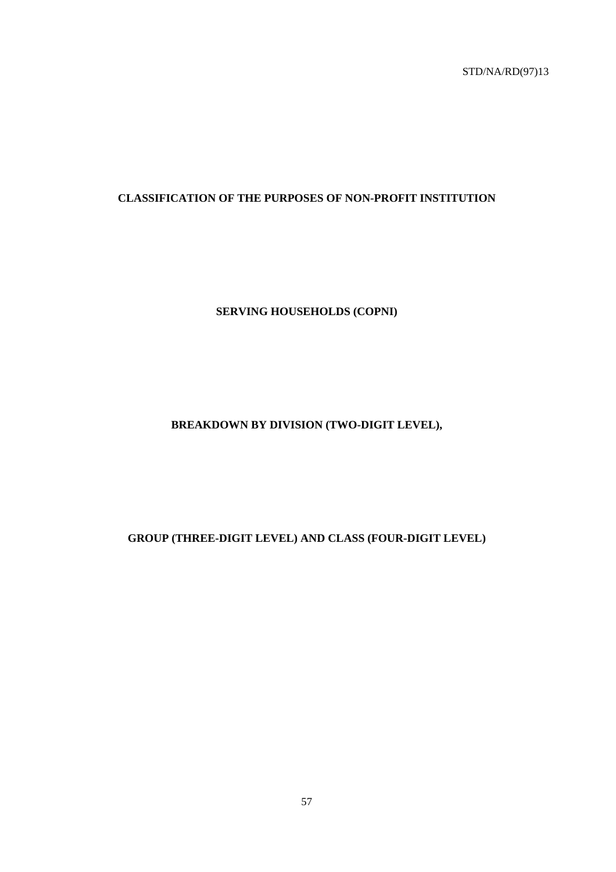# **CLASSIFICATION OF THE PURPOSES OF NON-PROFIT INSTITUTION**

# **SERVING HOUSEHOLDS (COPNI)**

# **BREAKDOWN BY DIVISION (TWO-DIGIT LEVEL),**

# **GROUP (THREE-DIGIT LEVEL) AND CLASS (FOUR-DIGIT LEVEL)**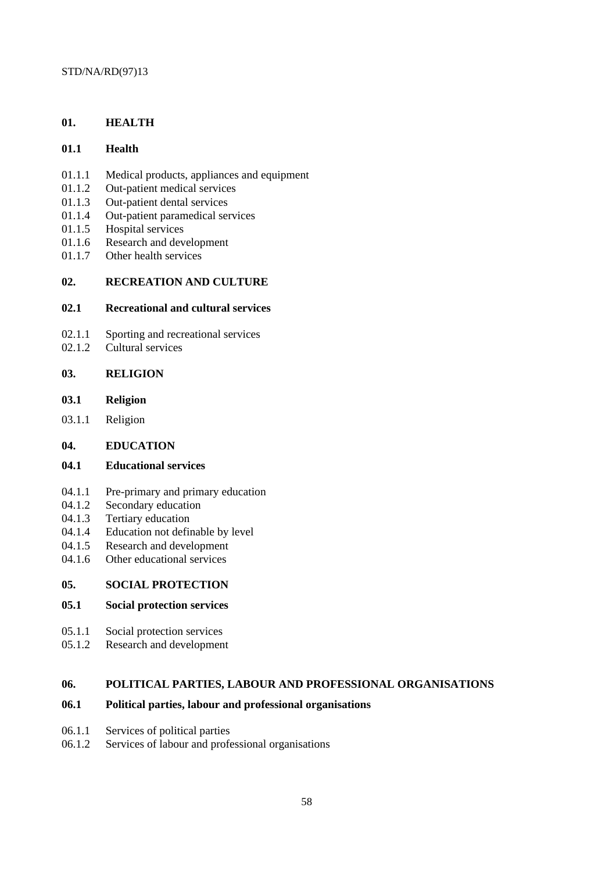# **01. HEALTH**

# **01.1 Health**

- 01.1.1 Medical products, appliances and equipment
- 01.1.2 Out-patient medical services
- 01.1.3 Out-patient dental services
- 01.1.4 Out-patient paramedical services
- 01.1.5 Hospital services
- 01.1.6 Research and development
- 01.1.7 Other health services

## **02. RECREATION AND CULTURE**

## **02.1 Recreational and cultural services**

- 02.1.1 Sporting and recreational services<br>02.1.2 Cultural services
- Cultural services

# **03. RELIGION**

- **03.1 Religion**
- 03.1.1 Religion
- **04. EDUCATION**

## **04.1 Educational services**

- 04.1.1 Pre-primary and primary education
- 04.1.2 Secondary education
- 04.1.3 Tertiary education
- 04.1.4 Education not definable by level
- 04.1.5 Research and development
- 04.1.6 Other educational services

## **05. SOCIAL PROTECTION**

# **05.1 Social protection services**

- 05.1.1 Social protection services
- 05.1.2 Research and development

# **06. POLITICAL PARTIES, LABOUR AND PROFESSIONAL ORGANISATIONS**

# **06.1 Political parties, labour and professional organisations**

- 06.1.1 Services of political parties
- 06.1.2 Services of labour and professional organisations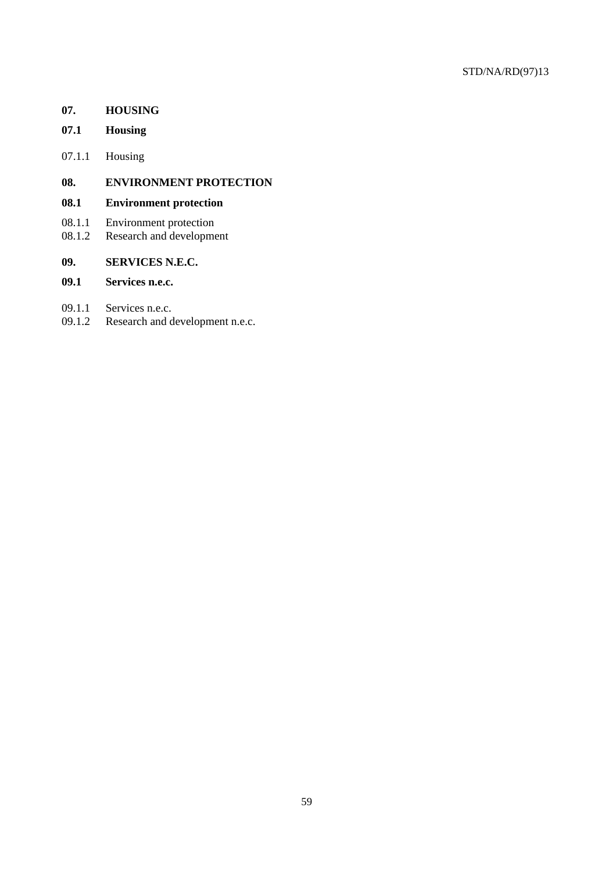# **07. HOUSING**

- **07.1 Housing**
- 07.1.1 Housing

# **08. ENVIRONMENT PROTECTION**

# **08.1 Environment protection**

- 08.1.1 Environment protection
- 08.1.2 Research and development

# **09. SERVICES N.E.C.**

# **09.1 Services n.e.c.**

- 09.1.1 Services n.e.c.
- 09.1.2 Research and development n.e.c.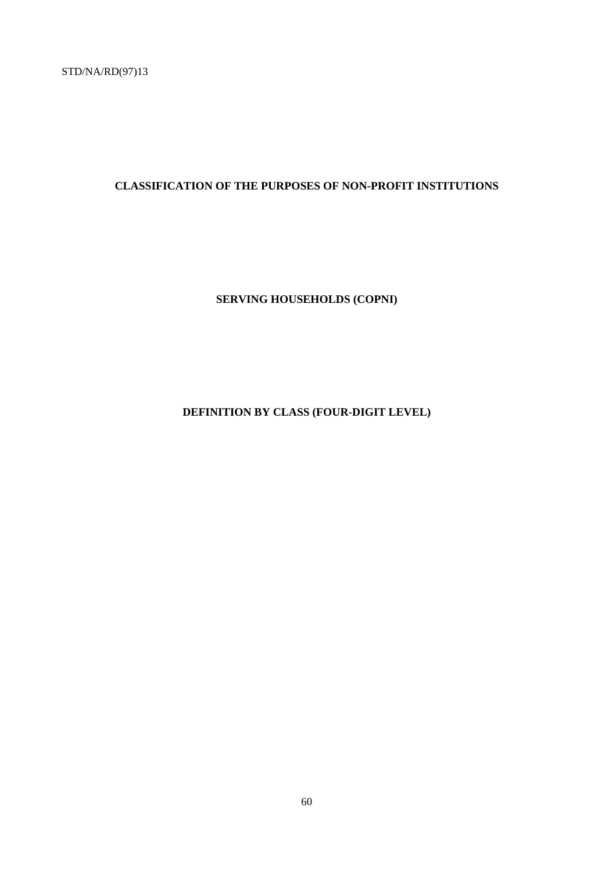# **CLASSIFICATION OF THE PURPOSES OF NON-PROFIT INSTITUTIONS**

# **SERVING HOUSEHOLDS (COPNI)**

# **DEFINITION BY CLASS (FOUR-DIGIT LEVEL)**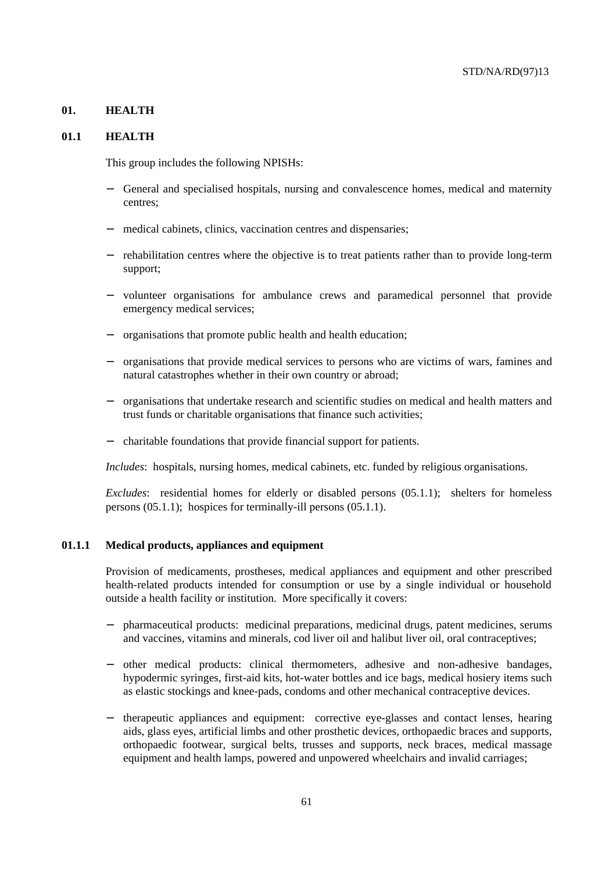### **01. HEALTH**

#### **01.1 HEALTH**

This group includes the following NPISHs:

- − General and specialised hospitals, nursing and convalescence homes, medical and maternity centres;
- medical cabinets, clinics, vaccination centres and dispensaries;
- − rehabilitation centres where the objective is to treat patients rather than to provide long-term support;
- − volunteer organisations for ambulance crews and paramedical personnel that provide emergency medical services;
- − organisations that promote public health and health education;
- − organisations that provide medical services to persons who are victims of wars, famines and natural catastrophes whether in their own country or abroad;
- − organisations that undertake research and scientific studies on medical and health matters and trust funds or charitable organisations that finance such activities;
- − charitable foundations that provide financial support for patients.

*Includes*: hospitals, nursing homes, medical cabinets, etc. funded by religious organisations.

*Excludes*: residential homes for elderly or disabled persons (05.1.1); shelters for homeless persons (05.1.1); hospices for terminally-ill persons (05.1.1).

#### **01.1.1 Medical products, appliances and equipment**

Provision of medicaments, prostheses, medical appliances and equipment and other prescribed health-related products intended for consumption or use by a single individual or household outside a health facility or institution. More specifically it covers:

- − pharmaceutical products: medicinal preparations, medicinal drugs, patent medicines, serums and vaccines, vitamins and minerals, cod liver oil and halibut liver oil, oral contraceptives;
- − other medical products: clinical thermometers, adhesive and non-adhesive bandages, hypodermic syringes, first-aid kits, hot-water bottles and ice bags, medical hosiery items such as elastic stockings and knee-pads, condoms and other mechanical contraceptive devices.
- − therapeutic appliances and equipment: corrective eye-glasses and contact lenses, hearing aids, glass eyes, artificial limbs and other prosthetic devices, orthopaedic braces and supports, orthopaedic footwear, surgical belts, trusses and supports, neck braces, medical massage equipment and health lamps, powered and unpowered wheelchairs and invalid carriages;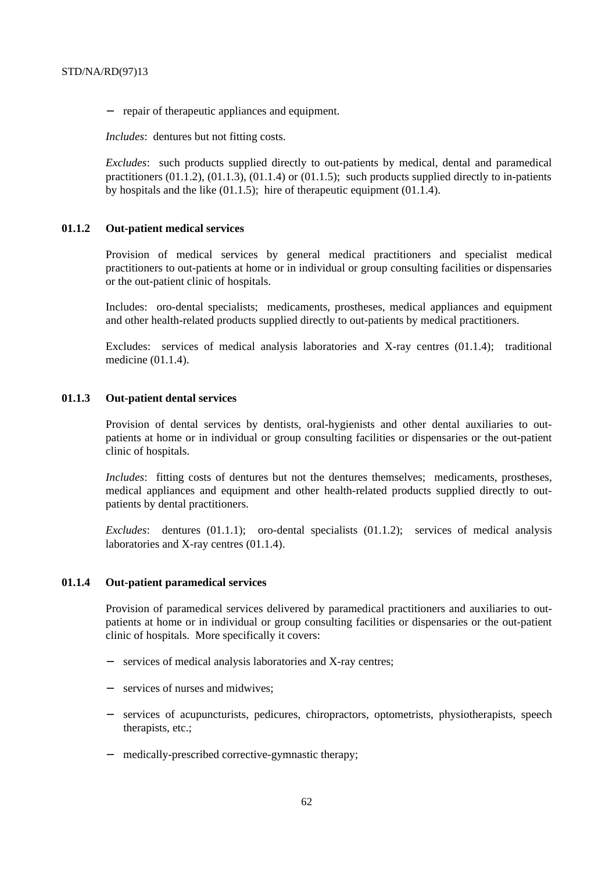− repair of therapeutic appliances and equipment.

*Includes*: dentures but not fitting costs.

*Excludes*: such products supplied directly to out-patients by medical, dental and paramedical practitioners  $(01.1.2)$ ,  $(01.1.3)$ ,  $(01.1.4)$  or  $(01.1.5)$ ; such products supplied directly to in-patients by hospitals and the like  $(01.1.5)$ ; hire of therapeutic equipment  $(01.1.4)$ .

# **01.1.2 Out-patient medical services**

Provision of medical services by general medical practitioners and specialist medical practitioners to out-patients at home or in individual or group consulting facilities or dispensaries or the out-patient clinic of hospitals.

Includes: oro-dental specialists; medicaments, prostheses, medical appliances and equipment and other health-related products supplied directly to out-patients by medical practitioners.

Excludes: services of medical analysis laboratories and X-ray centres (01.1.4); traditional medicine (01.1.4).

#### **01.1.3 Out-patient dental services**

Provision of dental services by dentists, oral-hygienists and other dental auxiliaries to outpatients at home or in individual or group consulting facilities or dispensaries or the out-patient clinic of hospitals.

*Includes*: fitting costs of dentures but not the dentures themselves; medicaments, prostheses, medical appliances and equipment and other health-related products supplied directly to outpatients by dental practitioners.

*Excludes*: dentures (01.1.1); oro-dental specialists (01.1.2); services of medical analysis laboratories and X-ray centres (01.1.4).

## **01.1.4 Out-patient paramedical services**

Provision of paramedical services delivered by paramedical practitioners and auxiliaries to outpatients at home or in individual or group consulting facilities or dispensaries or the out-patient clinic of hospitals. More specifically it covers:

- − services of medical analysis laboratories and X-ray centres;
- − services of nurses and midwives;
- − services of acupuncturists, pedicures, chiropractors, optometrists, physiotherapists, speech therapists, etc.;
- − medically-prescribed corrective-gymnastic therapy;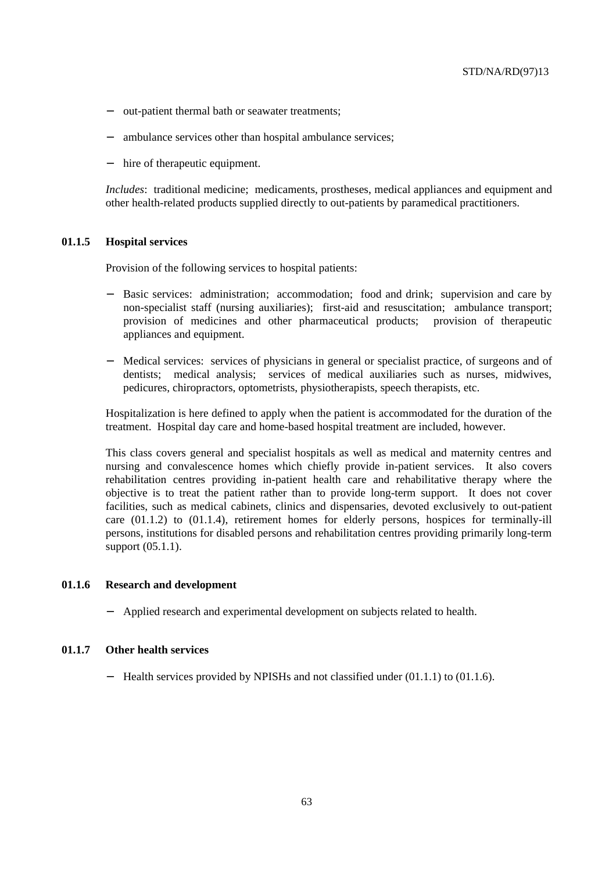- − out-patient thermal bath or seawater treatments;
- ambulance services other than hospital ambulance services;
- − hire of therapeutic equipment.

*Includes*: traditional medicine; medicaments, prostheses, medical appliances and equipment and other health-related products supplied directly to out-patients by paramedical practitioners.

#### **01.1.5 Hospital services**

Provision of the following services to hospital patients:

- Basic services: administration; accommodation; food and drink; supervision and care by non-specialist staff (nursing auxiliaries); first-aid and resuscitation; ambulance transport; provision of medicines and other pharmaceutical products; provision of therapeutic appliances and equipment.
- Medical services: services of physicians in general or specialist practice, of surgeons and of dentists; medical analysis; services of medical auxiliaries such as nurses, midwives, pedicures, chiropractors, optometrists, physiotherapists, speech therapists, etc.

Hospitalization is here defined to apply when the patient is accommodated for the duration of the treatment. Hospital day care and home-based hospital treatment are included, however.

This class covers general and specialist hospitals as well as medical and maternity centres and nursing and convalescence homes which chiefly provide in-patient services. It also covers rehabilitation centres providing in-patient health care and rehabilitative therapy where the objective is to treat the patient rather than to provide long-term support. It does not cover facilities, such as medical cabinets, clinics and dispensaries, devoted exclusively to out-patient care (01.1.2) to (01.1.4), retirement homes for elderly persons, hospices for terminally-ill persons, institutions for disabled persons and rehabilitation centres providing primarily long-term support (05.1.1).

#### **01.1.6 Research and development**

− Applied research and experimental development on subjects related to health.

### **01.1.7 Other health services**

− Health services provided by NPISHs and not classified under (01.1.1) to (01.1.6).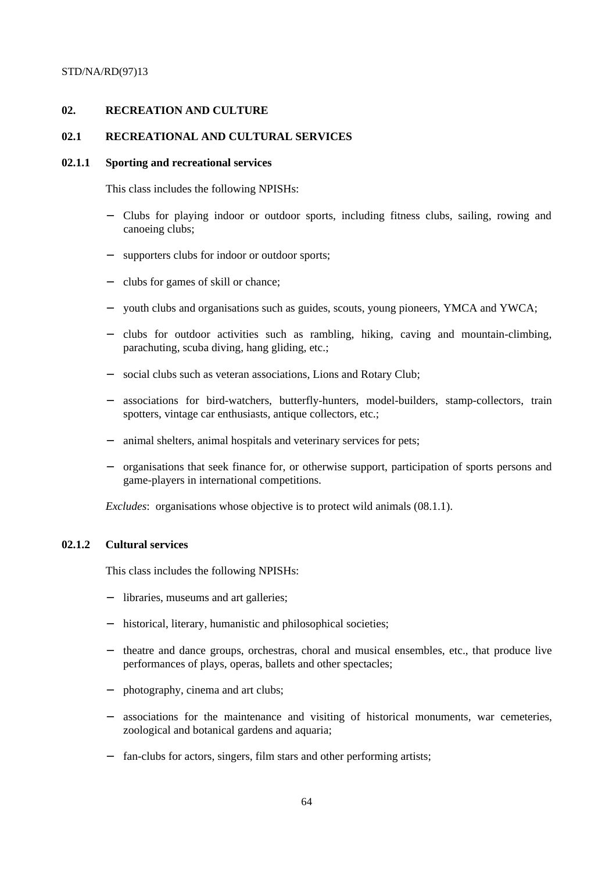# **02. RECREATION AND CULTURE**

## **02.1 RECREATIONAL AND CULTURAL SERVICES**

#### **02.1.1 Sporting and recreational services**

This class includes the following NPISHs:

- − Clubs for playing indoor or outdoor sports, including fitness clubs, sailing, rowing and canoeing clubs;
- supporters clubs for indoor or outdoor sports;
- − clubs for games of skill or chance;
- youth clubs and organisations such as guides, scouts, young pioneers, YMCA and YWCA;
- − clubs for outdoor activities such as rambling, hiking, caving and mountain-climbing, parachuting, scuba diving, hang gliding, etc.;
- social clubs such as veteran associations, Lions and Rotary Club;
- associations for bird-watchers, butterfly-hunters, model-builders, stamp-collectors, train spotters, vintage car enthusiasts, antique collectors, etc.;
- animal shelters, animal hospitals and veterinary services for pets;
- − organisations that seek finance for, or otherwise support, participation of sports persons and game-players in international competitions.

*Excludes*: organisations whose objective is to protect wild animals (08.1.1).

#### **02.1.2 Cultural services**

This class includes the following NPISHs:

- libraries, museums and art galleries;
- historical, literary, humanistic and philosophical societies;
- − theatre and dance groups, orchestras, choral and musical ensembles, etc., that produce live performances of plays, operas, ballets and other spectacles;
- photography, cinema and art clubs;
- associations for the maintenance and visiting of historical monuments, war cemeteries, zoological and botanical gardens and aquaria;
- fan-clubs for actors, singers, film stars and other performing artists;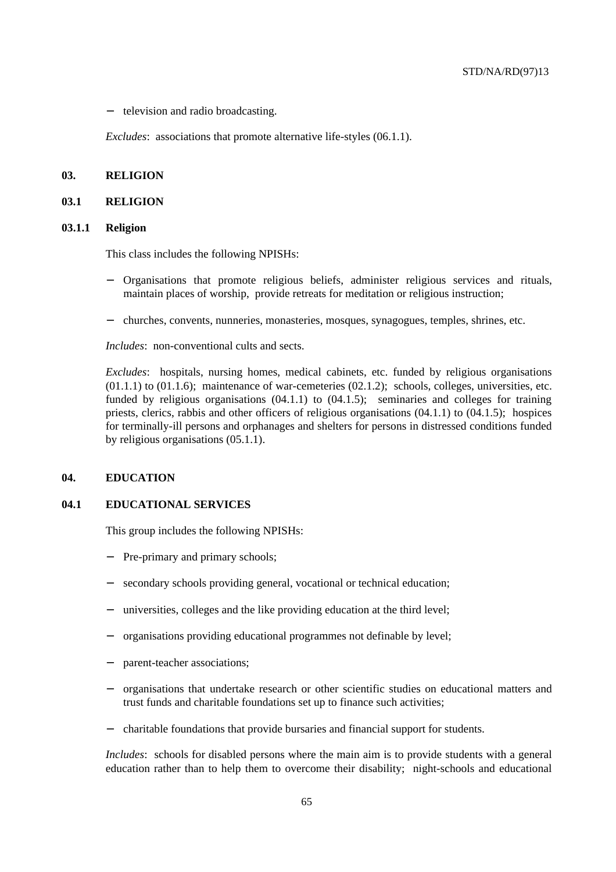− television and radio broadcasting.

*Excludes*: associations that promote alternative life-styles (06.1.1).

# **03. RELIGION**

### **03.1 RELIGION**

#### **03.1.1 Religion**

This class includes the following NPISHs:

- − Organisations that promote religious beliefs, administer religious services and rituals, maintain places of worship, provide retreats for meditation or religious instruction;
- − churches, convents, nunneries, monasteries, mosques, synagogues, temples, shrines, etc.

*Includes*: non-conventional cults and sects.

*Excludes*: hospitals, nursing homes, medical cabinets, etc. funded by religious organisations  $(01.1.1)$  to  $(01.1.6)$ ; maintenance of war-cemeteries  $(02.1.2)$ ; schools, colleges, universities, etc. funded by religious organisations  $(04.1.1)$  to  $(04.1.5)$ ; seminaries and colleges for training priests, clerics, rabbis and other officers of religious organisations (04.1.1) to (04.1.5); hospices for terminally-ill persons and orphanages and shelters for persons in distressed conditions funded by religious organisations (05.1.1).

### **04. EDUCATION**

### **04.1 EDUCATIONAL SERVICES**

This group includes the following NPISHs:

- Pre-primary and primary schools;
- secondary schools providing general, vocational or technical education;
- universities, colleges and the like providing education at the third level;
- organisations providing educational programmes not definable by level;
- parent-teacher associations;
- − organisations that undertake research or other scientific studies on educational matters and trust funds and charitable foundations set up to finance such activities;
- − charitable foundations that provide bursaries and financial support for students.

*Includes*: schools for disabled persons where the main aim is to provide students with a general education rather than to help them to overcome their disability; night-schools and educational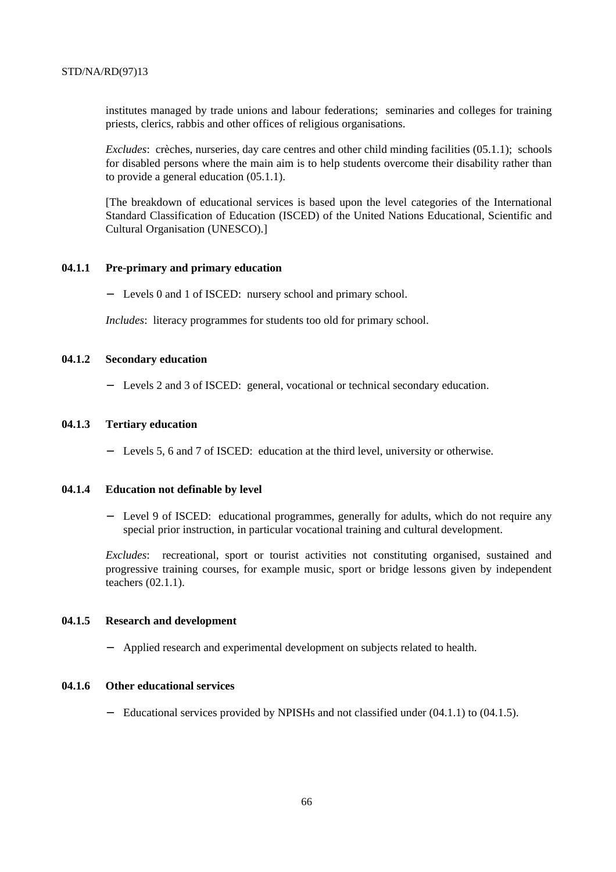institutes managed by trade unions and labour federations; seminaries and colleges for training priests, clerics, rabbis and other offices of religious organisations.

*Excludes*: crèches, nurseries, day care centres and other child minding facilities (05.1.1); schools for disabled persons where the main aim is to help students overcome their disability rather than to provide a general education (05.1.1).

[The breakdown of educational services is based upon the level categories of the International Standard Classification of Education (ISCED) of the United Nations Educational, Scientific and Cultural Organisation (UNESCO).]

### **04.1.1 Pre-primary and primary education**

− Levels 0 and 1 of ISCED: nursery school and primary school.

*Includes*: literacy programmes for students too old for primary school.

# **04.1.2 Secondary education**

− Levels 2 and 3 of ISCED: general, vocational or technical secondary education.

### **04.1.3 Tertiary education**

− Levels 5, 6 and 7 of ISCED: education at the third level, university or otherwise.

#### **04.1.4 Education not definable by level**

− Level 9 of ISCED: educational programmes, generally for adults, which do not require any special prior instruction, in particular vocational training and cultural development.

*Excludes*: recreational, sport or tourist activities not constituting organised, sustained and progressive training courses, for example music, sport or bridge lessons given by independent teachers (02.1.1).

#### **04.1.5 Research and development**

− Applied research and experimental development on subjects related to health.

## **04.1.6 Other educational services**

− Educational services provided by NPISHs and not classified under (04.1.1) to (04.1.5).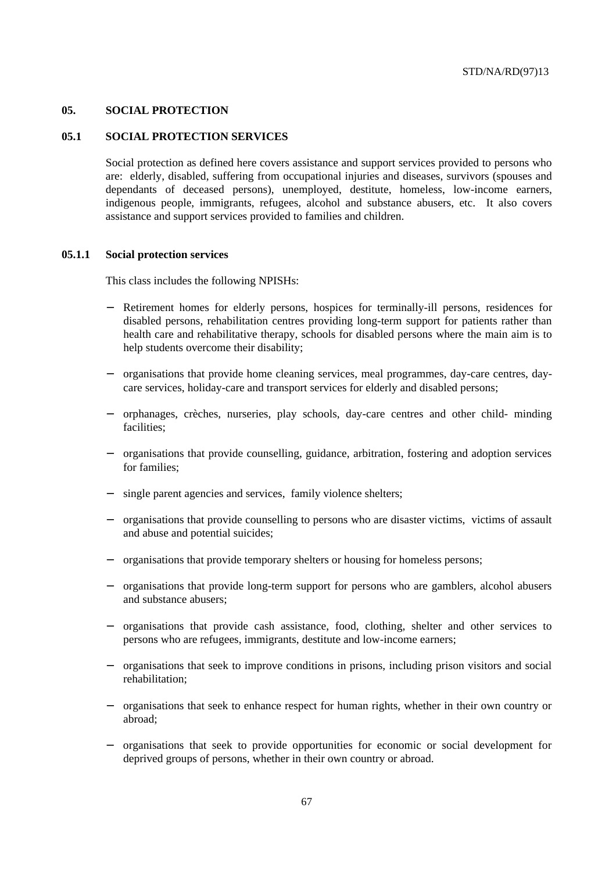## **05. SOCIAL PROTECTION**

### **05.1 SOCIAL PROTECTION SERVICES**

Social protection as defined here covers assistance and support services provided to persons who are: elderly, disabled, suffering from occupational injuries and diseases, survivors (spouses and dependants of deceased persons), unemployed, destitute, homeless, low-income earners, indigenous people, immigrants, refugees, alcohol and substance abusers, etc. It also covers assistance and support services provided to families and children.

#### **05.1.1 Social protection services**

This class includes the following NPISHs:

- Retirement homes for elderly persons, hospices for terminally-ill persons, residences for disabled persons, rehabilitation centres providing long-term support for patients rather than health care and rehabilitative therapy, schools for disabled persons where the main aim is to help students overcome their disability;
- − organisations that provide home cleaning services, meal programmes, day-care centres, daycare services, holiday-care and transport services for elderly and disabled persons;
- − orphanages, crèches, nurseries, play schools, day-care centres and other child- minding facilities;
- − organisations that provide counselling, guidance, arbitration, fostering and adoption services for families;
- − single parent agencies and services, family violence shelters;
- − organisations that provide counselling to persons who are disaster victims, victims of assault and abuse and potential suicides;
- organisations that provide temporary shelters or housing for homeless persons;
- − organisations that provide long-term support for persons who are gamblers, alcohol abusers and substance abusers;
- − organisations that provide cash assistance, food, clothing, shelter and other services to persons who are refugees, immigrants, destitute and low-income earners;
- − organisations that seek to improve conditions in prisons, including prison visitors and social rehabilitation;
- − organisations that seek to enhance respect for human rights, whether in their own country or abroad;
- − organisations that seek to provide opportunities for economic or social development for deprived groups of persons, whether in their own country or abroad.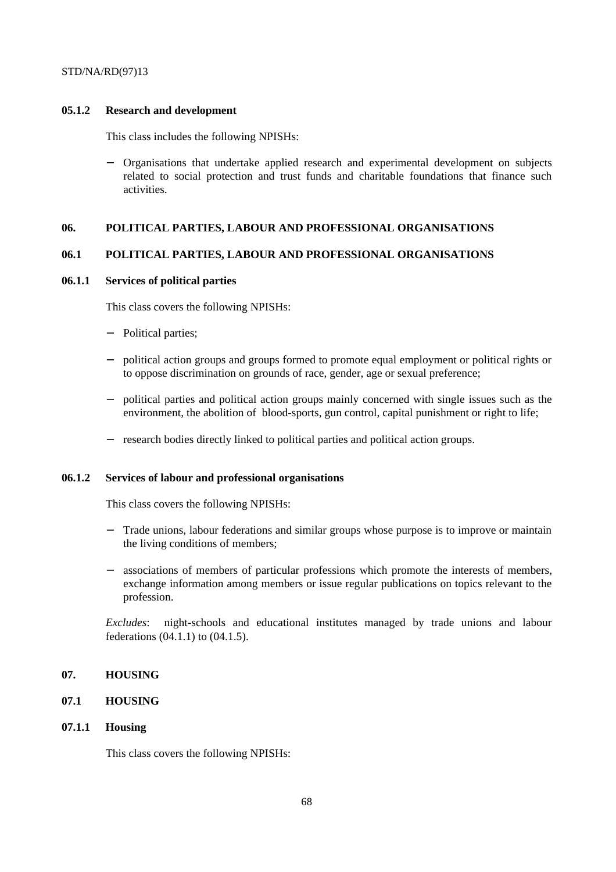## **05.1.2 Research and development**

This class includes the following NPISHs:

− Organisations that undertake applied research and experimental development on subjects related to social protection and trust funds and charitable foundations that finance such activities.

# **06. POLITICAL PARTIES, LABOUR AND PROFESSIONAL ORGANISATIONS**

# **06.1 POLITICAL PARTIES, LABOUR AND PROFESSIONAL ORGANISATIONS**

### **06.1.1 Services of political parties**

This class covers the following NPISHs:

- Political parties;
- political action groups and groups formed to promote equal employment or political rights or to oppose discrimination on grounds of race, gender, age or sexual preference;
- − political parties and political action groups mainly concerned with single issues such as the environment, the abolition of blood-sports, gun control, capital punishment or right to life;
- − research bodies directly linked to political parties and political action groups.

### **06.1.2 Services of labour and professional organisations**

This class covers the following NPISHs:

- − Trade unions, labour federations and similar groups whose purpose is to improve or maintain the living conditions of members;
- associations of members of particular professions which promote the interests of members, exchange information among members or issue regular publications on topics relevant to the profession.

*Excludes*: night-schools and educational institutes managed by trade unions and labour federations (04.1.1) to (04.1.5).

# **07. HOUSING**

# **07.1 HOUSING**

#### **07.1.1 Housing**

This class covers the following NPISHs: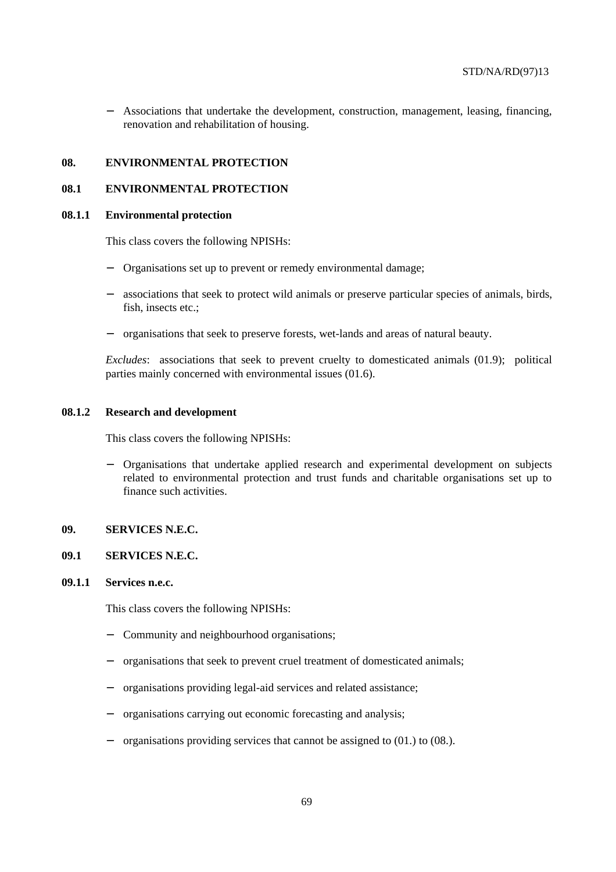− Associations that undertake the development, construction, management, leasing, financing, renovation and rehabilitation of housing.

#### **08. ENVIRONMENTAL PROTECTION**

#### **08.1 ENVIRONMENTAL PROTECTION**

#### **08.1.1 Environmental protection**

This class covers the following NPISHs:

- − Organisations set up to prevent or remedy environmental damage;
- associations that seek to protect wild animals or preserve particular species of animals, birds, fish, insects etc.;
- − organisations that seek to preserve forests, wet-lands and areas of natural beauty.

*Excludes*: associations that seek to prevent cruelty to domesticated animals (01.9); political parties mainly concerned with environmental issues (01.6).

#### **08.1.2 Research and development**

This class covers the following NPISHs:

− Organisations that undertake applied research and experimental development on subjects related to environmental protection and trust funds and charitable organisations set up to finance such activities.

## **09. SERVICES N.E.C.**

# **09.1 SERVICES N.E.C.**

# **09.1.1 Services n.e.c.**

This class covers the following NPISHs:

- − Community and neighbourhood organisations;
- − organisations that seek to prevent cruel treatment of domesticated animals;
- − organisations providing legal-aid services and related assistance;
- − organisations carrying out economic forecasting and analysis;
- − organisations providing services that cannot be assigned to (01.) to (08.).